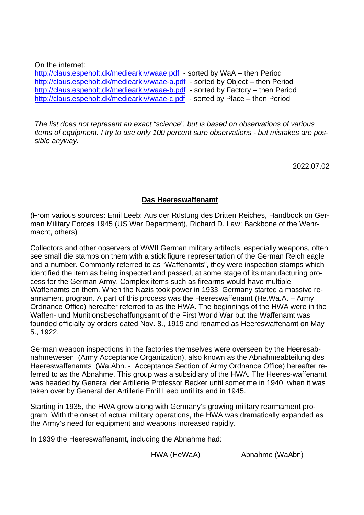On the internet:

<http://claus.espeholt.dk/mediearkiv/waae.pdf> - sorted by WaA – then Period <http://claus.espeholt.dk/mediearkiv/waae-a.pdf> - sorted by Object – then Period <http://claus.espeholt.dk/mediearkiv/waae-b.pdf> - sorted by Factory – then Period <http://claus.espeholt.dk/mediearkiv/waae-c.pdf>- sorted by Place – then Period

*The list does not represent an exact "science", but is based on observations of various items of equipment. I try to use only 100 percent sure observations - but mistakes are possible anyway.*

2022.07.02

### **Das Heereswaffenamt**

(From various sources: Emil Leeb: Aus der Rüstung des Dritten Reiches, Handbook on German Military Forces 1945 (US War Department), Richard D. Law: Backbone of the Wehrmacht, others)

Collectors and other observers of WWII German military artifacts, especially weapons, often see small die stamps on them with a stick figure representation of the German Reich eagle and a number. Commonly referred to as "Waffenamts", they were inspection stamps which identified the item as being inspected and passed, at some stage of its manufacturing process for the German Army. Complex items such as firearms would have multiple Waffenamts on them. When the Nazis took power in 1933, Germany started a massive rearmament program. A part of this process was the Heereswaffenamt (He.Wa.A. – Army Ordnance Office) hereafter referred to as the HWA. The beginnings of the HWA were in the Waffen- und Munitionsbeschaffungsamt of the First World War but the Waffenamt was founded officially by orders dated Nov. 8., 1919 and renamed as Heereswaffenamt on May 5., 1922.

German weapon inspections in the factories themselves were overseen by the Heeresabnahmewesen (Army Acceptance Organization), also known as the Abnahmeabteilung des Heereswaffenamts (Wa.Abn. - Acceptance Section of Army Ordnance Office) hereafter referred to as the Abnahme. This group was a subsidiary of the HWA. The Heeres-waffenamt was headed by General der Artillerie Professor Becker until sometime in 1940, when it was taken over by General der Artillerie Emil Leeb until its end in 1945.

Starting in 1935, the HWA grew along with Germany's growing military rearmament program. With the onset of actual military operations, the HWA was dramatically expanded as the Army's need for equipment and weapons increased rapidly.

In 1939 the Heereswaffenamt, including the Abnahme had:

HWA (HeWaA) Abnahme (WaAbn)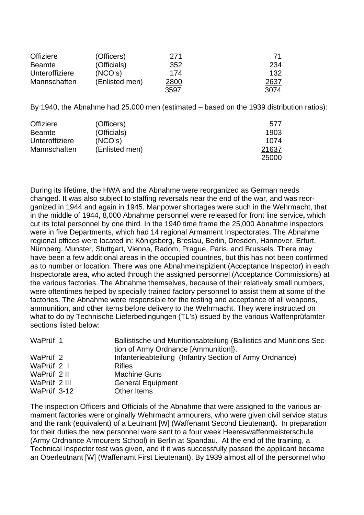| <b>Offiziere</b> | (Officers)     | 271  | -71  |
|------------------|----------------|------|------|
| <b>Beamte</b>    | (Officials)    | 352  | 234  |
| Unteroffiziere   | (NCO's)        | 174  | 132  |
| Mannschaften     | (Enlisted men) | 2800 | 2637 |
|                  |                | 3597 | 3074 |

By 1940, the Abnahme had 25.000 men (estimated – based on the 1939 distribution ratios):

| <b>Offiziere</b> | (Officers)     | 577   |
|------------------|----------------|-------|
| <b>Beamte</b>    | (Officials)    | 1903  |
| Unteroffiziere   | (NCO's)        | 1074  |
| Mannschaften     | (Enlisted men) | 21637 |
|                  |                | 25000 |

During its lifetime, the HWA and the Abnahme were reorganized as German needs changed. It was also subject to staffing reversals near the end of the war, and was reorganized in 1944 and again in 1945. Manpower shortages were such in the Wehrmacht, that in the middle of 1944, 8,000 Abnahme personnel were released for front line service**,** which cut its total personnel by one third. In the 1940 time frame the 25,000 Abnahme inspectors were in five Departments, which had 14 regional Armament Inspectorates. The Abnahme regional offices were located in: Königsberg, Breslau, Berlin, Dresden, Hannover, Erfurt, Nürnberg, Munster, Stuttgart, Vienna, Radom, Prague, Paris, and Brussels. There may have been a few additional areas in the occupied countries, but this has not been confirmed as to number or location. There was one Abnahmeinspizient (Acceptance Inspector) in each Inspectorate area, who acted through the assigned personnel (Acceptance Commissions) at the various factories. The Abnahme themselves, because of their relatively small numbers, were oftentimes helped by specially trained factory personnel to assist them at some of the factories. The Abnahme were responsible for the testing and acceptance of all weapons, ammunition, and other items before delivery to the Wehrmacht. They were instructed on what to do by Technische Lieferbedingungen (TL's) issued by the various Waffenprüfamter sections listed below:

| WaPrüf 1     | Ballistische und Munitionsabteilung (Ballistics and Munitions Sec-<br>tion of Army Ordnance [Ammunition]}. |
|--------------|------------------------------------------------------------------------------------------------------------|
| WaPrüf 2     | Infanterieabteilung (Infantry Section of Army Ordnance)                                                    |
| WaPrüf 2 I   | <b>Rifles</b>                                                                                              |
| WaPrüf 2 II  | <b>Machine Guns</b>                                                                                        |
| WaPrüf 2 III | <b>General Equipment</b>                                                                                   |
| WaPrüf 3-12  | Other Items                                                                                                |

The inspection Officers and Officials of the Abnahme that were assigned to the various armament factories were originally Wehrmacht armourers, who were given civil service status and the rank (equivalent) of a Leutnant [W] (Waffenamt Second Lieutenant**).** In preparation for their duties the new personnel were sent to a four week Heereswaffenmeisterschule (Army Ordnance Armourers School) in Berlin at Spandau. At the end of the training, a Technical Inspector test was given, and if it was successfully passed the applicant became an Oberleutnant [W] (Waffenamt First Lieutenant). By 1939 almost all of the personnel who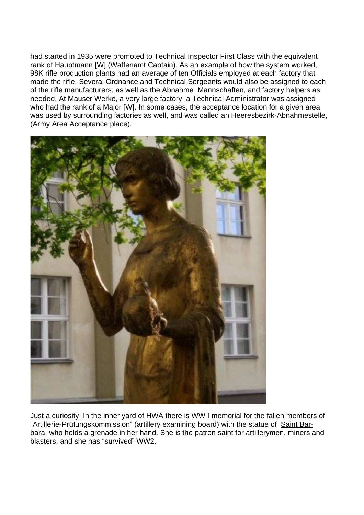had started in 1935 were promoted to Technical Inspector First Class with the equivalent rank of Hauptmann [W] (Waffenamt Captain). As an example of how the system worked, 98K rifle production plants had an average of ten Officials employed at each factory that made the rifle. Several Ordnance and Technical Sergeants would also be assigned to each of the rifle manufacturers, as well as the Abnahme Mannschaften, and factory helpers as needed. At Mauser Werke, a very large factory, a Technical Administrator was assigned who had the rank of a Major [W]. In some cases, the acceptance location for a given area was used by surrounding factories as well, and was called an Heeresbezirk-Abnahmestelle, (Army Area Acceptance place).



Just a curiosity: In the inner yard of HWA there is WW I memorial for the fallen members of "Artillerie-Prüfungskommission" (artillery examining board) with the statue of Saint Barbara who holds a grenade in her hand. She is the patron saint for artillerymen, miners and blasters, and she has "survived" WW2.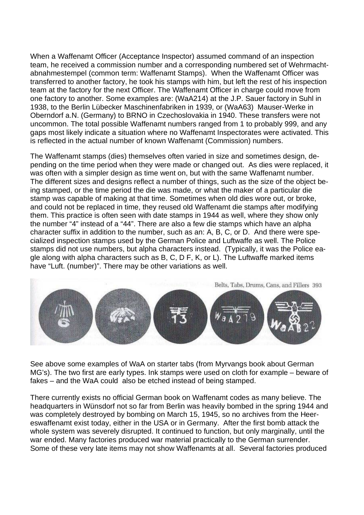When a Waffenamt Officer (Acceptance Inspector) assumed command of an inspection team, he received a commission number and a corresponding numbered set of Wehrmachtabnahmestempel (common term: Waffenamt Stamps). When the Waffenamt Officer was transferred to another factory, he took his stamps with him, but left the rest of his inspection team at the factory for the next Officer. The Waffenamt Officer in charge could move from one factory to another. Some examples are: (WaA214) at the J.P. Sauer factory in Suhl in 1938, to the Berlin Lübecker Maschinenfabriken in 1939, or (WaA63) Mauser-Werke in Oberndorf a.N. (Germany) to BRNO in Czechoslovakia in 1940. These transfers were not uncommon. The total possible Waffenamt numbers ranged from 1 to probably 999, and any gaps most likely indicate a situation where no Waffenamt Inspectorates were activated. This is reflected in the actual number of known Waffenamt (Commission) numbers.

The Waffenamt stamps (dies) themselves often varied in size and sometimes design, depending on the time period when they were made or changed out. As dies were replaced, it was often with a simpler design as time went on, but with the same Waffenamt number. The different sizes and designs reflect a number of things, such as the size of the object being stamped, or the time period the die was made, or what the maker of a particular die stamp was capable of making at that time. Sometimes when old dies wore out, or broke, and could not be replaced in time, they reused old Waffenamt die stamps after modifying them. This practice is often seen with date stamps in 1944 as well, where they show only the number "4" instead of a "44". There are also a few die stamps which have an alpha character suffix in addition to the number, such as an: A, B, C, or D. And there were specialized inspection stamps used by the German Police and Luftwaffe as well. The Police stamps did not use numbers, but alpha characters instead. (Typically, it was the Police eagle along with alpha characters such as B, C, D F, K, or L). The Luftwaffe marked items have "Luft. (number)". There may be other variations as well.



See above some examples of WaA on starter tabs (from Myrvangs book about German MG's). The two first are early types. Ink stamps were used on cloth for example – beware of fakes – and the WaA could also be etched instead of being stamped.

There currently exists no official German book on Waffenamt codes as many believe. The headquarters in Wünsdorf not so far from Berlin was heavily bombed in the spring 1944 and was completely destroyed by bombing on March 15, 1945, so no archives from the Heereswaffenamt exist today, either in the USA or in Germany. After the first bomb attack the whole system was severely disrupted. It continued to function, but only marginally, until the war ended. Many factories produced war material practically to the German surrender. Some of these very late items may not show Waffenamts at all. Several factories produced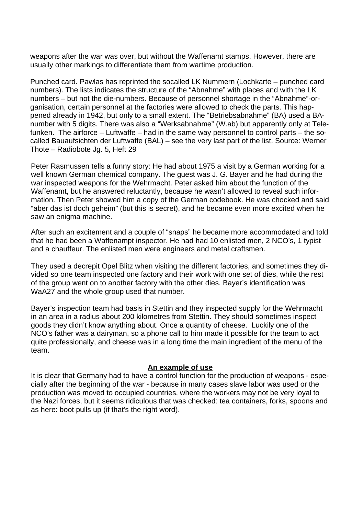weapons after the war was over, but without the Waffenamt stamps. However, there are usually other markings to differentiate them from wartime production.

Punched card. Pawlas has reprinted the socalled LK Nummern (Lochkarte – punched card numbers). The lists indicates the structure of the "Abnahme" with places and with the LK numbers – but not the die-numbers. Because of personnel shortage in the "Abnahme"-organisation, certain personnel at the factories were allowed to check the parts. This happened already in 1942, but only to a small extent. The "Betriebsabnahme" (BA) used a BAnumber with 5 digits. There was also a "Werksabnahme" (W.ab) but apparently only at Telefunken. The airforce – Luftwaffe – had in the same way personnel to control parts – the socalled Bauaufsichten der Luftwaffe (BAL) – see the very last part of the list. Source: Werner Thote – Radiobote Jg. 5, Heft 29

Peter Rasmussen tells a funny story: He had about 1975 a visit by a German working for a well known German chemical company. The guest was J. G. Bayer and he had during the war inspected weapons for the Wehrmacht. Peter asked him about the function of the Waffenamt, but he answered reluctantly, because he wasn't allowed to reveal such information. Then Peter showed him a copy of the German codebook. He was chocked and said "aber das ist doch geheim" (but this is secret), and he became even more excited when he saw an enigma machine.

After such an excitement and a couple of "snaps" he became more accommodated and told that he had been a Waffenampt inspector. He had had 10 enlisted men, 2 NCO's, 1 typist and a chauffeur. The enlisted men were engineers and metal craftsmen.

They used a decrepit Opel Blitz when visiting the different factories, and sometimes they divided so one team inspected one factory and their work with one set of dies, while the rest of the group went on to another factory with the other dies. Bayer's identification was WaA27 and the whole group used that number.

Bayer's inspection team had basis in Stettin and they inspected supply for the Wehrmacht in an area in a radius about 200 kilometres from Stettin. They should sometimes inspect goods they didn't know anything about. Once a quantity of cheese. Luckily one of the NCO's father was a dairyman, so a phone call to him made it possible for the team to act quite professionally, and cheese was in a long time the main ingredient of the menu of the team.

#### **An example of use**

It is clear that Germany had to have a control function for the production of weapons - especially after the beginning of the war - because in many cases slave labor was used or the production was moved to occupied countries, where the workers may not be very loyal to the Nazi forces, but it seems ridiculous that was checked: tea containers, forks, spoons and as here: boot pulls up (if that's the right word).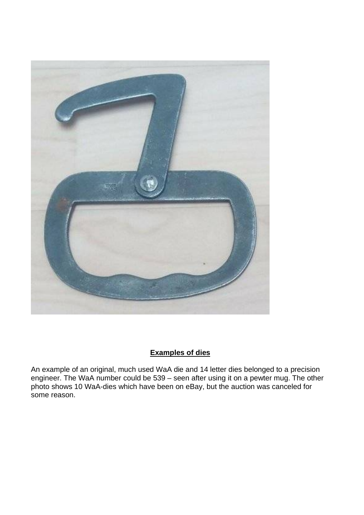

# **Examples of dies**

An example of an original, much used WaA die and 14 letter dies belonged to a precision engineer. The WaA number could be 539 – seen after using it on a pewter mug. The other photo shows 10 WaA-dies which have been on eBay, but the auction was canceled for some reason.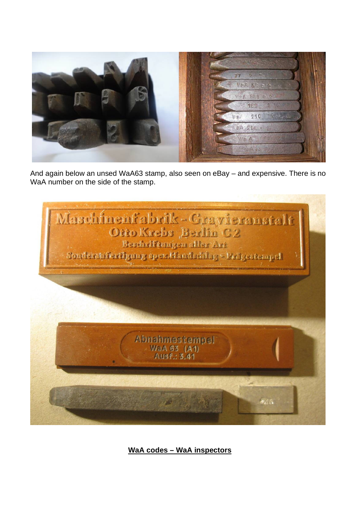

And again below an unsed WaA63 stamp, also seen on eBay – and expensive. There is no WaA number on the side of the stamp.



**WaA codes – WaA inspectors**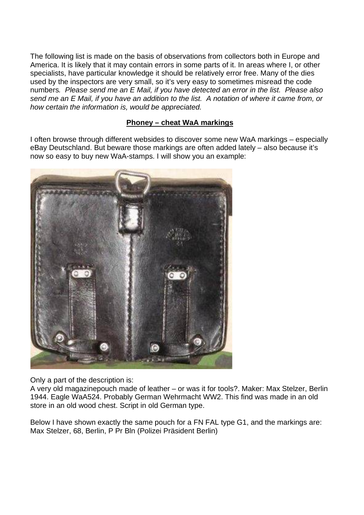The following list is made on the basis of observations from collectors both in Europe and America. It is likely that it may contain errors in some parts of it. In areas where I, or other specialists, have particular knowledge it should be relatively error free. Many of the dies used by the inspectors are very small, so it's very easy to sometimes misread the code numbers*. Please send me an E Mail, if you have detected an error in the list. Please also send me an E Mail, if you have an addition to the list. A notation of where it came from, or how certain the information is, would be appreciated.* 

# **Phoney – cheat WaA markings**

I often browse through different websides to discover some new WaA markings – especially eBay Deutschland. But beware those markings are often added lately – also because it's now so easy to buy new WaA-stamps. I will show you an example:



Only a part of the description is:

A very old magazinepouch made of leather – or was it for tools?. Maker: Max Stelzer, Berlin 1944. Eagle WaA524. Probably German Wehrmacht WW2. This find was made in an old store in an old wood chest. Script in old German type.

Below I have shown exactly the same pouch for a FN FAL type G1, and the markings are: Max Stelzer, 68, Berlin, P Pr Bln (Polizei Präsident Berlin)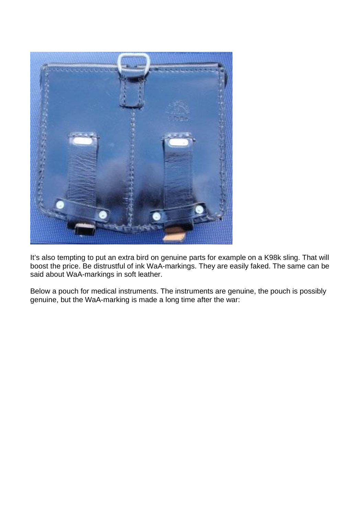

It's also tempting to put an extra bird on genuine parts for example on a K98k sling. That will boost the price. Be distrustful of ink WaA-markings. They are easily faked. The same can be said about WaA-markings in soft leather.

Below a pouch for medical instruments. The instruments are genuine, the pouch is possibly genuine, but the WaA-marking is made a long time after the war: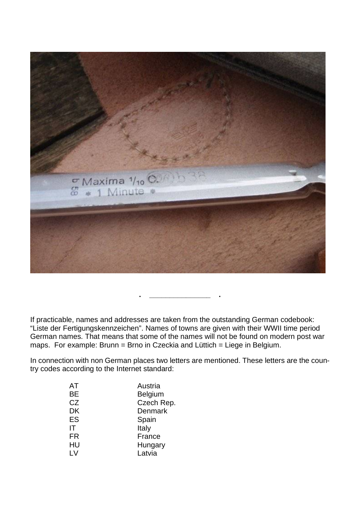

If practicable, names and addresses are taken from the outstanding German codebook: "Liste der Fertigungskennzeichen". Names of towns are given with their WWII time period German names. That means that some of the names will not be found on modern post war maps. For example: Brunn = Brno in Czeckia and Lüttich = Liege in Belgium.

**. \_\_\_\_\_\_\_\_\_\_\_\_\_\_\_ .**

In connection with non German places two letters are mentioned. These letters are the country codes according to the Internet standard:

| AT        | Austria        |
|-----------|----------------|
| BЕ        | <b>Belgium</b> |
| CZ        | Czech Rep.     |
| DK        | Denmark        |
| ES        | Spain          |
| IT        | Italy          |
| <b>FR</b> | France         |
| HU        | Hungary        |
| LV        | Latvia         |
|           |                |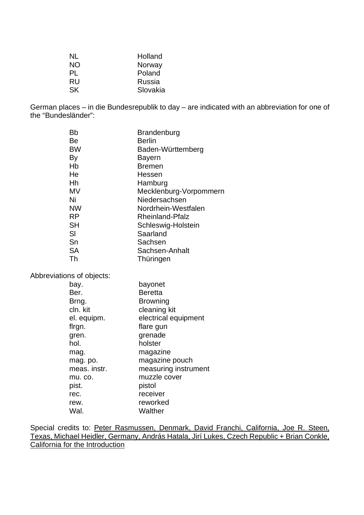| NL        | Holland       |
|-----------|---------------|
| NΟ        | Norway        |
| PL        | Poland        |
| <b>RU</b> | <b>Russia</b> |
| <b>SK</b> | Slovakia      |

German places – in die Bundesrepublik to day – are indicated with an abbreviation for one of the "Bundesländer":

| Bb        | Brandenburg            |
|-----------|------------------------|
| Be        | <b>Berlin</b>          |
| BW        | Baden-Württemberg      |
| By        | Bayern                 |
| Hb        | <b>Bremen</b>          |
| He        | Hessen                 |
| Hh        | Hamburg                |
| MV        | Mecklenburg-Vorpommern |
| Ni        | Niedersachsen          |
| <b>NW</b> | Nordrhein-Westfalen    |
| <b>RP</b> | <b>Rheinland-Pfalz</b> |
| SH        | Schleswig-Holstein     |
| SI        | Saarland               |
| Sn        | Sachsen                |
| <b>SA</b> | Sachsen-Anhalt         |
| Th        | Thüringen              |
|           |                        |

Abbreviations of objects:

| bay.         | bayonet              |
|--------------|----------------------|
| Ber.         | <b>Beretta</b>       |
| Brng.        | Browning             |
| cln. kit     | cleaning kit         |
| el. equipm.  | electrical equipment |
| flrgn.       | flare gun            |
| gren.        | grenade              |
| hol.         | holster              |
| mag.         | magazine             |
| mag. po.     | magazine pouch       |
| meas. instr. | measuring instrument |
| mu. co.      | muzzle cover         |
| pist.        | pistol               |
| rec.         | receiver             |
| rew.         | reworked             |
| Wal.         | Walther              |

Special credits to: Peter Rasmussen, Denmark, David Franchi, California, Joe R. Steen, Texas, Michael Heidler, Germany, András Hatala, Jirí Lukes, Czech Republic + Brian Conkle, California for the Introduction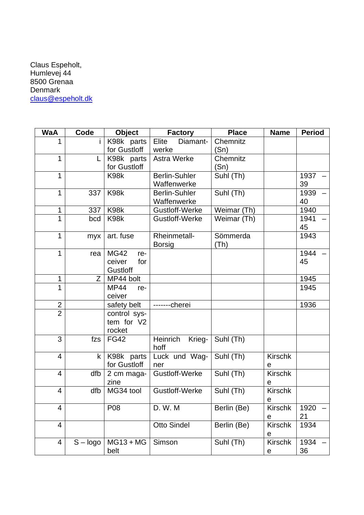## Claus Espeholt, Humlevej 44 8500 Grenaa Denmark [claus@espeholt.dk](mailto:claus@espeholt.dk)

| <b>WaA</b>     | Code         | <b>Object</b>         | <b>Factory</b>       | <b>Place</b> | <b>Name</b>    | <b>Period</b> |
|----------------|--------------|-----------------------|----------------------|--------------|----------------|---------------|
| 1              |              | K98k parts            | Elite<br>Diamant-    | Chemnitz     |                |               |
|                |              | for Gustloff          | werke                | (Sn)         |                |               |
| 1              | L            | K98k parts            | <b>Astra Werke</b>   | Chemnitz     |                |               |
|                |              | for Gustloff          |                      | (Sn)         |                |               |
| 1              |              | K98k                  | <b>Berlin-Suhler</b> | Suhl (Th)    |                | 1937          |
|                |              |                       | Waffenwerke          |              |                | 39            |
| 1              | 337          | K98k                  | <b>Berlin-Suhler</b> | Suhl (Th)    |                | 1939          |
|                |              |                       | Waffenwerke          |              |                | 40            |
| 1              | 337          | K <sub>98</sub> k     | Gustloff-Werke       | Weimar (Th)  |                | 1940          |
| 1              | bcd          | K98k                  | Gustloff-Werke       | Weimar (Th)  |                | 1941          |
|                |              |                       |                      |              |                | 45            |
| 1              | myx          | art. fuse             | Rheinmetall-         | Sömmerda     |                | 1943          |
|                |              |                       | <b>Borsig</b>        | (Th)         |                |               |
| 1              | rea          | <b>MG42</b><br>re-    |                      |              |                | 1944          |
|                |              | ceiver<br>for         |                      |              |                | 45            |
|                |              | Gustloff              |                      |              |                |               |
| 1              | Z            | MP44 bolt             |                      |              |                | 1945          |
| 1              |              | <b>MP44</b><br>re-    |                      |              |                | 1945          |
|                |              | ceiver                |                      |              |                |               |
| $\frac{2}{2}$  |              | safety belt           | -------cherei        |              |                | 1936          |
|                |              | control sys-          |                      |              |                |               |
|                |              | tem for V2            |                      |              |                |               |
| 3              | fzs          | rocket<br><b>FG42</b> | Heinrich             | Suhl (Th)    |                |               |
|                |              |                       | Krieg-<br>hoff       |              |                |               |
| $\overline{4}$ | $\mathsf{k}$ | K98k parts            | Luck und Wag-        | Suhl (Th)    | <b>Kirschk</b> |               |
|                |              | for Gustloff          | ner                  |              | е              |               |
| $\overline{4}$ | dfb          | 2 cm maga-            | Gustloff-Werke       | Suhl (Th)    | <b>Kirschk</b> |               |
|                |              | zine                  |                      |              | e              |               |
| 4              | dfb          | MG34 tool             | Gustloff-Werke       | Suhl (Th)    | <b>Kirschk</b> |               |
|                |              |                       |                      |              | e              |               |
| 4              |              | P08                   | D. W. M              | Berlin (Be)  | <b>Kirschk</b> | 1920          |
|                |              |                       |                      |              | е              | 21            |
| $\overline{4}$ |              |                       | <b>Otto Sindel</b>   | Berlin (Be)  | Kirschk        | 1934          |
|                |              |                       |                      |              | е              |               |
| 4              | $S - logo$   | $MG13 + MG$           | Simson               | Suhl (Th)    | <b>Kirschk</b> | 1934          |
|                |              | belt                  |                      |              | е              | 36            |
|                |              |                       |                      |              |                |               |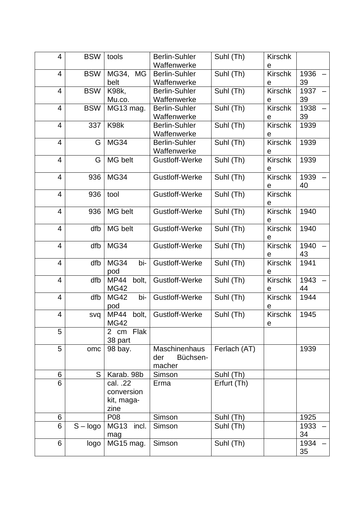| 4                        | <b>BSW</b> | tools                      | <b>Berlin-Suhler</b><br>Waffenwerke | Suhl (Th)    | <b>Kirschk</b><br>e |            |
|--------------------------|------------|----------------------------|-------------------------------------|--------------|---------------------|------------|
| 4                        | <b>BSW</b> | MG34,<br><b>MG</b><br>belt | <b>Berlin-Suhler</b><br>Waffenwerke | Suhl (Th)    | <b>Kirschk</b><br>е | 1936<br>39 |
| $\overline{\mathbf{4}}$  | <b>BSW</b> | <b>K98k,</b>               | <b>Berlin-Suhler</b>                | Suhl (Th)    | <b>Kirschk</b>      | 1937       |
|                          |            | Mu.co.                     | Waffenwerke                         |              | e                   | 39         |
| 4                        | <b>BSW</b> | MG13 mag.                  | <b>Berlin-Suhler</b>                | Suhl (Th)    | <b>Kirschk</b>      | 1938       |
|                          |            |                            | Waffenwerke                         |              | е                   | 39         |
| $\overline{\mathcal{A}}$ | 337        | K98k                       | <b>Berlin-Suhler</b>                | Suhl (Th)    | <b>Kirschk</b>      | 1939       |
|                          |            |                            | Waffenwerke                         |              | е                   |            |
| $\overline{\mathbf{4}}$  | G          | <b>MG34</b>                | <b>Berlin-Suhler</b>                | Suhl (Th)    | <b>Kirschk</b>      | 1939       |
|                          |            |                            | Waffenwerke                         |              | е                   |            |
| 4                        | G          | MG belt                    | Gustloff-Werke                      | Suhl (Th)    | <b>Kirschk</b><br>e | 1939       |
| $\overline{\mathcal{A}}$ | 936        | <b>MG34</b>                | Gustloff-Werke                      | Suhl (Th)    | <b>Kirschk</b>      | 1939       |
|                          |            |                            |                                     |              | е                   | 40         |
| $\overline{\mathcal{A}}$ | 936        | tool                       | Gustloff-Werke                      | Suhl (Th)    | <b>Kirschk</b>      |            |
|                          |            |                            |                                     |              | е                   |            |
| $\overline{\mathcal{A}}$ | 936        | MG belt                    | Gustloff-Werke                      | Suhl (Th)    | <b>Kirschk</b>      | 1940       |
|                          |            |                            |                                     |              | е                   |            |
| 4                        | dfb        | MG belt                    | Gustloff-Werke                      | Suhl (Th)    | <b>Kirschk</b>      | 1940       |
|                          |            |                            |                                     |              | е                   |            |
| $\overline{\mathcal{A}}$ | dfb        | <b>MG34</b>                | Gustloff-Werke                      | Suhl (Th)    | <b>Kirschk</b>      | 1940       |
|                          |            |                            |                                     |              | е                   | 43         |
| $\overline{\mathcal{A}}$ | dfb        | <b>MG34</b><br>bi-         | Gustloff-Werke                      | Suhl (Th)    | <b>Kirschk</b>      | 1941       |
|                          |            | pod                        |                                     |              | e                   |            |
| 4                        | dfb        | <b>MP44</b><br>bolt,       | Gustloff-Werke                      | Suhl (Th)    | Kirschk             | 1943       |
|                          |            | <b>MG42</b>                |                                     |              | e                   | 44         |
| $\overline{\mathcal{A}}$ | dfb        | <b>MG42</b><br>bi-         | Gustloff-Werke                      | Suhl (Th)    | <b>Kirschk</b>      | 1944       |
|                          |            | pod                        |                                     |              | е                   |            |
| $\overline{\mathcal{A}}$ | svq        | <b>MP44</b><br>bolt,       | Gustloff-Werke                      | Suhl (Th)    | <b>Kirschk</b>      | 1945       |
|                          |            | <b>MG42</b>                |                                     |              | e                   |            |
| 5                        |            | 2 cm Flak                  |                                     |              |                     |            |
|                          |            | 38 part                    |                                     |              |                     |            |
| 5                        | omc        | 98 bay.                    | <b>Maschinenhaus</b>                | Ferlach (AT) |                     | 1939       |
|                          |            |                            | Büchsen-<br>der                     |              |                     |            |
|                          |            |                            | macher                              |              |                     |            |
| 6                        | S          | Karab. 98b                 | Simson                              | Suhl (Th)    |                     |            |
| 6                        |            | cal. .22                   | Erma                                | Erfurt (Th)  |                     |            |
|                          |            | conversion                 |                                     |              |                     |            |
|                          |            | kit, maga-                 |                                     |              |                     |            |
|                          |            | zine                       |                                     |              |                     |            |
| 6                        |            | P08                        | Simson                              | Suhl (Th)    |                     | 1925       |
| 6                        | $S - logo$ | MG13<br>incl.              | Simson                              | Suhl (Th)    |                     | 1933       |
|                          |            | mag                        |                                     |              |                     | 34         |
| 6                        | logo       | MG15 mag.                  | Simson                              | Suhl (Th)    |                     | 1934       |
|                          |            |                            |                                     |              |                     | 35         |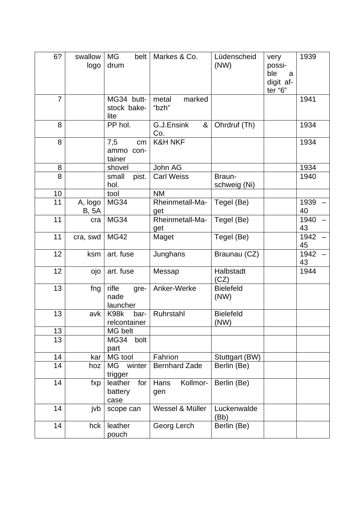| 6?             | swallow<br>logo         | <b>MG</b><br>belt<br>drum           | Markes & Co.             | Lüdenscheid<br>(NW)      | very<br>possi-<br>ble<br>a<br>digit af-<br>ter "6" | 1939       |
|----------------|-------------------------|-------------------------------------|--------------------------|--------------------------|----------------------------------------------------|------------|
| $\overline{7}$ |                         | MG34 butt-<br>stock bake-<br>lite   | metal<br>marked<br>"bzh" |                          |                                                    | 1941       |
| 8              |                         | PP hol.                             | G.J.Ensink<br>&<br>Co.   | Ohrdruf (Th)             |                                                    | 1934       |
| 8              |                         | 7,5<br>cm<br>ammo<br>con-<br>tainer | <b>K&amp;H NKF</b>       |                          |                                                    | 1934       |
| 8              |                         | shovel                              | John AG                  |                          |                                                    | 1934       |
| 8              |                         | small<br>pist.                      | <b>Carl Weiss</b>        | Braun-                   |                                                    | 1940       |
|                |                         | hol.                                |                          | schweig (Ni)             |                                                    |            |
| 10             |                         | tool                                | <b>NM</b>                |                          |                                                    |            |
| 11             | A, logo<br><b>B, 5A</b> | <b>MG34</b>                         | Rheinmetall-Ma-<br>get   | Tegel (Be)               |                                                    | 1939<br>40 |
| 11             | cra                     | <b>MG34</b>                         | Rheinmetall-Ma-<br>get   | Tegel (Be)               |                                                    | 1940<br>43 |
| 11             | cra, swd                | <b>MG42</b>                         | Maget                    | Tegel (Be)               |                                                    | 1942<br>45 |
| 12             | ksm                     | art. fuse                           | Junghans                 | Braunau (CZ)             |                                                    | 1942<br>43 |
| 12             | ojo                     | art. fuse                           | Messap                   | Halbstadt<br>(CZ)        |                                                    | 1944       |
| 13             | fng                     | rifle<br>gre-<br>nade<br>launcher   | Anker-Werke              | <b>Bielefeld</b><br>(NW) |                                                    |            |
| 13             | avk                     | K98k<br>bar-<br>relcontainer        | Ruhrstahl                | <b>Bielefeld</b><br>(NW) |                                                    |            |
| 13             |                         | MG belt                             |                          |                          |                                                    |            |
| 13             |                         | <b>MG34</b><br>bolt<br>part         |                          |                          |                                                    |            |
| 14             | kar                     | MG tool                             | Fahrion                  | Stuttgart (BW)           |                                                    |            |
| 14             | hoz                     | winter<br>МG<br>trigger             | <b>Bernhard Zade</b>     | Berlin (Be)              |                                                    |            |
| 14             | fxp                     | for<br>leather<br>battery<br>case   | Kollmor-<br>Hans<br>gen  | Berlin (Be)              |                                                    |            |
| 14             | jvb                     | scope can                           | Wessel & Müller          | Luckenwalde<br>(Bb)      |                                                    |            |
| 14             | hck                     | leather<br>pouch                    | Georg Lerch              | Berlin (Be)              |                                                    |            |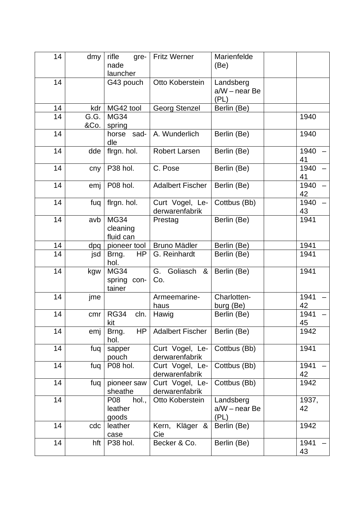| 14 | dmy          | rifle<br>gre-<br>nade<br>launcher       | <b>Fritz Werner</b>               | Marienfelde<br>(Be)                |             |
|----|--------------|-----------------------------------------|-----------------------------------|------------------------------------|-------------|
| 14 |              | G43 pouch                               | Otto Koberstein                   | Landsberg<br>a/W - near Be<br>(PL) |             |
| 14 | kdr          | MG42 tool                               | <b>Georg Stenzel</b>              | Berlin (Be)                        |             |
| 14 | G.G.<br>&Co. | <b>MG34</b><br>spring                   |                                   |                                    | 1940        |
| 14 |              | horse sad-<br>dle                       | A. Wunderlich                     | Berlin (Be)                        | 1940        |
| 14 | dde          | flrgn. hol.                             | <b>Robert Larsen</b>              | Berlin (Be)                        | 1940<br>41  |
| 14 | cny          | P38 hol.                                | C. Pose                           | Berlin (Be)                        | 1940<br>41  |
| 14 | emj          | P08 hol.                                | <b>Adalbert Fischer</b>           | Berlin (Be)                        | 1940<br>42  |
| 14 | fuq          | flrgn. hol.                             | Curt Vogel, Le-<br>derwarenfabrik | Cottbus (Bb)                       | 1940<br>43  |
| 14 | avb          | <b>MG34</b><br>cleaning<br>fluid can    | Prestag                           | Berlin (Be)                        | 1941        |
| 14 | dpq          | pioneer tool                            | <b>Bruno Mädler</b>               | Berlin (Be)                        | 1941        |
| 14 | jsd          | HP<br>Brng.<br>hol.                     | G. Reinhardt                      | Berlin (Be)                        | 1941        |
| 14 | kgw          | <b>MG34</b><br>spring<br>con-<br>tainer | Goliasch<br>G.<br>&<br>Co.        | Berlin (Be)                        | 1941        |
| 14 | jme          |                                         | Armeemarine-<br>haus              | Charlotten-<br>burg (Be)           | 1941<br>42  |
| 14 | cmr          | <b>RG34</b><br>cln.<br>kit              | Hawig                             | Berlin (Be)                        | 1941<br>45  |
| 14 | emj          | Brng.<br>HP<br>hol.                     | <b>Adalbert Fischer</b>           | Berlin (Be)                        | 1942        |
| 14 | fuq          | sapper<br>pouch                         | Curt Vogel, Le-<br>derwarenfabrik | Cottbus (Bb)                       | 1941        |
| 14 | fuq          | P08 hol.                                | Curt Vogel, Le-<br>derwarenfabrik | Cottbus (Bb)                       | 1941<br>42  |
| 14 | fuq          | pioneer saw<br>sheathe                  | Curt Vogel, Le-<br>derwarenfabrik | Cottbus (Bb)                       | 1942        |
| 14 |              | P08<br>hol.,<br>leather<br>goods        | Otto Koberstein                   | Landsberg<br>a/W - near Be<br>(PL) | 1937,<br>42 |
| 14 | cdc          | leather<br>case                         | Kern, Kläger &<br>Cie             | Berlin (Be)                        | 1942        |
| 14 | hft          | P38 hol.                                | Becker & Co.                      | Berlin (Be)                        | 1941<br>43  |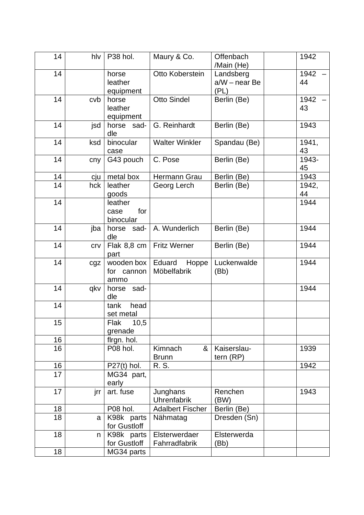| 14              | hlv | P <sub>38</sub> hol.                | Maury & Co.                    | Offenbach<br>/Main (He)            | 1942        |
|-----------------|-----|-------------------------------------|--------------------------------|------------------------------------|-------------|
| 14              |     | horse<br>leather<br>equipment       | Otto Koberstein                | Landsberg<br>a/W - near Be<br>(PL) | 1942<br>44  |
| 14              | cvb | horse<br>leather<br>equipment       | <b>Otto Sindel</b>             | Berlin (Be)                        | 1942<br>43  |
| 14              | jsd | horse<br>sad-<br>dle                | G. Reinhardt                   | Berlin (Be)                        | 1943        |
| 14              | ksd | binocular<br>case                   | <b>Walter Winkler</b>          | Spandau (Be)                       | 1941,<br>43 |
| 14              | cny | G43 pouch                           | C. Pose                        | Berlin (Be)                        | 1943-<br>45 |
| 14              | cju | metal box                           | Hermann Grau                   | Berlin (Be)                        | 1943        |
| 14              | hck | leather<br>goods                    | Georg Lerch                    | Berlin (Be)                        | 1942,<br>44 |
| 14              |     | leather<br>for<br>case<br>binocular |                                |                                    | 1944        |
| 14              | jba | horse sad-<br>dle                   | A. Wunderlich                  | Berlin (Be)                        | 1944        |
| 14              | crv | Flak 8,8 cm<br>part                 | <b>Fritz Werner</b>            | Berlin (Be)                        | 1944        |
| 14              | cgz | wooden box<br>for cannon<br>ammo    | Eduard<br>Hoppe<br>Möbelfabrik | Luckenwalde<br>(Bb)                | 1944        |
| 14              | qkv | horse<br>sad-<br>dle                |                                |                                    | 1944        |
| 14              |     | head<br>tank<br>set metal           |                                |                                    |             |
| 15 <sub>1</sub> |     | 10,5<br>Flak<br>grenade             |                                |                                    |             |
| 16              |     | flrgn. hol.                         |                                |                                    |             |
| 16              |     | P08 hol.                            | Kimnach<br>&<br><b>Brunn</b>   | Kaiserslau-<br>tern (RP)           | 1939        |
| 16              |     | $P27(t)$ hol.                       | R. S.                          |                                    | 1942        |
| 17              |     | MG34 part,<br>early                 |                                |                                    |             |
| 17              | jrr | art. fuse                           | Junghans<br>Uhrenfabrik        | Renchen<br>(BW)                    | 1943        |
| 18              |     | P08 hol.                            | <b>Adalbert Fischer</b>        | Berlin (Be)                        |             |
| 18              | a   | K98k parts<br>for Gustloff          | Nähmatag                       | Dresden (Sn)                       |             |
| 18              | n   | K98k parts<br>for Gustloff          | Elsterwerdaer<br>Fahrradfabrik | Elsterwerda<br>(Bb)                |             |
| 18              |     | MG34 parts                          |                                |                                    |             |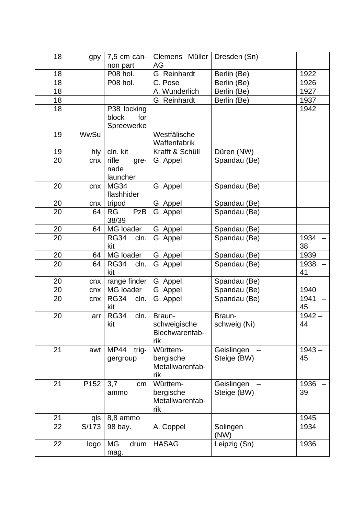| 18 | gpy         | $7,5$ cm can-<br>non part | Clemens Müller<br>AG  | Dresden (Sn)              |                |
|----|-------------|---------------------------|-----------------------|---------------------------|----------------|
| 18 |             | P08 hol.                  | G. Reinhardt          | Berlin (Be)               | 1922           |
| 18 |             | P08 hol.                  | C. Pose               | Berlin (Be)               | 1926           |
| 18 |             |                           | A. Wunderlich         | Berlin (Be)               | 1927           |
| 18 |             |                           | G. Reinhardt          | Berlin (Be)               | 1937           |
| 18 |             | P38 locking               |                       |                           | 1942           |
|    |             | block<br>for              |                       |                           |                |
|    |             | Spreewerke                |                       |                           |                |
| 19 | <b>WwSu</b> |                           | Westfälische          |                           |                |
|    |             |                           | Waffenfabrik          |                           |                |
| 19 | hly         | cln. kit                  | Krafft & Schüll       | Düren (NW)                |                |
| 20 | cnx         | rifle<br>gre-             | G. Appel              | Spandau (Be)              |                |
|    |             | nade                      |                       |                           |                |
|    |             | launcher                  |                       |                           |                |
| 20 | cnx         | <b>MG34</b>               | G. Appel              | Spandau (Be)              |                |
|    |             | flashhider                |                       |                           |                |
| 20 | cnx         | tripod                    | G. Appel              | Spandau (Be)              |                |
| 20 | 64          | PzB<br><b>RG</b><br>38/39 | G. Appel              | Spandau (Be)              |                |
| 20 | 64          | MG loader                 | G. Appel              | Spandau (Be)              |                |
| 20 |             | <b>RG34</b><br>cln.       | G. Appel              | Spandau (Be)              | 1934           |
|    |             | kit                       |                       |                           | 38             |
| 20 | 64          | MG loader                 | G. Appel              | Spandau (Be)              | 1939           |
| 20 | 64          | <b>RG34</b><br>cln.       | G. Appel              | Spandau (Be)              | 1938           |
|    |             | kit                       |                       |                           | 41             |
| 20 | cnx         | range finder $ $          | G. Appel              | Spandau (Be)              |                |
| 20 | cnx         | MG loader                 | G. Appel              | Spandau (Be)              | 1940           |
| 20 | cnx         | <b>RG34</b><br>cln.       | G. Appel              | Spandau (Be)              | 1941           |
|    |             | kit                       |                       |                           | 45             |
| 20 | arr         | <b>RG34</b><br>cln.       | Braun-                | Braun-                    | $1942 -$       |
|    |             | kit                       | schweigische          | schweig (Ni)              | 44             |
|    |             |                           | Blechwarenfab-        |                           |                |
|    |             |                           | rik                   |                           |                |
| 21 | awt         | <b>MP44</b><br>trig-      | Württem-<br>bergische | Geislingen<br>Steige (BW) | $1943 -$<br>45 |
|    |             | gergroup                  | Metallwarenfab-       |                           |                |
|    |             |                           | rik                   |                           |                |
| 21 | P152        | 3,7<br>cm                 | Württem-              | Geislingen                | 1936           |
|    |             | ammo                      | bergische             | Steige (BW)               | 39             |
|    |             |                           | Metallwarenfab-       |                           |                |
|    |             |                           | rik                   |                           |                |
| 21 | qls         | 8,8 ammo                  |                       |                           | 1945           |
| 22 | S/173       | 98 bay.                   | A. Coppel             | Solingen                  | 1934           |
|    |             |                           |                       | (NW)                      |                |
| 22 | logo        | MG<br>drum                | <b>HASAG</b>          | Leipzig (Sn)              | 1936           |
|    |             | mag.                      |                       |                           |                |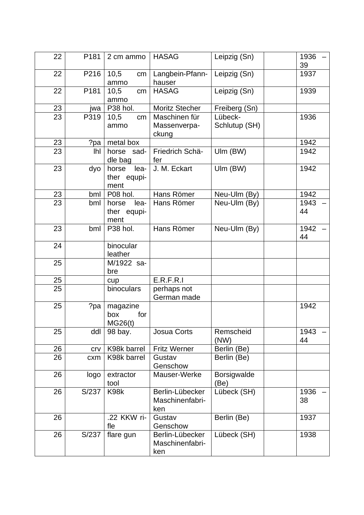| 22              | P <sub>181</sub> | 2 cm ammo                            | <b>HASAG</b>                              | Leipzig (Sn)               | 1936<br>39 |
|-----------------|------------------|--------------------------------------|-------------------------------------------|----------------------------|------------|
| 22              | P216             | 10,5<br>cm<br>ammo                   | Langbein-Pfann-<br>hauser                 | Leipzig (Sn)               | 1937       |
| 22              | P181             | 10,5<br>cm<br>ammo                   | <b>HASAG</b>                              | Leipzig (Sn)               | 1939       |
| 23              | jwa              | P38 hol.                             | <b>Moritz Stecher</b>                     | Freiberg (Sn)              |            |
| $\overline{23}$ | P319             | 10,5<br>cm<br>ammo                   | Maschinen für<br>Massenverpa-<br>ckung    | Lübeck-<br>Schlutup (SH)   | 1936       |
| 23              | ?pa              | metal box                            |                                           |                            | 1942       |
| 23              | lhl              | horse sad-<br>dle bag                | Friedrich Schä-<br>fer                    | Ulm (BW)                   | 1942       |
| 23              | dyo              | lea-<br>horse<br>ther equpi-<br>ment | J. M. Eckart                              | Ulm (BW)                   | 1942       |
| 23              | bml              | P08 hol.                             | Hans Römer                                | Neu-Ulm (By)               | 1942       |
| 23              | bml              | lea-<br>horse<br>ther equpi-<br>ment | Hans Römer                                | Neu-Ulm (By)               | 1943<br>44 |
| 23              | bml              | P38 hol.                             | Hans Römer                                | Neu-Ulm (By)               | 1942<br>44 |
| 24              |                  | binocular<br>leather                 |                                           |                            |            |
| 25              |                  | M/1922 sa-<br>bre                    |                                           |                            |            |
| 25              |                  | cup                                  | E.R.F.R.I                                 |                            |            |
| 25              |                  | binoculars                           | perhaps not<br>German made                |                            |            |
| 25              | ?pa              | magazine<br>box<br>for<br>MG26(t)    |                                           |                            | 1942       |
| 25              | ddl              | 98 bay.                              | Josua Corts                               | Remscheid<br>(NW)          | 1943<br>44 |
| 26              | crv              | K98k barrel                          | <b>Fritz Werner</b>                       | Berlin (Be)                |            |
| 26              | cxm              | K98k barrel                          | Gustav<br>Genschow                        | Berlin (Be)                |            |
| 26              | logo             | extractor<br>tool                    | Mauser-Werke                              | <b>Borsigwalde</b><br>(Be) |            |
| 26              | S/237            | K98k                                 | Berlin-Lübecker<br>Maschinenfabri-<br>ken | Lübeck (SH)                | 1936<br>38 |
| 26              |                  | .22 KKW ri-<br>fle                   | Gustav<br>Genschow                        | Berlin (Be)                | 1937       |
| 26              | S/237            | flare gun                            | Berlin-Lübecker<br>Maschinenfabri-<br>ken | Lübeck (SH)                | 1938       |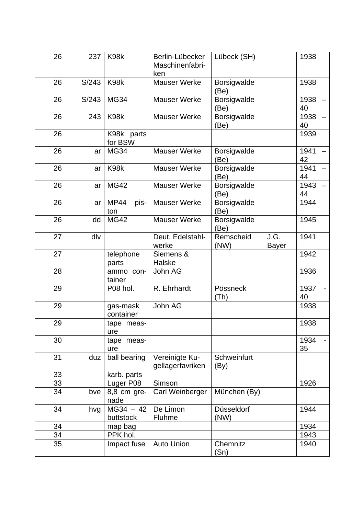| 26 | 237   | K98k                       | Berlin-Lübecker<br>Maschinenfabri-<br>ken | Lübeck (SH)                |                      | 1938       |
|----|-------|----------------------------|-------------------------------------------|----------------------------|----------------------|------------|
| 26 | S/243 | K98k                       | <b>Mauser Werke</b>                       | Borsigwalde<br>(Be)        |                      | 1938       |
| 26 | S/243 | <b>MG34</b>                | <b>Mauser Werke</b>                       | Borsigwalde<br>(Be)        |                      | 1938<br>40 |
| 26 | 243   | K98k                       | <b>Mauser Werke</b>                       | Borsigwalde<br>(Be)        |                      | 1938<br>40 |
| 26 |       | K98k parts<br>for BSW      |                                           |                            |                      | 1939       |
| 26 | ar    | <b>MG34</b>                | <b>Mauser Werke</b>                       | <b>Borsigwalde</b><br>(Be) |                      | 1941<br>42 |
| 26 | ar    | K98k                       | <b>Mauser Werke</b>                       | Borsigwalde<br>(Be)        |                      | 1941<br>44 |
| 26 | ar    | <b>MG42</b>                | <b>Mauser Werke</b>                       | Borsigwalde<br>(Be)        |                      | 1943<br>44 |
| 26 | ar    | <b>MP44</b><br>pis-<br>ton | <b>Mauser Werke</b>                       | Borsigwalde<br>(Be)        |                      | 1944       |
| 26 | dd    | <b>MG42</b>                | <b>Mauser Werke</b>                       | Borsigwalde<br>(Be)        |                      | 1945       |
| 27 | dlv   |                            | Deut. Edelstahl-<br>werke                 | Remscheid<br>(NW)          | J.G.<br><b>Bayer</b> | 1941       |
| 27 |       | telephone<br>parts         | Siemens &<br>Halske                       |                            |                      | 1942       |
| 28 |       | ammo con-<br>tainer        | John AG                                   |                            |                      | 1936       |
| 29 |       | P08 hol.                   | R. Ehrhardt                               | Pössneck<br>(Th)           |                      | 1937<br>40 |
| 29 |       | gas-mask<br>container      | John AG                                   |                            |                      | 1938       |
| 29 |       | tape meas-<br>ure          |                                           |                            |                      | 1938       |
| 30 |       | tape meas-<br>ure          |                                           |                            |                      | 1934<br>35 |
| 31 | duz   | ball bearing               | Vereinigte Ku-<br>gellagerfavriken        | Schweinfurt<br>(By)        |                      |            |
| 33 |       | karb. parts                |                                           |                            |                      |            |
| 33 |       | Luger <sub>P08</sub>       | Simson                                    |                            |                      | 1926       |
| 34 | bve   | 8,8 cm gre-<br>nade        | Carl Weinberger                           | München (By)               |                      |            |
| 34 | hvg   | $MG34 - 42$<br>buttstock   | De Limon<br>Fluhme                        | Düsseldorf<br>(NW)         |                      | 1944       |
| 34 |       | map bag                    |                                           |                            |                      | 1934       |
| 34 |       | PPK hol.                   |                                           |                            |                      | 1943       |
| 35 |       | Impact fuse                | <b>Auto Union</b>                         | Chemnitz<br>(Sn)           |                      | 1940       |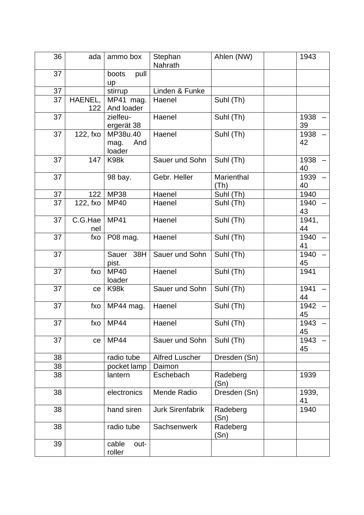| 36 | ada      | ammo box                | Stephan<br>Nahrath      | Ahlen (NW)       | 1943        |
|----|----------|-------------------------|-------------------------|------------------|-------------|
| 37 |          | boots<br>pull<br>up     |                         |                  |             |
| 37 |          | stirrup                 | Linden & Funke          |                  |             |
| 37 | HAENEL,  | MP41 mag.               | Haenel                  | Suhl (Th)        |             |
|    | 122      | And loader              |                         |                  |             |
| 37 |          | zielfeu-                | Haenel                  | Suhl (Th)        | 1938        |
|    |          | ergerät 38              |                         |                  | 39          |
| 37 | 122, fxo | MP38u.40                | Haenel                  | Suhl (Th)        | 1938        |
|    |          | And<br>mag.<br>loader   |                         |                  | 42          |
| 37 | 147      | K98k                    | Sauer und Sohn          | Suhl (Th)        | 1938        |
|    |          |                         |                         |                  | 40          |
| 37 |          | 98 bay.                 | Gebr. Heller            | Marienthal       | 1939        |
|    |          |                         |                         | (Th)             | 40          |
| 37 | 122      | <b>MP38</b>             | Haenel                  | Suhl (Th)        | 1940        |
| 37 | 122, fxo | <b>MP40</b>             | Haenel                  | Suhl (Th)        | 1940        |
|    |          |                         |                         |                  | 43          |
| 37 | C.G.Hae  | <b>MP41</b>             | Haenel                  | Suhl (Th)        | 1941,       |
| 37 | nel      |                         | Haenel                  |                  | 44<br>1940  |
|    | fxo      | P08 mag.                |                         | Suhl (Th)        | 41          |
| 37 |          | 38H<br>Sauer            | Sauer und Sohn          | Suhl (Th)        | 1940        |
|    |          | pist.                   |                         |                  | 45          |
| 37 | fxo      | <b>MP40</b>             | Haenel                  | Suhl (Th)        | 1941        |
|    |          | loader                  |                         |                  |             |
| 37 | ce       | K98k                    | Sauer und Sohn          | Suhl (Th)        | 1941        |
|    |          |                         |                         |                  | 44          |
| 37 | fxo      | MP44 mag.               | Haenel                  | Suhl (Th)        | 1942        |
|    |          |                         |                         |                  | 45          |
| 37 | fxo      | <b>MP44</b>             | Haenel                  | Suhl (Th)        | 1943        |
|    |          |                         |                         |                  | 45          |
| 37 | ce       | <b>MP44</b>             | Sauer und Sohn          | Suhl (Th)        | 1943        |
|    |          |                         |                         |                  | 45          |
| 38 |          | radio tube              | <b>Alfred Luscher</b>   | Dresden (Sn)     |             |
| 38 |          | pocket lamp             | Daimon                  |                  |             |
| 38 |          | lantern                 | Eschebach               | Radeberg<br>(Sn) | 1939        |
| 38 |          | electronics             | Mende Radio             | Dresden (Sn)     | 1939,<br>41 |
| 38 |          | hand siren              | <b>Jurk Sirenfabrik</b> | Radeberg<br>(Sn) | 1940        |
| 38 |          | radio tube              | Sachsenwerk             | Radeberg         |             |
|    |          |                         |                         | (Sn)             |             |
| 39 |          | cable<br>out-<br>roller |                         |                  |             |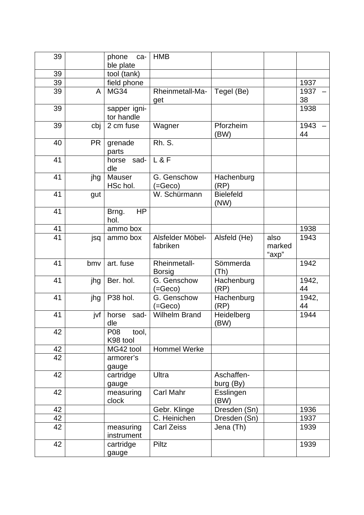| 39 |     | phone<br>ca-<br>ble plate  | <b>HMB</b>                           |                          |                         |             |
|----|-----|----------------------------|--------------------------------------|--------------------------|-------------------------|-------------|
| 39 |     | tool (tank)                |                                      |                          |                         |             |
| 39 |     | field phone                |                                      |                          |                         | 1937        |
| 39 | A   | <b>MG34</b>                | Rheinmetall-Ma-                      | Tegel (Be)               |                         | 1937        |
|    |     |                            | get                                  |                          |                         | 38          |
| 39 |     | sapper igni-<br>tor handle |                                      |                          |                         | 1938        |
| 39 | cbj | 2 cm fuse                  | Wagner                               | Pforzheim<br>(BW)        |                         | 1943<br>44  |
| 40 | PR. | grenade<br>parts           | <b>Rh. S.</b>                        |                          |                         |             |
| 41 |     | horse<br>sad-<br>dle       | L & F                                |                          |                         |             |
| 41 | jhg | Mauser<br>HSc hol.         | G. Genschow<br>(=Geco)               | Hachenburg<br>(RP)       |                         |             |
| 41 | gut |                            | W. Schürmann                         | <b>Bielefeld</b><br>(NW) |                         |             |
| 41 |     | <b>HP</b><br>Brng.<br>hol. |                                      |                          |                         |             |
| 41 |     | ammo box                   |                                      |                          |                         | 1938        |
| 41 | jsq | ammo box                   | Alsfelder Möbel-<br>fabriken         | Alsfeld (He)             | also<br>marked<br>"axp" | 1943        |
| 41 | bmy | art. fuse                  | <b>Rheinmetall-</b><br><b>Borsig</b> | Sömmerda<br>(Th)         |                         | 1942        |
| 41 | jhg | Ber. hol.                  | G. Genschow<br>(=Geco)               | Hachenburg<br>(RP)       |                         | 1942,<br>44 |
| 41 | jhg | P38 hol.                   | G. Genschow<br>$( = Geco)$           | Hachenburg<br>(RP)       |                         | 1942,<br>44 |
| 41 | jvf | horse<br>sad-<br>dle       | <b>Wilhelm Brand</b>                 | Heidelberg<br>(BW)       |                         | 1944        |
| 42 |     | tool,<br>P08<br>K98 tool   |                                      |                          |                         |             |
| 42 |     | MG42 tool                  | <b>Hommel Werke</b>                  |                          |                         |             |
| 42 |     | armorer's<br>gauge         |                                      |                          |                         |             |
| 42 |     | cartridge<br>gauge         | Ultra                                | Aschaffen-<br>burg (By)  |                         |             |
| 42 |     | measuring<br>clock         | <b>Carl Mahr</b>                     | Esslingen<br>(BW)        |                         |             |
|    |     |                            |                                      | Dresden (Sn)             |                         | 1936        |
| 42 |     |                            |                                      |                          |                         |             |
| 42 |     |                            | Gebr. Klinge<br>C. Heinichen         | Dresden (Sn)             |                         | 1937        |
| 42 |     | measuring<br>instrument    | <b>Carl Zeiss</b>                    | Jena (Th)                |                         | 1939        |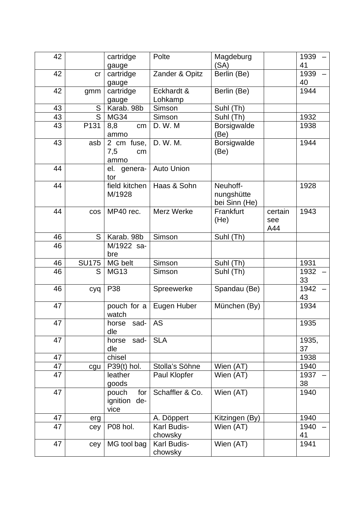| 42 |              | cartridge                               | Polte                  | Magdeburg<br>(SA)                       |                       | 1939<br>41  |
|----|--------------|-----------------------------------------|------------------------|-----------------------------------------|-----------------------|-------------|
| 42 | cr           | gauge<br>cartridge                      | Zander & Opitz         | Berlin (Be)                             |                       | 1939        |
|    |              | gauge                                   |                        |                                         |                       | 40          |
| 42 | gmm          | cartridge<br>gauge                      | Eckhardt &<br>Lohkamp  | Berlin (Be)                             |                       | 1944        |
| 43 | S            | Karab. 98b                              | Simson                 | Suhl (Th)                               |                       |             |
| 43 | S            | <b>MG34</b>                             | Simson                 | Suhl (Th)                               |                       | 1932        |
| 43 | P131         | 8,8<br>cm<br>ammo                       | D. W. M                | <b>Borsigwalde</b><br>(Be)              |                       | 1938        |
| 43 | asb          | 2 cm fuse,<br>7,5<br>cm<br>ammo         | D. W. M.               | Borsigwalde<br>(Be)                     |                       | 1944        |
| 44 |              | el. genera-<br>tor                      | <b>Auto Union</b>      |                                         |                       |             |
| 44 |              | field kitchen<br>M/1928                 | Haas & Sohn            | Neuhoff-<br>nungshütte<br>bei Sinn (He) |                       | 1928        |
| 44 | cos          | MP40 rec.                               | Merz Werke             | Frankfurt<br>(He)                       | certain<br>see<br>A44 | 1943        |
| 46 | S            | Karab. 98b                              | Simson                 | Suhl (Th)                               |                       |             |
| 46 |              | M/1922 sa-<br>bre                       |                        |                                         |                       |             |
| 46 | <b>SU175</b> | MG belt                                 | Simson                 | Suhl (Th)                               |                       | 1931        |
| 46 | S            | <b>MG13</b>                             | Simson                 | Suhl (Th)                               |                       | 1932<br>33  |
| 46 | cyq          | P38                                     | Spreewerke             | Spandau (Be)                            |                       | 1942<br>43  |
| 47 |              | pouch for a<br>watch                    | Eugen Huber            | München (By)                            |                       | 1934        |
| 47 |              | horse sad- $AS$<br>dle                  |                        |                                         |                       | 1935        |
| 47 |              | sad-<br>horse<br>dle                    | <b>SLA</b>             |                                         |                       | 1935,<br>37 |
| 47 |              | chisel                                  |                        |                                         |                       | 1938        |
| 47 | cgu          | P39(t) hol.                             | Stolla's Söhne         | Wien (AT)                               |                       | 1940        |
| 47 |              | leather<br>goods                        | Paul Klopfer           | Wien (AT)                               |                       | 1937<br>38  |
| 47 |              | pouch<br>for<br>ignition<br>de-<br>vice | Schaffler & Co.        | Wien (AT)                               |                       | 1940        |
| 47 | erg          |                                         | A. Döppert             | Kitzingen (By)                          |                       | 1940        |
| 47 | cey          | P08 hol.                                | Karl Budis-<br>chowsky | Wien (AT)                               |                       | 1940<br>41  |
| 47 | cey          | MG tool bag                             | Karl Budis-<br>chowsky | Wien (AT)                               |                       | 1941        |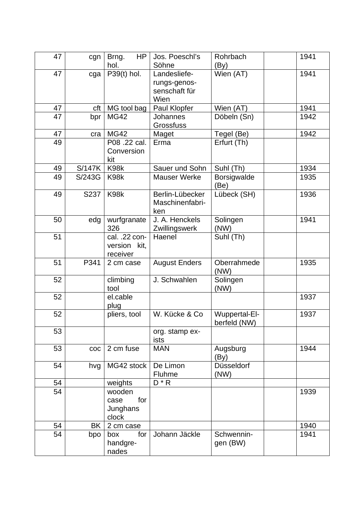| 47 | cgn           | HP<br>Brng.<br>hol.                        | Jos. Poeschl's<br>Söhne                               | Rohrbach<br>$\left(\mathsf{By}\right)$ | 1941 |
|----|---------------|--------------------------------------------|-------------------------------------------------------|----------------------------------------|------|
| 47 | cga           | $P39(t)$ hol.                              | Landesliefe-<br>rungs-genos-<br>senschaft für<br>Wien | Wien (AT)                              | 1941 |
| 47 | cft           | MG tool bag                                | Paul Klopfer                                          | Wien (AT)                              | 1941 |
| 47 | bpr           | <b>MG42</b>                                | <b>Johannes</b><br><b>Grossfuss</b>                   | Döbeln (Sn)                            | 1942 |
| 47 | cra           | <b>MG42</b>                                | Maget                                                 | Tegel (Be)                             | 1942 |
| 49 |               | P08 .22 cal.<br>Conversion<br>kit          | Erma                                                  | Erfurt (Th)                            |      |
| 49 | <b>S/147K</b> | K98k                                       | Sauer und Sohn                                        | Suhl (Th)                              | 1934 |
| 49 | S/243G        | K98k                                       | <b>Mauser Werke</b>                                   | <b>Borsigwalde</b><br>(Be)             | 1935 |
| 49 | S237          | K98k                                       | Berlin-Lübecker<br>Maschinenfabri-<br>ken             | Lübeck (SH)                            | 1936 |
| 50 | edg           | wurfgranate<br>326                         | J. A. Henckels<br>Zwillingswerk                       | Solingen<br>(NW)                       | 1941 |
| 51 |               | cal. .22 con-<br>version kit,<br>receiver  | Haenel                                                | Suhl (Th)                              |      |
| 51 | P341          | 2 cm case                                  | <b>August Enders</b>                                  | Oberrahmede<br>(NW)                    | 1935 |
| 52 |               | climbing<br>tool                           | J. Schwahlen                                          | Solingen<br>(NW)                       |      |
| 52 |               | el.cable<br>plug                           |                                                       |                                        | 1937 |
| 52 |               | pliers, tool                               | W. Kücke & Co                                         | Wuppertal-El-<br>berfeld (NW)          | 1937 |
| 53 |               |                                            | org. stamp ex-<br>ists                                |                                        |      |
| 53 | COC           | 2 cm fuse                                  | <b>MAN</b>                                            | Augsburg<br>(By)                       | 1944 |
| 54 | hvg           | MG42 stock                                 | De Limon<br>Fluhme                                    | Düsseldorf<br>(NW)                     |      |
| 54 |               | weights                                    | $D * R$                                               |                                        |      |
| 54 |               | wooden<br>for<br>case<br>Junghans<br>clock |                                                       |                                        | 1939 |
| 54 | BK.           | 2 cm case                                  |                                                       |                                        | 1940 |
| 54 | bpo           | for<br>box<br>handgre-<br>nades            | Johann Jäckle                                         | Schwennin-<br>gen (BW)                 | 1941 |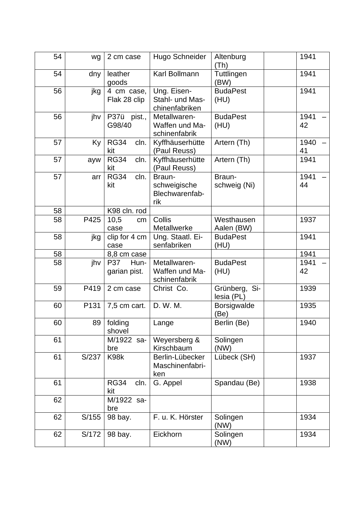| 54 | wg               | 2 cm case                          | Hugo Schneider                                   | Altenburg<br>(Th)           | 1941       |
|----|------------------|------------------------------------|--------------------------------------------------|-----------------------------|------------|
| 54 | dny              | leather<br>goods                   | Karl Bollmann                                    | Tuttlingen<br>(BW)          | 1941       |
| 56 | jkg              | 4 cm case,<br>Flak 28 clip         | Ung. Eisen-<br>Stahl- und Mas-<br>chinenfabriken | <b>BudaPest</b><br>(HU)     | 1941       |
| 56 | jhv              | P37ü<br>pist.,<br>G98/40           | Metallwaren-<br>Waffen und Ma-<br>schinenfabrik  | <b>BudaPest</b><br>(HU)     | 1941<br>42 |
| 57 | Ky               | <b>RG34</b><br>cln.<br>kit         | Kyffhäuserhütte<br>(Paul Reuss)                  | Artern (Th)                 | 1940<br>41 |
| 57 | ayw              | <b>RG34</b><br>cln.<br>kit         | Kyffhäuserhütte<br>(Paul Reuss)                  | Artern (Th)                 | 1941       |
| 57 | arr              | cln.<br><b>RG34</b><br>kit         | Braun-<br>schweigische<br>Blechwarenfab-<br>rik  | Braun-<br>schweig (Ni)      | 1941<br>44 |
| 58 |                  | K98 cln. rod                       |                                                  |                             |            |
| 58 | P425             | 10,5<br>cm<br>case                 | Collis<br>Metallwerke                            | Westhausen<br>Aalen (BW)    | 1937       |
| 58 | jkg              | clip for 4 cm<br>case              | Ung. Staatl. Ei-<br>senfabriken                  | <b>BudaPest</b><br>(HU)     | 1941       |
| 58 |                  | 8,8 cm case                        |                                                  |                             | 1941       |
| 58 | jhv              | <b>P37</b><br>Hun-<br>garian pist. | Metallwaren-<br>Waffen und Ma-<br>schinenfabrik  | <b>BudaPest</b><br>(HU)     | 1941<br>42 |
| 59 | P419             | 2 cm case                          | Christ Co.                                       | Grünberg, Si-<br>lesia (PL) | 1939       |
| 60 | P <sub>131</sub> | 7,5 cm cart.                       | D. W. M.                                         | <b>Borsigwalde</b><br>(Be)  | 1935       |
| 60 | 89 I             | folding<br>shovel                  | Lange                                            | Berlin (Be)                 | 1940       |
| 61 |                  | M/1922 sa-<br>bre                  | Weyersberg &<br>Kirschbaum                       | Solingen<br>(NW)            |            |
| 61 | S/237            | K98k                               | Berlin-Lübecker<br>Maschinenfabri-<br>ken        | Lübeck (SH)                 | 1937       |
| 61 |                  | <b>RG34</b><br>cln.<br>kit         | G. Appel                                         | Spandau (Be)                | 1938       |
| 62 |                  | M/1922 sa-<br>bre                  |                                                  |                             |            |
| 62 | S/155            | 98 bay.                            | F. u. K. Hörster                                 | Solingen<br>(NW)            | 1934       |
| 62 | S/172            | 98 bay.                            | Eickhorn                                         | Solingen<br>(NW)            | 1934       |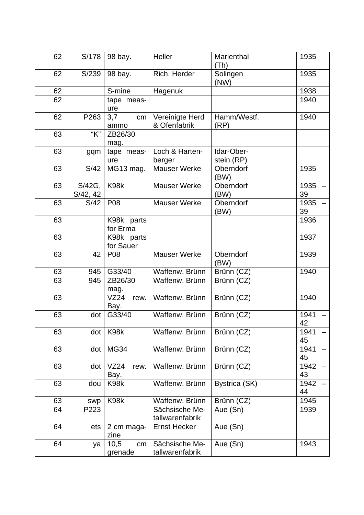| 62 | S/178              | 98 bay.                 | Heller                            | Marienthal<br>(Th)       | 1935       |
|----|--------------------|-------------------------|-----------------------------------|--------------------------|------------|
| 62 | S/239              | 98 bay.                 | Rich. Herder                      | Solingen<br>(NW)         | 1935       |
| 62 |                    | S-mine                  | Hagenuk                           |                          | 1938       |
| 62 |                    | tape meas-<br>ure       |                                   |                          | 1940       |
| 62 | P263               | 3,7<br>cm<br>ammo       | Vereinigte Herd<br>& Ofenfabrik   | Hamm/Westf.<br>(RP)      | 1940       |
| 63 | "K"                | ZB26/30<br>mag.         |                                   |                          |            |
| 63 | gqm                | tape meas-<br>ure       | Loch & Harten-<br>berger          | Idar-Ober-<br>stein (RP) |            |
| 63 | S/42               | MG13 mag.               | <b>Mauser Werke</b>               | Oberndorf<br>(BW)        | 1935       |
| 63 | S/42G,<br>S/42, 42 | K98k                    | <b>Mauser Werke</b>               | Oberndorf<br>(BW)        | 1935<br>39 |
| 63 | S/42               | P08                     | <b>Mauser Werke</b>               | Oberndorf<br>(BW)        | 1935<br>39 |
| 63 |                    | K98k parts<br>for Erma  |                                   |                          | 1936       |
| 63 |                    | K98k parts<br>for Sauer |                                   |                          | 1937       |
| 63 | 42                 | P08                     | <b>Mauser Werke</b>               | Oberndorf<br>(BW)        | 1939       |
| 63 | 945                | G33/40                  | Waffenw. Brünn                    | Brünn (CZ)               | 1940       |
| 63 | 945                | ZB26/30<br>mag.         | Waffenw. Brünn                    | Brünn (CZ)               |            |
| 63 |                    | VZ24<br>rew.<br>Bay.    | Waffenw. Brünn                    | Brünn (CZ)               | 1940       |
| 63 | dot                | G33/40                  | Waffenw, Brünn                    | Brünn (CZ)               | 1941<br>42 |
| 63 | dot                | K98k                    | Waffenw. Brünn                    | Brünn (CZ)               | 1941<br>45 |
| 63 | dot                | <b>MG34</b>             | Waffenw. Brünn                    | Brünn (CZ)               | 1941<br>45 |
| 63 | dot                | VZ24<br>rew.<br>Bay.    | Waffenw. Brünn                    | Brünn (CZ)               | 1942<br>43 |
| 63 | dou                | K98k                    | Waffenw. Brünn                    | Bystrica (SK)            | 1942<br>44 |
| 63 | swp                | K98k                    | Waffenw. Brünn                    | Brünn (CZ)               | 1945       |
| 64 | P223               |                         | Sächsische Me-<br>tallwarenfabrik | Aue (Sn)                 | 1939       |
| 64 | ets                | 2 cm maga-<br>zine      | <b>Ernst Hecker</b>               | Aue (Sn)                 |            |
| 64 | ya                 | 10,5<br>cm<br>grenade   | Sächsische Me-<br>tallwarenfabrik | Aue (Sn)                 | 1943       |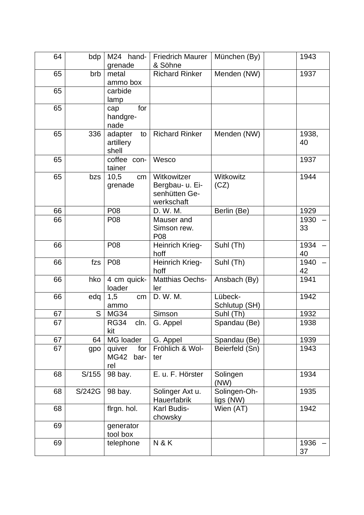| 64 | bdp    | M24 hand-<br>grenade                        | <b>Friedrich Maurer</b><br>& Söhne                            | München (By)              | 1943        |
|----|--------|---------------------------------------------|---------------------------------------------------------------|---------------------------|-------------|
| 65 | brb    | metal<br>ammo box                           | <b>Richard Rinker</b>                                         | Menden (NW)               | 1937        |
| 65 |        | carbide<br>lamp                             |                                                               |                           |             |
| 65 |        | for<br>cap<br>handgre-<br>nade              |                                                               |                           |             |
| 65 | 336    | adapter<br>to<br>artillery<br>shell         | <b>Richard Rinker</b>                                         | Menden (NW)               | 1938,<br>40 |
| 65 |        | coffee con-<br>tainer                       | Wesco                                                         |                           | 1937        |
| 65 | bzs    | 10,5<br>cm<br>grenade                       | Witkowitzer<br>Bergbau- u. Ei-<br>senhütten Ge-<br>werkschaft | Witkowitz<br>(CZ)         | 1944        |
| 66 |        | P08                                         | D. W. M.                                                      | Berlin (Be)               | 1929        |
| 66 |        | P08                                         | Mauser and<br>Simson rew.<br>P08                              |                           | 1930<br>33  |
| 66 |        | P08                                         | Heinrich Krieg-<br>hoff                                       | Suhl (Th)                 | 1934<br>40  |
| 66 | fzs    | P08                                         | Heinrich Krieg-<br>hoff                                       | Suhl (Th)                 | 1940<br>42  |
| 66 | hko    | 4 cm quick-<br>loader                       | <b>Matthias Oechs-</b><br>ler                                 | Ansbach (By)              | 1941        |
| 66 | edq    | 1,5<br>cm<br>ammo                           | D. W. M.                                                      | Lübeck-<br>Schlutup (SH)  | 1942        |
| 67 | S      | <b>MG34</b>                                 | Simson                                                        | Suhl (Th)                 | 1932        |
| 67 |        | <b>RG34</b><br>cln.<br>kit                  | G. Appel                                                      | Spandau (Be)              | 1938        |
| 67 | 64     | MG loader                                   | G. Appel                                                      | Spandau (Be)              | 1939        |
| 67 | gpo    | for<br>quiver<br><b>MG42</b><br>bar-<br>rel | Fröhlich & Wol-<br>ter                                        | Beierfeld (Sn)            | 1943        |
| 68 | S/155  | 98 bay.                                     | E. u. F. Hörster                                              | Solingen<br>(NW)          | 1934        |
| 68 | S/242G | 98 bay.                                     | Solinger Axt u.<br>Hauerfabrik                                | Solingen-Oh-<br>ligs (NW) | 1935        |
| 68 |        | flrgn. hol.                                 | Karl Budis-<br>chowsky                                        | Wien (AT)                 | 1942        |
| 69 |        | generator<br>tool box                       |                                                               |                           |             |
| 69 |        | telephone                                   | <b>N&amp;K</b>                                                |                           | 1936<br>37  |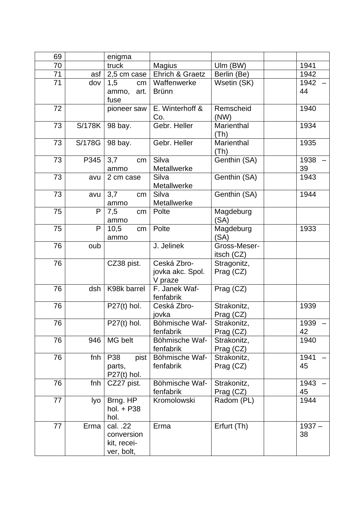| 69 |        | enigma                         |                             |                             |            |
|----|--------|--------------------------------|-----------------------------|-----------------------------|------------|
| 70 |        | truck                          | <b>Magius</b>               | Ulm (BW)                    | 1941       |
| 71 | asf    | 2,5 cm case                    | Ehrich & Graetz             | Berlin (Be)                 | 1942       |
| 71 | dov    | 1,5<br>cm                      | Waffenwerke                 | Wsetin (SK)                 | 1942       |
|    |        | ammo, art.                     | <b>Brünn</b>                |                             | 44         |
|    |        | fuse                           |                             |                             |            |
| 72 |        | pioneer saw                    | E. Winterhoff &<br>Co.      | Remscheid<br>(NW)           | 1940       |
| 73 | S/178K | 98 bay.                        | Gebr. Heller                | Marienthal<br>(Th)          | 1934       |
| 73 | S/178G | 98 bay.                        | Gebr. Heller                | Marienthal<br>(Th)          | 1935       |
| 73 | P345   | 3,7<br>cm <sub>2</sub><br>ammo | Silva<br>Metallwerke        | Genthin (SA)                | 1938<br>39 |
| 73 | avu    | 2 cm case                      | Silva                       | Genthin (SA)                | 1943       |
|    |        |                                | Metallwerke                 |                             |            |
| 73 | avu    | 3,7<br>cm                      | Silva                       | Genthin (SA)                | 1944       |
|    |        | ammo                           | Metallwerke                 |                             |            |
| 75 | P      | 7,5<br>cm                      | Polte                       | Magdeburg                   |            |
|    |        | ammo                           |                             | (SA)                        |            |
| 75 | P      | 10,5<br>cm                     | Polte                       | Magdeburg                   | 1933       |
|    |        | ammo                           |                             | (SA)                        |            |
| 76 | oub    |                                | J. Jelinek                  | Gross-Meser-                |            |
| 76 |        | CZ38 pist.                     | Ceská Zbro-                 | itsch $(CZ)$<br>Stragonitz, |            |
|    |        |                                | jovka akc. Spol.            | Prag (CZ)                   |            |
|    |        |                                | V praze                     |                             |            |
| 76 | dsh    | K98k barrel                    | F. Janek Waf-               | Prag (CZ)                   |            |
|    |        |                                | fenfabrik                   |                             |            |
| 76 |        | $P27(t)$ hol.                  | Ceská Zbro-                 | Strakonitz,                 | 1939       |
|    |        |                                | jovka                       | Prag (CZ)                   |            |
| 76 |        | $P27(t)$ hol.                  | Böhmische Waf-              | Strakonitz.                 | 1939       |
|    |        |                                | fenfabrik                   | Prag (CZ)                   | 42         |
| 76 | 946    | MG belt                        | Böhmische Waf-              | Strakonitz,                 | 1940       |
| 76 |        |                                | fenfabrik<br>Böhmische Waf- | Prag (CZ)                   | 1941       |
|    | fnh    | P38<br>pist<br>parts,          | fenfabrik                   | Strakonitz,<br>Prag (CZ)    | 45         |
|    |        | $P27(t)$ hol.                  |                             |                             |            |
| 76 | fnh    | CZ27 pist.                     | Böhmische Waf-              | Strakonitz,                 | 1943       |
|    |        |                                | fenfabrik                   | Prag (CZ)                   | 45         |
| 77 | Iyo    | Brng. HP                       | Kromolowski                 | Radom (PL)                  | 1944       |
|    |        | hol. + P38                     |                             |                             |            |
|    |        | hol.                           |                             |                             |            |
| 77 | Erma   | cal. .22                       | Erma                        | Erfurt (Th)                 | $1937 -$   |
|    |        | conversion                     |                             |                             | 38         |
|    |        | kit, recei-                    |                             |                             |            |
|    |        | ver, bolt,                     |                             |                             |            |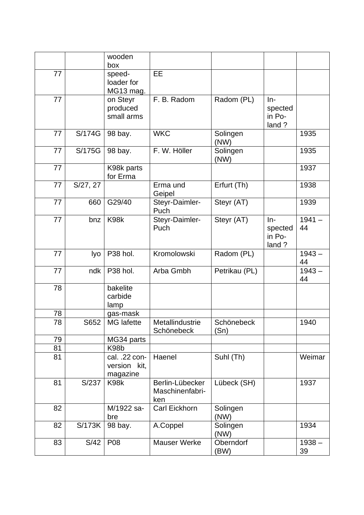|    |                       | wooden                                    |                                           |                    |                                     |                |
|----|-----------------------|-------------------------------------------|-------------------------------------------|--------------------|-------------------------------------|----------------|
|    |                       | box                                       |                                           |                    |                                     |                |
| 77 |                       | speed-<br>loader for<br>MG13 mag.         | <b>EE</b>                                 |                    |                                     |                |
| 77 |                       | on Steyr<br>produced<br>small arms        | F. B. Radom                               | Radom (PL)         | $In-$<br>spected<br>in Po-<br>land? |                |
| 77 | S/174G                | 98 bay.                                   | <b>WKC</b>                                | Solingen<br>(NW)   |                                     | 1935           |
| 77 | S/175G                | 98 bay.                                   | F. W. Höller                              | Solingen<br>(NW)   |                                     | 1935           |
| 77 |                       | K98k parts<br>for Erma                    |                                           |                    |                                     | 1937           |
| 77 | $\overline{S}/27, 27$ |                                           | Erma und<br>Geipel                        | Erfurt (Th)        |                                     | 1938           |
| 77 | 660                   | G29/40                                    | Steyr-Daimler-<br>Puch                    | Steyr (AT)         |                                     | 1939           |
| 77 | bnz                   | K98k                                      | Steyr-Daimler-<br>Puch                    | Steyr (AT)         | $In-$<br>spected<br>in Po-<br>land? | $1941 -$<br>44 |
| 77 | lyo                   | P38 hol.                                  | Kromolowski                               | Radom (PL)         |                                     | $1943 -$<br>44 |
| 77 | ndk                   | P38 hol.                                  | Arba Gmbh                                 | Petrikau (PL)      |                                     | $1943 -$<br>44 |
| 78 |                       | bakelite<br>carbide<br>lamp               |                                           |                    |                                     |                |
| 78 |                       | gas-mask                                  |                                           |                    |                                     |                |
| 78 | S652                  | <b>MG</b> lafette                         | Metallindustrie<br>Schönebeck             | Schönebeck<br>(Sn) |                                     | 1940           |
| 79 |                       | MG34 parts                                |                                           |                    |                                     |                |
| 81 |                       | K <sub>98</sub> b                         |                                           |                    |                                     |                |
| 81 |                       | cal. .22 con-<br>version kit,<br>magazine | Haenel                                    | Suhl (Th)          |                                     | Weimar         |
| 81 | S/237                 | K98k                                      | Berlin-Lübecker<br>Maschinenfabri-<br>ken | Lübeck (SH)        |                                     | 1937           |
| 82 |                       | M/1922 sa-<br>bre                         | Carl Eickhorn                             | Solingen<br>(NW)   |                                     |                |
| 82 | S/173K                | 98 bay.                                   | A.Coppel                                  | Solingen<br>(NW)   |                                     | 1934           |
| 83 | S/42                  | P08                                       | <b>Mauser Werke</b>                       | Oberndorf<br>(BW)  |                                     | $1938 -$<br>39 |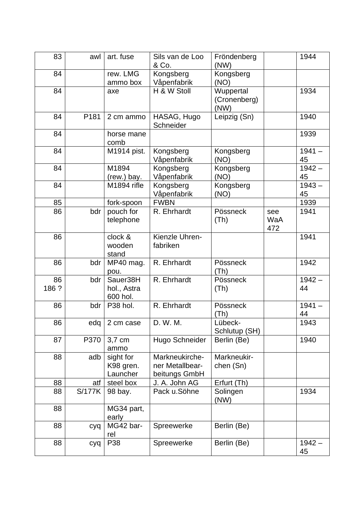| 83          | awl           | art. fuse                           | Sils van de Loo<br>& Co.                           | Fröndenberg<br>(NW)               |                   | 1944           |
|-------------|---------------|-------------------------------------|----------------------------------------------------|-----------------------------------|-------------------|----------------|
| 84          |               | rew. LMG<br>ammo box                | Kongsberg<br>Våpenfabrik                           | Kongsberg<br>(NO)                 |                   |                |
| 84          |               | axe                                 | H & W Stoll                                        | Wuppertal<br>(Cronenberg)<br>(NW) |                   | 1934           |
| 84          | P181          | 2 cm ammo                           | HASAG, Hugo<br>Schneider                           | Leipzig (Sn)                      |                   | 1940           |
| 84          |               | horse mane<br>comb                  |                                                    |                                   |                   | 1939           |
| 84          |               | M1914 pist.                         | Kongsberg<br>Våpenfabrik                           | Kongsberg<br>(NO)                 |                   | $1941 -$<br>45 |
| 84          |               | M1894<br>(rew.) bay.                | Kongsberg<br>Våpenfabrik                           | Kongsberg<br>(NO)                 |                   | $1942 -$<br>45 |
| 84          |               | M1894 rifle                         | Kongsberg<br>Våpenfabrik                           | Kongsberg<br>(NO)                 |                   | $1943 -$<br>45 |
| 85          |               | fork-spoon                          | <b>FWBN</b>                                        |                                   |                   | 1939           |
| 86          | bdr           | pouch for<br>telephone              | R. Ehrhardt                                        | Pössneck<br>(Th)                  | see<br>WaA<br>472 | 1941           |
| 86          |               | clock &<br>wooden<br>stand          | Kienzle Uhren-<br>fabriken                         |                                   |                   | 1941           |
| 86          | bdr           | MP40 mag.<br>pou.                   | R. Ehrhardt                                        | Pössneck<br>(Th)                  |                   | 1942           |
| 86<br>186 ? | bdr           | Sauer38H<br>hol., Astra<br>600 hol. | R. Ehrhardt                                        | Pössneck<br>(Th)                  |                   | $1942 -$<br>44 |
| 86          | bdr           | P38 hol.                            | R. Ehrhardt                                        | Pössneck<br>(Th)                  |                   | $1941 -$<br>44 |
| 86          | edq           | 2 cm case                           | D. W. M.                                           | Lübeck-<br>Schlutup (SH)          |                   | 1943           |
| 87          | P370          | 3,7 cm<br>ammo                      | Hugo Schneider                                     | Berlin (Be)                       |                   | 1940           |
| 88          | adb           | sight for<br>K98 gren.<br>Launcher  | Markneukirche-<br>ner Metallbear-<br>beitungs GmbH | Markneukir-<br>chen (Sn)          |                   |                |
| 88          | atf           | steel box                           | J. A. John AG                                      | Erfurt (Th)                       |                   |                |
| 88          | <b>S/177K</b> | 98 bay.                             | Pack u.Söhne                                       | Solingen<br>(NW)                  |                   | 1934           |
| 88          |               | MG34 part,<br>early                 |                                                    |                                   |                   |                |
| 88          | cyq           | MG42 bar-<br>rel                    | Spreewerke                                         | Berlin (Be)                       |                   |                |
| 88          | cyq           | P38                                 | Spreewerke                                         | Berlin (Be)                       |                   | $1942 -$<br>45 |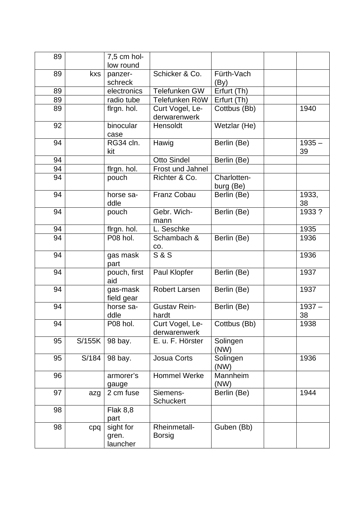| 89 |        | 7,5 cm hol-<br>low round       |                                 |                          |                |
|----|--------|--------------------------------|---------------------------------|--------------------------|----------------|
| 89 | kxs    | panzer-                        | Schicker & Co.                  | Fürth-Vach               |                |
|    |        | schreck                        |                                 | (By)                     |                |
| 89 |        | electronics                    | Telefunken GW                   | Erfurt (Th)              |                |
| 89 |        | radio tube                     | Telefunken RöW                  | Erfurt (Th)              |                |
| 89 |        | flrgn. hol.                    | Curt Vogel, Le-<br>derwarenwerk | Cottbus (Bb)             | 1940           |
| 92 |        | binocular<br>case              | Hensoldt                        | Wetzlar (He)             |                |
| 94 |        | RG34 cln.<br>kit               | Hawig                           | Berlin (Be)              | $1935 -$<br>39 |
| 94 |        |                                | <b>Otto Sindel</b>              | Berlin (Be)              |                |
| 94 |        | flrgn. hol.                    | Frost und Jahnel                |                          |                |
| 94 |        | pouch                          | Richter & Co.                   | Charlotten-<br>burg (Be) |                |
| 94 |        | horse sa-<br>ddle              | <b>Franz Cobau</b>              | Berlin (Be)              | 1933,<br>38    |
| 94 |        | pouch                          | Gebr. Wich-<br>mann             | Berlin (Be)              | 1933 ?         |
| 94 |        | flrgn. hol.                    | L. Seschke                      |                          | 1935           |
| 94 |        | P08 hol.                       | Schambach &<br>CO.              | Berlin (Be)              | 1936           |
| 94 |        | gas mask<br>part               | <b>S&amp;S</b>                  |                          | 1936           |
| 94 |        | pouch, first<br>aid            | Paul Klopfer                    | Berlin (Be)              | 1937           |
| 94 |        | gas-mask<br>field gear         | <b>Robert Larsen</b>            | Berlin (Be)              | 1937           |
| 94 |        | horse sa-<br>ddle              | <b>Gustav Rein-</b><br>hardt    | Berlin (Be)              | $1937 -$<br>38 |
| 94 |        | P08 hol.                       | Curt Vogel, Le-<br>derwarenwerk | Cottbus (Bb)             | 1938           |
| 95 | S/155K | 98 bay.                        | E. u. F. Hörster                | Solingen<br>(NW)         |                |
| 95 | S/184  | 98 bay.                        | Josua Corts                     | Solingen<br>(NW)         | 1936           |
| 96 |        | armorer's<br>gauge             | Hommel Werke                    | Mannheim<br>(NW)         |                |
| 97 | azg    | 2 cm fuse                      | Siemens-<br><b>Schuckert</b>    | Berlin (Be)              | 1944           |
| 98 |        | <b>Flak 8,8</b><br>part        |                                 |                          |                |
| 98 | cpq    | sight for<br>gren.<br>launcher | Rheinmetall-<br><b>Borsig</b>   | Guben (Bb)               |                |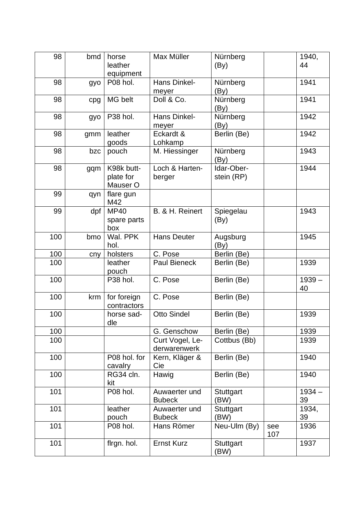| 98  | bmd | horse<br>leather<br>equipment       | Max Müller                      | Nürnberg<br>(By)         |            | 1940,<br>44    |
|-----|-----|-------------------------------------|---------------------------------|--------------------------|------------|----------------|
| 98  | gyo | P08 hol.                            | <b>Hans Dinkel-</b><br>meyer    | Nürnberg<br>(By)         |            | 1941           |
| 98  | cpg | MG belt                             | Doll & Co.                      | Nürnberg<br>(By)         |            | 1941           |
| 98  | gyo | P38 hol.                            | Hans Dinkel-<br>meyer           | Nürnberg<br>(By)         |            | 1942           |
| 98  | gmm | leather<br>goods                    | Eckardt &<br>Lohkamp            | Berlin (Be)              |            | 1942           |
| 98  | bzc | pouch                               | M. Hiessinger                   | Nürnberg<br>(By)         |            | 1943           |
| 98  | gqm | K98k butt-<br>plate for<br>Mauser O | Loch & Harten-<br>berger        | Idar-Ober-<br>stein (RP) |            | 1944           |
| 99  | qyn | flare gun<br>M42                    |                                 |                          |            |                |
| 99  | dpf | <b>MP40</b><br>spare parts<br>box   | B. & H. Reinert                 | Spiegelau<br>(By)        |            | 1943           |
| 100 | bmo | Wal. PPK<br>hol.                    | <b>Hans Deuter</b>              | Augsburg<br>(By)         |            | 1945           |
| 100 | cny | holsters                            | C. Pose                         | Berlin (Be)              |            |                |
| 100 |     | leather<br>pouch                    | <b>Paul Bieneck</b>             | Berlin (Be)              |            | 1939           |
| 100 |     | P38 hol.                            | C. Pose                         | Berlin (Be)              |            | $1939 -$<br>40 |
| 100 | krm | for foreign<br>contractors          | C. Pose                         | Berlin (Be)              |            |                |
| 100 |     | horse sad-<br>dle                   | <b>Otto Sindel</b>              | Berlin (Be)              |            | 1939           |
| 100 |     |                                     | G. Genschow                     | Berlin (Be)              |            | 1939           |
| 100 |     |                                     | Curt Vogel, Le-<br>derwarenwerk | Cottbus (Bb)             |            | 1939           |
| 100 |     | P08 hol. for<br>cavalry             | Kern, Kläger &<br>Cie           | Berlin (Be)              |            | 1940           |
| 100 |     | RG34 cln.<br>kit                    | Hawig                           | Berlin (Be)              |            | 1940           |
| 101 |     | P08 hol.                            | Auwaerter und<br><b>Bubeck</b>  | <b>Stuttgart</b><br>(BW) |            | $1934 -$<br>39 |
| 101 |     | leather<br>pouch                    | Auwaerter und<br><b>Bubeck</b>  | Stuttgart<br>(BW)        |            | 1934,<br>39    |
| 101 |     | P08 hol.                            | Hans Römer                      | Neu-Ulm (By)             | see<br>107 | 1936           |
| 101 |     | flrgn. hol.                         | <b>Ernst Kurz</b>               | Stuttgart<br>(BW)        |            | 1937           |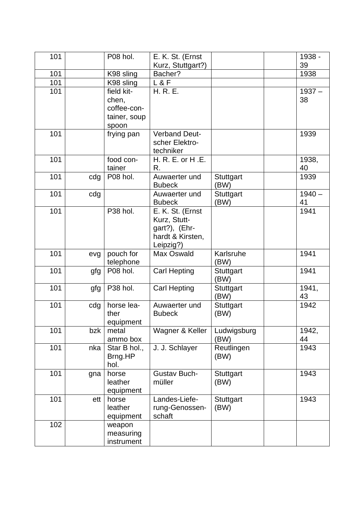| 101 |     | P08 hol.                                                    | E. K. St. (Ernst                                                                   |                          | 1938 -         |
|-----|-----|-------------------------------------------------------------|------------------------------------------------------------------------------------|--------------------------|----------------|
|     |     |                                                             | Kurz, Stuttgart?)                                                                  |                          | 39             |
| 101 |     | K98 sling                                                   | Bacher?                                                                            |                          | 1938           |
| 101 |     | K98 sling                                                   | L & F                                                                              |                          |                |
| 101 |     | field kit-<br>chen,<br>coffee-con-<br>tainer, soup<br>spoon | H. R. E.                                                                           |                          | $1937 -$<br>38 |
| 101 |     | frying pan                                                  | <b>Verband Deut-</b><br>scher Elektro-<br>techniker                                |                          | 1939           |
| 101 |     | food con-<br>tainer                                         | H. R. E. or H.E.<br>R.                                                             |                          | 1938,<br>40    |
| 101 | cdg | P08 hol.                                                    | Auwaerter und<br><b>Bubeck</b>                                                     | Stuttgart<br>(BW)        | 1939           |
| 101 | cdg |                                                             | Auwaerter und<br><b>Bubeck</b>                                                     | Stuttgart<br>(BW)        | $1940 -$<br>41 |
| 101 |     | P38 hol.                                                    | E. K. St. (Ernst<br>Kurz, Stutt-<br>gart?), (Ehr-<br>hardt & Kirsten,<br>Leipzig?) |                          | 1941           |
| 101 | evg | pouch for<br>telephone                                      | Max Oswald                                                                         | Karlsruhe<br>(BW)        | 1941           |
| 101 | gfg | P08 hol.                                                    | <b>Carl Hepting</b>                                                                | Stuttgart<br>(BW)        | 1941           |
| 101 | gfg | P38 hol.                                                    | <b>Carl Hepting</b>                                                                | Stuttgart<br>(BW)        | 1941,<br>43    |
| 101 | cdg | horse lea-<br>ther<br>equipment                             | Auwaerter und<br><b>Bubeck</b>                                                     | <b>Stuttgart</b><br>(BW) | 1942           |
| 101 | bzk | metal<br>ammo box                                           | Wagner & Keller                                                                    | Ludwigsburg<br>(BW)      | 1942,<br>44    |
| 101 | nka | Star B hol.,<br>Brng.HP<br>hol.                             | J. J. Schlayer                                                                     | Reutlingen<br>(BW)       | 1943           |
| 101 | gna | horse<br>leather<br>equipment                               | <b>Gustav Buch-</b><br>müller                                                      | Stuttgart<br>(BW)        | 1943           |
| 101 | ett | horse<br>leather<br>equipment                               | Landes-Liefe-<br>rung-Genossen-<br>schaft                                          | Stuttgart<br>(BW)        | 1943           |
| 102 |     | weapon<br>measuring<br>instrument                           |                                                                                    |                          |                |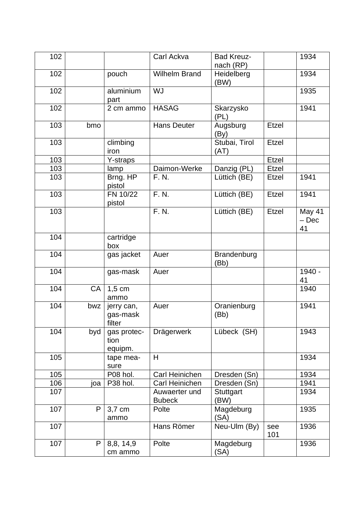| 102 |              |                                  | Carl Ackva                     | <b>Bad Kreuz-</b><br>nach (RP) |              | 1934                    |
|-----|--------------|----------------------------------|--------------------------------|--------------------------------|--------------|-------------------------|
| 102 |              | pouch                            | <b>Wilhelm Brand</b>           | Heidelberg<br>(BW)             |              | 1934                    |
| 102 |              | aluminium<br>part                | <b>WJ</b>                      |                                |              | 1935                    |
| 102 |              | 2 cm ammo                        | <b>HASAG</b>                   | Skarzysko<br>(PL)              |              | 1941                    |
| 103 | bmo          |                                  | <b>Hans Deuter</b>             | Augsburg<br>(By)               | <b>Etzel</b> |                         |
| 103 |              | climbing<br>iron                 |                                | Stubai, Tirol<br>(AT)          | Etzel        |                         |
| 103 |              | Y-straps                         |                                |                                | Etzel        |                         |
| 103 |              | lamp                             | Daimon-Werke                   | Danzig (PL)                    | <b>Etzel</b> |                         |
| 103 |              | Brng. HP<br>pistol               | F. N.                          | Lüttich (BE)                   | Etzel        | 1941                    |
| 103 |              | FN 10/22<br>pistol               | F. N.                          | Lüttich (BE)                   | Etzel        | 1941                    |
| 103 |              |                                  | F. N.                          | Lüttich (BE)                   | Etzel        | May 41<br>$-$ Dec<br>41 |
| 104 |              | cartridge<br>box                 |                                |                                |              |                         |
| 104 |              | gas jacket                       | Auer                           | Brandenburg<br>(Bb)            |              |                         |
| 104 |              | gas-mask                         | Auer                           |                                |              | 1940 -<br>41            |
| 104 | CA           | $1,5$ cm<br>ammo                 |                                |                                |              | 1940                    |
| 104 | bwz          | jerry can,<br>gas-mask<br>filter | Auer                           | Oranienburg<br>(Bb)            |              | 1941                    |
| 104 | byd          | gas protec-<br>tion<br>equipm.   | Drägerwerk                     | Lübeck (SH)                    |              | 1943                    |
| 105 |              | tape mea-<br>sure                | H                              |                                |              | 1934                    |
| 105 |              | P08 hol.                         | Carl Heinichen                 | Dresden (Sn)                   |              | 1934                    |
| 106 | ioa          | P38 hol.                         | Carl Heinichen                 | Dresden (Sn)                   |              | 1941                    |
| 107 |              |                                  | Auwaerter und<br><b>Bubeck</b> | Stuttgart<br>(BW)              |              | 1934                    |
| 107 | P            | 3,7 cm<br>ammo                   | Polte                          | Magdeburg<br>(SA)              |              | 1935                    |
| 107 |              |                                  | Hans Römer                     | Neu-Ulm (By)                   | see<br>101   | 1936                    |
| 107 | $\mathsf{P}$ | 8,8, 14,9<br>cm ammo             | Polte                          | Magdeburg<br>(SA)              |              | 1936                    |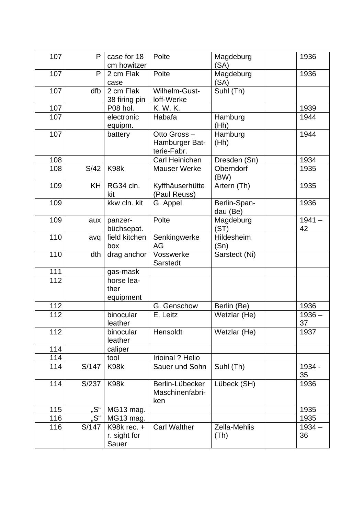| 107 | P         | case for 18<br>cm howitzer                | Polte                                        | Magdeburg<br>(SA)        | 1936           |
|-----|-----------|-------------------------------------------|----------------------------------------------|--------------------------|----------------|
| 107 | P         | 2 cm Flak<br>case                         | Polte                                        | Magdeburg<br>(SA)        | 1936           |
| 107 | dfb       | 2 cm Flak<br>38 firing pin                | Wilhelm-Gust-<br>loff-Werke                  | Suhl (Th)                |                |
| 107 |           | P08 hol.                                  | K. W. K.                                     |                          | 1939           |
| 107 |           | electronic<br>equipm.                     | Habafa                                       | Hamburg<br>(Hh)          | 1944           |
| 107 |           | battery                                   | Otto Gross-<br>Hamburger Bat-<br>terie-Fabr. | Hamburg<br>(Hh)          | 1944           |
| 108 |           |                                           | Carl Heinichen                               | Dresden (Sn)             | 1934           |
| 108 | S/42      | K98k                                      | <b>Mauser Werke</b>                          | Oberndorf<br>(BW)        | 1935           |
| 109 | <b>KH</b> | RG34 cln.<br>kit                          | Kyffhäuserhütte<br>(Paul Reuss)              | Artern (Th)              | 1935           |
| 109 |           | kkw cln. kit                              | G. Appel                                     | Berlin-Span-<br>dau (Be) | 1936           |
| 109 | aux       | panzer-<br>büchsepat.                     | Polte                                        | Magdeburg<br>(ST)        | $1941 -$<br>42 |
| 110 | avq       | field kitchen<br>box                      | Senkingwerke<br>AG                           | Hildesheim<br>(Sn)       |                |
| 110 | dth       | drag anchor                               | Vosswerke<br>Sarstedt                        | Sarstedt (Ni)            |                |
| 111 |           | gas-mask                                  |                                              |                          |                |
| 112 |           | horse lea-<br>ther<br>equipment           |                                              |                          |                |
| 112 |           |                                           | G. Genschow                                  | Berlin (Be)              | 1936           |
| 112 |           | binocular<br>leather                      | E. Leitz                                     | Wetzlar (He)             | $1936 -$<br>37 |
| 112 |           | binocular<br>leather                      | Hensoldt                                     | Wetzlar (He)             | 1937           |
| 114 |           | caliper                                   |                                              |                          |                |
| 114 |           | tool                                      | <b>Irioinal ? Helio</b>                      |                          |                |
| 114 | S/147     | K98k                                      | Sauer und Sohn                               | Suhl (Th)                | 1934 -<br>35   |
| 114 | S/237     | K98k                                      | Berlin-Lübecker<br>Maschinenfabri-<br>ken    | Lübeck (SH)              | 1936           |
| 115 | "S"       | MG13 mag.                                 |                                              |                          | 1935           |
| 116 | "S"       | MG13 mag.                                 |                                              |                          | 1935           |
| 116 | S/147     | K98 $k$ rec. $+$<br>r. sight for<br>Sauer | <b>Carl Walther</b>                          | Zella-Mehlis<br>(Th)     | $1934 -$<br>36 |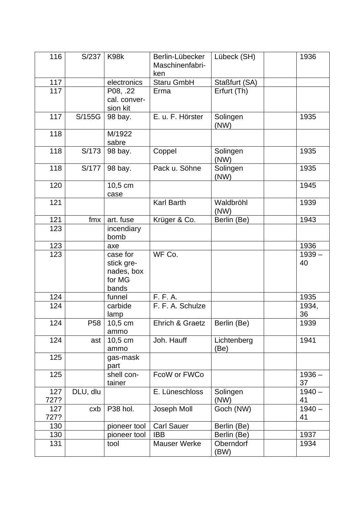| 116         | S/237           | K98k                                                    | Berlin-Lübecker<br>Maschinenfabri-<br>ken | Lübeck (SH)         | 1936           |
|-------------|-----------------|---------------------------------------------------------|-------------------------------------------|---------------------|----------------|
| 117         |                 | electronics                                             | Staru GmbH                                | Staßfurt (SA)       |                |
| 117         |                 | P08, .22<br>cal. conver-<br>sion kit                    | Erma                                      | Erfurt (Th)         |                |
| 117         | S/155G          | 98 bay.                                                 | E. u. F. Hörster                          | Solingen<br>(NW)    | 1935           |
| 118         |                 | M/1922<br>sabre                                         |                                           |                     |                |
| 118         | S/173           | 98 bay.                                                 | Coppel                                    | Solingen<br>(NW)    | 1935           |
| 118         | S/177           | 98 bay.                                                 | Pack u. Söhne                             | Solingen<br>(NW)    | 1935           |
| 120         |                 | 10,5 cm<br>case                                         |                                           |                     | 1945           |
| 121         |                 |                                                         | <b>Karl Barth</b>                         | Waldbröhl<br>(NW)   | 1939           |
| 121         | fmx             | art. fuse                                               | Krüger & Co.                              | Berlin (Be)         | 1943           |
| 123         |                 | incendiary<br>bomb                                      |                                           |                     |                |
| 123         |                 | axe                                                     |                                           |                     | 1936           |
| 123         |                 | case for<br>stick gre-<br>nades, box<br>for MG<br>bands | WF Co.                                    |                     | $1939 -$<br>40 |
| 124         |                 | funnel                                                  | F. F. A.                                  |                     | 1935           |
| 124         |                 | carbide<br>lamp                                         | F. F. A. Schulze                          |                     | 1934,<br>36    |
| 124         | P <sub>58</sub> | $10,5$ cm<br>ammo                                       | Ehrich & Graetz                           | Berlin (Be)         | 1939           |
| 124         | ast             | 10,5 cm<br>ammo                                         | Joh. Hauff                                | Lichtenberg<br>(Be) | 1941           |
| 125         |                 | gas-mask<br>part                                        |                                           |                     |                |
| 125         |                 | shell con-<br>tainer                                    | FcoW or FWCo                              |                     | $1936 -$<br>37 |
| 127<br>727? | DLU, dlu        |                                                         | E. Lüneschloss                            | Solingen<br>(NW)    | $1940 -$<br>41 |
| 127<br>727? | cxb             | P38 hol.                                                | Joseph Moll                               | Goch (NW)           | $1940 -$<br>41 |
| 130         |                 | pioneer tool                                            | <b>Carl Sauer</b>                         | Berlin (Be)         |                |
| 130         |                 | pioneer tool                                            | <b>IBB</b>                                | Berlin (Be)         | 1937           |
| 131         |                 | tool                                                    | <b>Mauser Werke</b>                       | Oberndorf<br>(BW)   | 1934           |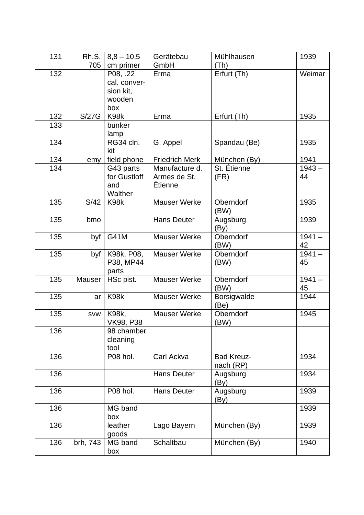| 131 | Rh.S.<br>705 | $8,8 - 10,5$<br>cm primer                              | Gerätebau<br>GmbH                         | Mühlhausen<br>(Th)             | 1939           |
|-----|--------------|--------------------------------------------------------|-------------------------------------------|--------------------------------|----------------|
| 132 |              | P08, .22<br>cal. conver-<br>sion kit,<br>wooden<br>box | Erma                                      | Erfurt (Th)                    | Weimar         |
| 132 | S/27G        | K98k                                                   | Erma                                      | Erfurt (Th)                    | 1935           |
| 133 |              | bunker<br>lamp                                         |                                           |                                |                |
| 134 |              | RG34 cln.<br>kit                                       | G. Appel                                  | Spandau (Be)                   | 1935           |
| 134 | emy          | field phone                                            | <b>Friedrich Merk</b>                     | München (By)                   | 1941           |
| 134 |              | G43 parts<br>for Gustloff<br>and<br>Walther            | Manufacture d.<br>Armes de St.<br>Étienne | St. Étienne<br>(FR)            | $1943 -$<br>44 |
| 135 | S/42         | K98k                                                   | <b>Mauser Werke</b>                       | Oberndorf<br>(BW)              | 1935           |
| 135 | bmo          |                                                        | <b>Hans Deuter</b>                        | Augsburg<br>(By)               | 1939           |
| 135 | byf          | G41M                                                   | <b>Mauser Werke</b>                       | Oberndorf<br>(BW)              | $1941 -$<br>42 |
| 135 | byf          | K98k, P08,<br>P38, MP44<br>parts                       | <b>Mauser Werke</b>                       | Oberndorf<br>(BW)              | $1941 -$<br>45 |
| 135 | Mauser       | HSc pist.                                              | <b>Mauser Werke</b>                       | Oberndorf<br>(BW)              | $1941 -$<br>45 |
| 135 | ar           | K98k                                                   | <b>Mauser Werke</b>                       | Borsigwalde<br>(Be)            | 1944           |
| 135 | <b>SVW</b>   | <b>K98k,</b><br><b>VK98, P38</b>                       | <b>Mauser Werke</b>                       | Oberndorf<br>(BW)              | 1945           |
| 136 |              | 98 chamber<br>cleaning<br>tool                         |                                           |                                |                |
| 136 |              | P08 hol.                                               | Carl Ackva                                | <b>Bad Kreuz-</b><br>nach (RP) | 1934           |
| 136 |              |                                                        | <b>Hans Deuter</b>                        | Augsburg<br>(By)               | 1934           |
| 136 |              | P08 hol.                                               | <b>Hans Deuter</b>                        | Augsburg<br>(By)               | 1939           |
| 136 |              | MG band<br>box                                         |                                           |                                | 1939           |
| 136 |              | leather<br>goods                                       | Lago Bayern                               | München (By)                   | 1939           |
| 136 | brh, 743     | MG band<br>box                                         | Schaltbau                                 | München (By)                   | 1940           |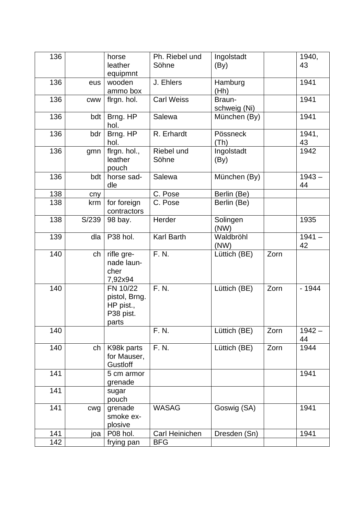| 136 |            | horse         | Ph. Riebel und    | Ingolstadt   |      | 1940,    |
|-----|------------|---------------|-------------------|--------------|------|----------|
|     |            | leather       | Söhne             | (By)         |      | 43       |
|     |            | equipmnt      |                   |              |      |          |
| 136 | eus        | wooden        | J. Ehlers         | Hamburg      |      | 1941     |
|     |            | ammo box      |                   | (Hh)         |      |          |
| 136 | <b>CWW</b> | firgn. hol.   | <b>Carl Weiss</b> | Braun-       |      | 1941     |
|     |            |               |                   | schweig (Ni) |      |          |
| 136 | bdt        | Brng. HP      | Salewa            | München (By) |      | 1941     |
|     |            | hol.          |                   |              |      |          |
| 136 | bdr        | Brng. HP      | R. Erhardt        | Pössneck     |      | 1941,    |
|     |            | hol.          |                   | (Th)         |      | 43       |
| 136 | gmn        | flrgn. hol.,  | Riebel und        | Ingolstadt   |      | 1942     |
|     |            | leather       | Söhne             | (By)         |      |          |
|     |            | pouch         |                   |              |      |          |
| 136 | bdt        | horse sad-    | Salewa            | München (By) |      | $1943 -$ |
|     |            | dle           |                   |              |      | 44       |
| 138 | cny        |               | C. Pose           | Berlin (Be)  |      |          |
| 138 | krm        | for foreign   | C. Pose           | Berlin (Be)  |      |          |
|     |            | contractors   |                   |              |      |          |
| 138 | S/239      | 98 bay.       | Herder            | Solingen     |      | 1935     |
|     |            |               |                   | (NW)         |      |          |
| 139 | dla        | P38 hol.      | <b>Karl Barth</b> | Waldbröhl    |      | $1941 -$ |
|     |            |               |                   | (NW)         |      | 42       |
| 140 | ch         | rifle gre-    | F. N.             | Lüttich (BE) | Zorn |          |
|     |            | nade laun-    |                   |              |      |          |
|     |            | cher          |                   |              |      |          |
|     |            | 7,92x94       |                   |              |      |          |
| 140 |            | FN 10/22      | F. N.             | Lüttich (BE) | Zorn | $-1944$  |
|     |            | pistol, Brng. |                   |              |      |          |
|     |            | HP pist.,     |                   |              |      |          |
|     |            | P38 pist.     |                   |              |      |          |
|     |            | parts         |                   |              |      |          |
| 140 |            |               | F. N.             | Lüttich (BE) | Zorn | $1942 -$ |
|     |            |               |                   |              |      | 44       |
| 140 | ch         | K98k parts    | F. N.             | Lüttich (BE) | Zorn | 1944     |
|     |            | for Mauser,   |                   |              |      |          |
|     |            | Gustloff      |                   |              |      |          |
| 141 |            | 5 cm armor    |                   |              |      | 1941     |
|     |            | grenade       |                   |              |      |          |
| 141 |            | sugar         |                   |              |      |          |
|     |            | pouch         |                   |              |      |          |
| 141 | cwg        | grenade       | <b>WASAG</b>      | Goswig (SA)  |      | 1941     |
|     |            | smoke ex-     |                   |              |      |          |
|     |            | plosive       |                   |              |      |          |
| 141 | ioa        | P08 hol.      | Carl Heinichen    | Dresden (Sn) |      | 1941     |
| 142 |            | frying pan    | <b>BFG</b>        |              |      |          |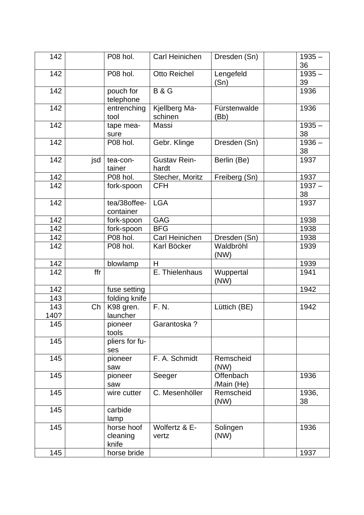| 142         |     | P08 hol.                        | Carl Heinichen               | Dresden (Sn)            | $1935 -$<br>36 |
|-------------|-----|---------------------------------|------------------------------|-------------------------|----------------|
| 142         |     | P08 hol.                        | <b>Otto Reichel</b>          | Lengefeld<br>(Sn)       | $1935 -$<br>39 |
| 142         |     | pouch for                       | <b>B&amp;G</b>               |                         | 1936           |
|             |     | telephone                       |                              |                         |                |
| 142         |     | entrenching<br>tool             | Kjellberg Ma-<br>schinen     | Fürstenwalde<br>(Bb)    | 1936           |
| 142         |     | tape mea-<br>sure               | Massi                        |                         | $1935 -$<br>38 |
| 142         |     | P08 hol.                        | Gebr. Klinge                 | Dresden (Sn)            | $1936 -$<br>38 |
| 142         | jsd | tea-con-<br>tainer              | <b>Gustav Rein-</b><br>hardt | Berlin (Be)             | 1937           |
| 142         |     | P08 hol.                        | Stecher, Moritz              | Freiberg (Sn)           | 1937           |
| 142         |     | fork-spoon                      | <b>CFH</b>                   |                         | $1937 -$<br>38 |
| 142         |     | tea/38offee-<br>container       | <b>LGA</b>                   |                         | 1937           |
| 142         |     | fork-spoon                      | <b>GAG</b>                   |                         | 1938           |
| 142         |     | fork-spoon                      | <b>BFG</b>                   |                         | 1938           |
| 142         |     | P08 hol.                        | Carl Heinichen               | Dresden (Sn)            | 1938           |
| 142         |     | P08 hol.                        | Karl Böcker                  | Waldbröhl<br>(NW)       | 1939           |
| 142         |     | blowlamp                        | H                            |                         | 1939           |
| 142         | ffr |                                 | E. Thielenhaus               | Wuppertal<br>(NW)       | 1941           |
| 142         |     | fuse setting                    |                              |                         | 1942           |
| 143         |     | folding knife                   |                              |                         |                |
| 143<br>140? | Ch  | K98 gren.<br>launcher           | F. N.                        | Lüttich (BE)            | 1942           |
| 145         |     | pioneer<br>tools                | Garantoska ?                 |                         |                |
| 145         |     | pliers for fu-<br>ses           |                              |                         |                |
| 145         |     | pioneer<br>saw                  | F. A. Schmidt                | Remscheid<br>(NW)       |                |
| 145         |     | pioneer<br>saw                  | Seeger                       | Offenbach<br>/Main (He) | 1936           |
| 145         |     | wire cutter                     | C. Mesenhöller               | Remscheid<br>(NW)       | 1936,<br>38    |
| 145         |     | carbide<br>lamp                 |                              |                         |                |
| 145         |     | horse hoof<br>cleaning<br>knife | Wolfertz & E-<br>vertz       | Solingen<br>(NW)        | 1936           |
| 145         |     | horse bride                     |                              |                         | 1937           |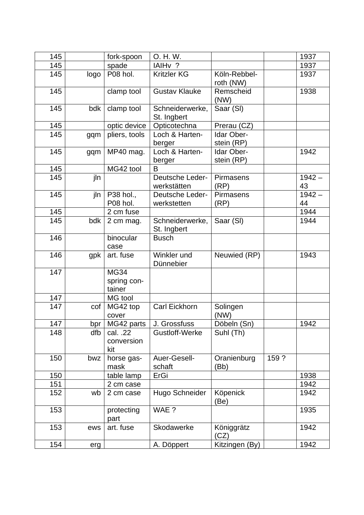| 145 |      | fork-spoon                           | O. H. W.                       |                           |       | 1937           |
|-----|------|--------------------------------------|--------------------------------|---------------------------|-------|----------------|
| 145 |      | spade                                | IAIH <sub>v</sub> ?            |                           |       | 1937           |
| 145 | logo | P08 hol.                             | <b>Kritzler KG</b>             | Köln-Rebbel-<br>roth (NW) |       | 1937           |
| 145 |      | clamp tool                           | <b>Gustav Klauke</b>           | Remscheid<br>(NW)         |       | 1938           |
| 145 | bdk  | clamp tool                           | Schneiderwerke,<br>St. Ingbert | Saar (SI)                 |       |                |
| 145 |      | optic device                         | Opticotechna                   | Prerau (CZ)               |       |                |
| 145 | gqm  | pliers, tools                        | Loch & Harten-<br>berger       | Idar Ober-<br>stein (RP)  |       |                |
| 145 | gqm  | MP40 mag.                            | Loch & Harten-<br>berger       | Idar Ober-<br>stein (RP)  |       | 1942           |
| 145 |      | MG42 tool                            | B                              |                           |       |                |
| 145 | jln  |                                      | Deutsche Leder-<br>werkstätten | <b>Pirmasens</b><br>(RP)  |       | $1942 -$<br>43 |
| 145 | jln  | P38 hol.,<br>P08 hol.                | Deutsche Leder-<br>werkstetten | <b>Pirmasens</b><br>(RP)  |       | $1942 -$<br>44 |
| 145 |      | 2 cm fuse                            |                                |                           |       | 1944           |
| 145 | bdk  | 2 cm mag.                            | Schneiderwerke,<br>St. Ingbert | Saar (SI)                 |       | 1944           |
| 146 |      | binocular<br>case                    | <b>Busch</b>                   |                           |       |                |
| 146 | gpk  | art. fuse                            | Winkler und<br>Dünnebier       | Neuwied (RP)              |       | 1943           |
| 147 |      | <b>MG34</b><br>spring con-<br>tainer |                                |                           |       |                |
| 147 |      | MG tool                              |                                |                           |       |                |
| 147 | cof  | MG42 top<br>cover                    | Carl Eickhorn                  | Solingen<br>(NW)          |       |                |
| 147 | bpr  | MG42 parts                           | J. Grossfuss                   | Döbeln (Sn)               |       | 1942           |
| 148 | dfb  | cal. .22<br>conversion<br>kit        | Gustloff-Werke                 | Suhl (Th)                 |       |                |
| 150 | bwz  | horse gas-<br>mask                   | Auer-Gesell-<br>schaft         | Oranienburg<br>(Bb)       | 159 ? |                |
| 150 |      | table lamp                           | ErGi                           |                           |       | 1938           |
| 151 |      | 2 cm case                            |                                |                           |       | 1942           |
| 152 | wb   | 2 cm case                            | Hugo Schneider                 | Köpenick<br>(Be)          |       | 1942           |
| 153 |      | protecting<br>part                   | WAE ?                          |                           |       | 1935           |
| 153 | ews  | art. fuse                            | Skodawerke                     | Königgrätz<br>(CZ)        |       | 1942           |
| 154 | erg  |                                      | A. Döppert                     | Kitzingen (By)            |       | 1942           |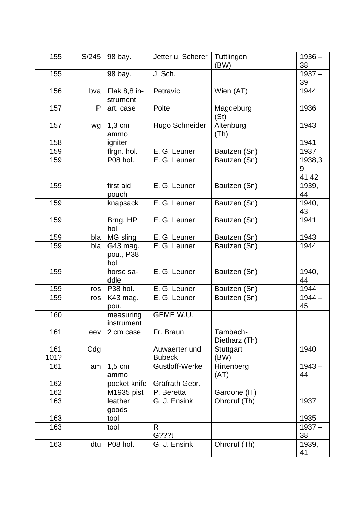| 155         | S/245 | 98 bay.                       | Jetter u. Scherer              | Tuttlingen<br>(BW)        | $1936 -$<br>38        |
|-------------|-------|-------------------------------|--------------------------------|---------------------------|-----------------------|
| 155         |       | 98 bay.                       | J. Sch.                        |                           | $1937 -$<br>39        |
| 156         | bva   | Flak 8,8 in-<br>strument      | Petravic                       | Wien (AT)                 | 1944                  |
| 157         | P     | art. case                     | Polte                          | Magdeburg<br>(St)         | 1936                  |
| 157         | wg    | $1,3$ cm<br>ammo              | Hugo Schneider                 | Altenburg<br>(Th)         | 1943                  |
| 158         |       | igniter                       |                                |                           | 1941                  |
| 159         |       | flrgn. hol.                   | E. G. Leuner                   | Bautzen (Sn)              | 1937                  |
| 159         |       | P08 hol.                      | E. G. Leuner                   | Bautzen (Sn)              | 1938,3<br>9,<br>41,42 |
| 159         |       | first aid<br>pouch            | E. G. Leuner                   | Bautzen (Sn)              | 1939,<br>44           |
| 159         |       | knapsack                      | E. G. Leuner                   | Bautzen (Sn)              | 1940,<br>43           |
| 159         |       | Brng. HP<br>hol.              | E. G. Leuner                   | Bautzen (Sn)              | 1941                  |
| 159         | bla   | MG sling                      | E. G. Leuner                   | Bautzen (Sn)              | 1943                  |
| 159         | bla   | G43 mag.<br>pou., P38<br>hol. | E. G. Leuner                   | Bautzen (Sn)              | 1944                  |
| 159         |       | horse sa-<br>ddle             | E. G. Leuner                   | Bautzen (Sn)              | 1940,<br>44           |
| 159         | ros   | P38 hol.                      | E. G. Leuner                   | Bautzen (Sn)              | 1944                  |
| 159         | ros   | K43 mag.<br>pou.              | E. G. Leuner                   | Bautzen (Sn)              | $1944 -$<br>45        |
| 160         |       | measuring<br>instrument       | GEME W.U.                      |                           |                       |
| 161         | eev   | 2 cm case                     | Fr. Braun                      | Tambach-<br>Dietharz (Th) |                       |
| 161<br>101? | Cdg   |                               | Auwaerter und<br><b>Bubeck</b> | Stuttgart<br>(BW)         | 1940                  |
| 161         | am    | $1,5$ cm<br>ammo              | Gustloff-Werke                 | Hirtenberg<br>(AT)        | $1943 -$<br>44        |
| 162         |       | pocket knife                  | Gräfrath Gebr.                 |                           |                       |
| 162         |       | M1935 pist                    | P. Beretta                     | Gardone (IT)              |                       |
| 163         |       | leather<br>goods              | G. J. Ensink                   | Ohrdruf (Th)              | 1937                  |
| 163         |       | tool                          |                                |                           | 1935                  |
| 163         |       | tool                          | R<br>G???t                     |                           | $1937 -$<br>38        |
| 163         | dtu   | P08 hol.                      | G. J. Ensink                   | Ohrdruf (Th)              | 1939,<br>41           |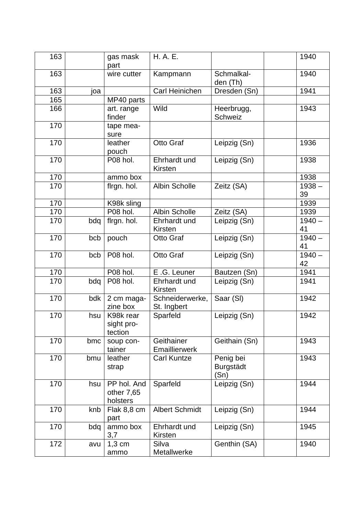| 163 |     | gas mask<br>part                      | H. A. E.                       |                                       | 1940           |
|-----|-----|---------------------------------------|--------------------------------|---------------------------------------|----------------|
| 163 |     | wire cutter                           | Kampmann                       | Schmalkal-<br>den (Th)                | 1940           |
| 163 | ioa |                                       | Carl Heinichen                 | Dresden (Sn)                          | 1941           |
| 165 |     | MP40 parts                            |                                |                                       |                |
| 166 |     | art. range<br>finder                  | Wild                           | Heerbrugg,<br>Schweiz                 | 1943           |
| 170 |     | tape mea-<br>sure                     |                                |                                       |                |
| 170 |     | leather<br>pouch                      | Otto Graf                      | Leipzig (Sn)                          | 1936           |
| 170 |     | P08 hol.                              | Ehrhardt und<br>Kirsten        | Leipzig (Sn)                          | 1938           |
| 170 |     | ammo box                              |                                |                                       | 1938           |
| 170 |     | firgn. hol.                           | <b>Albin Scholle</b>           | Zeitz (SA)                            | $1938 -$<br>39 |
| 170 |     | K98k sling                            |                                |                                       | 1939           |
| 170 |     | P08 hol.                              | <b>Albin Scholle</b>           | Zeitz (SA)                            | 1939           |
| 170 | bdq | firgn. hol.                           | Ehrhardt und<br><b>Kirsten</b> | Leipzig (Sn)                          | $1940 -$<br>41 |
| 170 | bcb | pouch                                 | Otto Graf                      | Leipzig (Sn)                          | $1940 -$<br>41 |
| 170 | bcb | P08 hol.                              | Otto Graf                      | Leipzig (Sn)                          | $1940 -$<br>42 |
| 170 |     | P08 hol.                              | E.G. Leuner                    | Bautzen (Sn)                          | 1941           |
| 170 | bdq | P08 hol.                              | Ehrhardt und<br>Kirsten        | Leipzig (Sn)                          | 1941           |
| 170 | bdk | 2 cm maga-<br>zine box                | Schneiderwerke,<br>St. Ingbert | Saar (SI)                             | 1942           |
| 170 | hsu | K98k rear<br>sight pro-<br>tection    | Sparfeld                       | Leipzig (Sn)                          | 1942           |
| 170 | bmc | soup con-<br>tainer                   | Geithainer<br>Emaillierwerk    | Geithain (Sn)                         | 1943           |
| 170 | bmu | leather<br>strap                      | <b>Carl Kuntze</b>             | Penig bei<br><b>Burgstädt</b><br>(Sn) | 1943           |
| 170 | hsu | PP hol. And<br>other 7,65<br>holsters | Sparfeld                       | Leipzig (Sn)                          | 1944           |
| 170 | knb | Flak 8,8 cm<br>part                   | <b>Albert Schmidt</b>          | Leipzig (Sn)                          | 1944           |
| 170 | bdq | ammo box<br>3,7                       | Ehrhardt und<br>Kirsten        | Leipzig (Sn)                          | 1945           |
| 172 | avu | $1,3$ cm<br>ammo                      | Silva<br>Metallwerke           | Genthin (SA)                          | 1940           |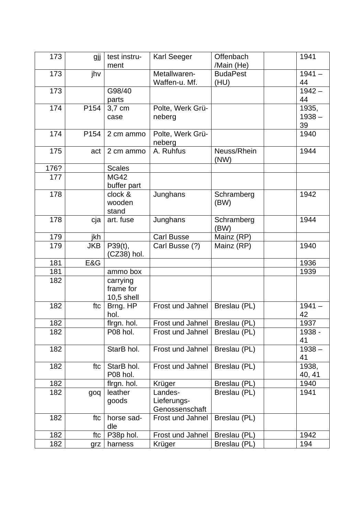| 173  | gjj        | test instru-<br>ment                  | <b>Karl Seeger</b>                       | Offenbach<br>/Main (He) | 1941                    |
|------|------------|---------------------------------------|------------------------------------------|-------------------------|-------------------------|
| 173  | jhv        |                                       | Metallwaren-<br>Waffen-u. Mf.            | <b>BudaPest</b><br>(HU) | $1941 -$<br>44          |
| 173  |            | G98/40<br>parts                       |                                          |                         | $1942 -$<br>44          |
| 174  | P154       | 3,7 cm<br>case                        | Polte, Werk Grü-<br>neberg               |                         | 1935,<br>$1938 -$<br>39 |
| 174  | P154       | 2 cm ammo                             | Polte, Werk Grü-<br>neberg               |                         | 1940                    |
| 175  | act        | 2 cm ammo                             | A. Ruhfus                                | Neuss/Rhein<br>(NW)     | 1944                    |
| 176? |            | <b>Scales</b>                         |                                          |                         |                         |
| 177  |            | <b>MG42</b><br>buffer part            |                                          |                         |                         |
| 178  |            | clock &<br>wooden<br>stand            | Junghans                                 | Schramberg<br>(BW)      | 1942                    |
| 178  | cja        | art. fuse                             | Junghans                                 | Schramberg<br>(BW)      | 1944                    |
| 179  | jkh        |                                       | <b>Carl Busse</b>                        | Mainz (RP)              |                         |
| 179  | <b>JKB</b> | P39(t),<br>(CZ38) hol.                | Carl Busse (?)                           | Mainz (RP)              | 1940                    |
| 181  | E&G        |                                       |                                          |                         | 1936                    |
| 181  |            | ammo box                              |                                          |                         | 1939                    |
| 182  |            | carrying<br>frame for<br>$10,5$ shell |                                          |                         |                         |
| 182  | ftc        | Brng. HP<br>hol.                      | Frost und Jahnel                         | Breslau (PL)            | $1941 -$<br>42          |
| 182  |            | flrgn. hol.                           | Frost und Jahnel                         | Breslau (PL)            | 1937                    |
| 182  |            | P08 hol.                              | Frost und Jahnel                         | Breslau (PL)            | 1938 -<br>41            |
| 182  |            | StarB hol.                            | Frost und Jahnel                         | Breslau (PL)            | $1938 -$<br>41          |
| 182  | ftc        | StarB hol.<br>P08 hol.                | Frost und Jahnel                         | Breslau (PL)            | 1938,<br>40, 41         |
| 182  |            | flrgn. hol.                           | Krüger                                   | Breslau (PL)            | 1940                    |
| 182  | goq        | leather<br>goods                      | Landes-<br>Lieferungs-<br>Genossenschaft | Breslau (PL)            | 1941                    |
| 182  | ftc        | horse sad-<br>dle                     | <b>Frost und Jahnel</b>                  | Breslau (PL)            |                         |
| 182  | ftc        | P38p hol.                             | Frost und Jahnel                         | Breslau (PL)            | 1942                    |
| 182  | grz        | harness                               | Krüger                                   | Breslau (PL)            | 194                     |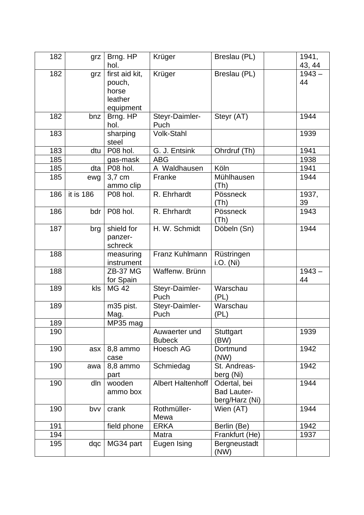| 182 | grz       | Brng. HP<br>hol.                                          | Krüger                         | Breslau (PL)                                         | 1941,<br>43, 44 |
|-----|-----------|-----------------------------------------------------------|--------------------------------|------------------------------------------------------|-----------------|
| 182 | grz       | first aid kit,<br>pouch,<br>horse<br>leather<br>equipment | Krüger                         | Breslau (PL)                                         | $1943 -$<br>44  |
| 182 | bnz       | Brng. HP<br>hol.                                          | Steyr-Daimler-<br>Puch         | Steyr (AT)                                           | 1944            |
| 183 |           | sharping<br>steel                                         | <b>Volk-Stahl</b>              |                                                      | 1939            |
| 183 | dtu       | P08 hol.                                                  | G. J. Entsink                  | Ohrdruf (Th)                                         | 1941            |
| 185 |           | gas-mask                                                  | <b>ABG</b>                     |                                                      | 1938            |
| 185 | dta       | P08 hol.                                                  | A Waldhausen                   | Köln                                                 | 1941            |
| 185 | ewg       | 3,7 cm<br>ammo clip                                       | Franke                         | Mühlhausen<br>(Th)                                   | 1944            |
| 186 | it is 186 | P08 hol.                                                  | R. Ehrhardt                    | Pössneck<br>(Th)                                     | 1937,<br>39     |
| 186 | bdr       | P08 hol.                                                  | R. Ehrhardt                    | Pössneck<br>(Th)                                     | 1943            |
| 187 | brg       | shield for<br>panzer-<br>schreck                          | H. W. Schmidt                  | Döbeln (Sn)                                          | 1944            |
| 188 |           | measuring<br>instrument                                   | Franz Kuhlmann                 | Rüstringen<br><i>i.O.</i> (Ni)                       |                 |
| 188 |           | <b>ZB-37 MG</b><br>for Spain                              | Waffenw. Brünn                 |                                                      | $1943 -$<br>44  |
| 189 | kls       | <b>MG 42</b>                                              | Steyr-Daimler-<br>Puch         | Warschau<br>(PL)                                     |                 |
| 189 |           | m35 pist.<br>Mag.                                         | Steyr-Daimler-<br>Puch         | Warschau<br>(PL)                                     |                 |
| 189 |           | MP35 mag                                                  |                                |                                                      |                 |
| 190 |           |                                                           | Auwaerter und<br><b>Bubeck</b> | Stuttgart<br>(BW)                                    | 1939            |
| 190 | asx       | 8,8 ammo<br>case                                          | Hoesch AG                      | Dortmund<br>(NW)                                     | 1942            |
| 190 | awa       | 8,8 ammo<br>part                                          | Schmiedag                      | St. Andreas-<br>berg (Ni)                            | 1942            |
| 190 | dln       | wooden<br>ammo box                                        | <b>Albert Haltenhoff</b>       | Odertal, bei<br><b>Bad Lauter-</b><br>berg/Harz (Ni) | 1944            |
| 190 | bvv       | crank                                                     | Rothmüller-<br>Mewa            | Wien (AT)                                            | 1944            |
| 191 |           | field phone                                               | <b>ERKA</b>                    | Berlin (Be)                                          | 1942            |
| 194 |           |                                                           | Matra                          | Frankfurt (He)                                       | 1937            |
| 195 | dqc       | MG34 part                                                 | Eugen Ising                    | Bergneustadt<br>(NW)                                 |                 |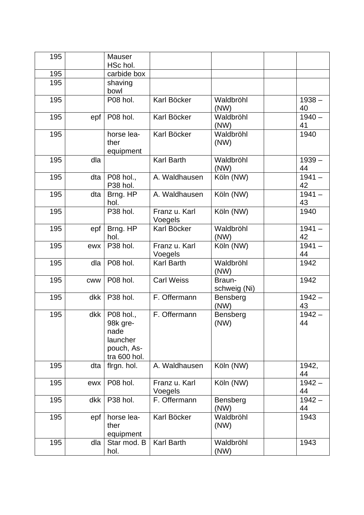| 195 |            | <b>Mauser</b><br>HSc hol.                                               |                          |                        |                |
|-----|------------|-------------------------------------------------------------------------|--------------------------|------------------------|----------------|
| 195 |            | carbide box                                                             |                          |                        |                |
| 195 |            | shaving<br>bowl                                                         |                          |                        |                |
| 195 |            | P08 hol.                                                                | Karl Böcker              | Waldbröhl<br>(NW)      | $1938 -$<br>40 |
| 195 | epf        | P08 hol.                                                                | Karl Böcker              | Waldbröhl<br>(NW)      | $1940 -$<br>41 |
| 195 |            | horse lea-<br>ther<br>equipment                                         | Karl Böcker              | Waldbröhl<br>(NW)      | 1940           |
| 195 | dla        |                                                                         | <b>Karl Barth</b>        | Waldbröhl<br>(NW)      | $1939 -$<br>44 |
| 195 | dta        | P08 hol.,<br>P38 hol.                                                   | A. Waldhausen            | Köln (NW)              | $1941 -$<br>42 |
| 195 | dta        | Brng. HP<br>hol.                                                        | A. Waldhausen            | Köln (NW)              | $1941 -$<br>43 |
| 195 |            | P38 hol.                                                                | Franz u. Karl<br>Voegels | Köln (NW)              | 1940           |
| 195 | epf        | Brng. HP<br>hol.                                                        | Karl Böcker              | Waldbröhl<br>(NW)      | $1941 -$<br>42 |
| 195 | ewx        | P38 hol.                                                                | Franz u. Karl<br>Voegels | Köln (NW)              | $1941 -$<br>44 |
| 195 | dla        | P08 hol.                                                                | <b>Karl Barth</b>        | Waldbröhl<br>(NW)      | 1942           |
| 195 | <b>CWW</b> | P08 hol.                                                                | <b>Carl Weiss</b>        | Braun-<br>schweig (Ni) | 1942           |
| 195 | dkk        | P38 hol.                                                                | F. Offermann             | Bensberg<br>(NW)       | $1942 -$<br>43 |
| 195 | dkk        | P08 hol.,<br>98k gre-<br>nade<br>launcher<br>pouch, As-<br>tra 600 hol. | F. Offermann             | Bensberg<br>(NW)       | $1942 -$<br>44 |
| 195 | dta        | flrgn. hol.                                                             | A. Waldhausen            | Köln (NW)              | 1942,<br>44    |
| 195 | ewx        | P08 hol.                                                                | Franz u. Karl<br>Voegels | Köln (NW)              | $1942 -$<br>44 |
| 195 | dkk        | P38 hol.                                                                | F. Offermann             | Bensberg<br>(NW)       | $1942 -$<br>44 |
| 195 | epf        | horse lea-<br>ther<br>equipment                                         | Karl Böcker              | Waldbröhl<br>(NW)      | 1943           |
| 195 | dla        | Star mod. B<br>hol.                                                     | <b>Karl Barth</b>        | Waldbröhl<br>(NW)      | 1943           |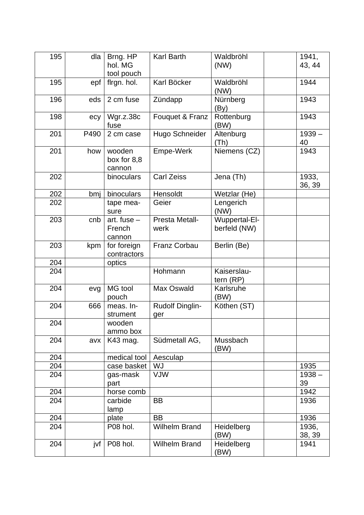| 195 | dla  | Brng. HP<br>hol. MG<br>tool pouch | <b>Karl Barth</b>             | Waldbröhl<br>(NW)             | 1941,<br>43, 44 |
|-----|------|-----------------------------------|-------------------------------|-------------------------------|-----------------|
| 195 | epf  | flrgn. hol.                       | Karl Böcker                   | Waldbröhl<br>(NW)             | 1944            |
| 196 | eds  | 2 cm fuse                         | Zündapp                       | Nürnberg<br>(By)              | 1943            |
| 198 | ecy  | Wgr.z.38c<br>fuse                 | Fouquet & Franz               | Rottenburg<br>(BW)            | 1943            |
| 201 | P490 | 2 cm case                         | Hugo Schneider                | Altenburg<br>(Th)             | $1939 -$<br>40  |
| 201 | how  | wooden<br>box for 8,8<br>cannon   | Empe-Werk                     | Niemens (CZ)                  | 1943            |
| 202 |      | binoculars                        | <b>Carl Zeiss</b>             | Jena (Th)                     | 1933,<br>36, 39 |
| 202 | bmj  | binoculars                        | Hensoldt                      | Wetzlar (He)                  |                 |
| 202 |      | tape mea-<br>sure                 | Geier                         | Lengerich<br>(NW)             |                 |
| 203 | cnb  | art. fuse $-$<br>French<br>cannon | Presta Metall-<br>werk        | Wuppertal-El-<br>berfeld (NW) |                 |
| 203 | kpm  | for foreign<br>contractors        | Franz Corbau                  | Berlin (Be)                   |                 |
| 204 |      | optics                            |                               |                               |                 |
| 204 |      |                                   | Hohmann                       | Kaiserslau-<br>tern $(RP)$    |                 |
| 204 | evg  | MG tool<br>pouch                  | Max Oswald                    | Karlsruhe<br>(BW)             |                 |
| 204 | 666  | meas. In-<br>strument             | <b>Rudolf Dinglin-</b><br>ger | Köthen (ST)                   |                 |
| 204 |      | wooden<br>ammo box                |                               |                               |                 |
| 204 | avx  | K43 mag.                          | Südmetall AG,                 | Mussbach<br>(BW)              |                 |
| 204 |      | medical tool                      | Aesculap                      |                               |                 |
| 204 |      | case basket                       | WJ                            |                               | 1935            |
| 204 |      | gas-mask<br>part                  | <b>VJW</b>                    |                               | $1938 -$<br>39  |
| 204 |      | horse comb                        |                               |                               | 1942            |
| 204 |      | carbide<br>lamp                   | BB                            |                               | 1936            |
| 204 |      | plate                             | <b>BB</b>                     |                               | 1936            |
| 204 |      | P08 hol.                          | <b>Wilhelm Brand</b>          | Heidelberg<br>(BW)            | 1936,<br>38, 39 |
| 204 | jvf  | P08 hol.                          | <b>Wilhelm Brand</b>          | Heidelberg<br>(BW)            | 1941            |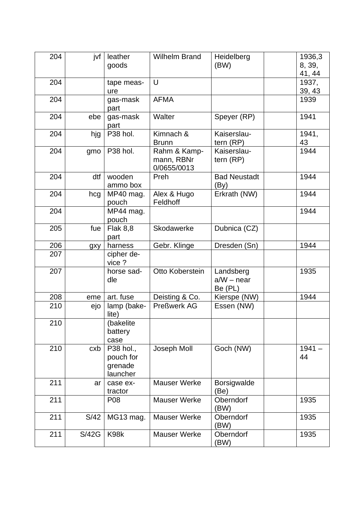| 204 | jvf   | leather<br>goods                              | <b>Wilhelm Brand</b>                      | Heidelberg<br>(BW)                   | 1936,3<br>8, 39,<br>41, 44 |
|-----|-------|-----------------------------------------------|-------------------------------------------|--------------------------------------|----------------------------|
| 204 |       | tape meas-<br>ure                             | U                                         |                                      | 1937,<br>39, 43            |
| 204 |       | gas-mask<br>part                              | <b>AFMA</b>                               |                                      | 1939                       |
| 204 | ebe   | gas-mask<br>part                              | Walter                                    | Speyer (RP)                          | 1941                       |
| 204 | hjg   | P38 hol.                                      | Kimnach &<br><b>Brunn</b>                 | Kaiserslau-<br>tern (RP)             | 1941,<br>43                |
| 204 | gmo   | P38 hol.                                      | Rahm & Kamp-<br>mann, RBNr<br>0/0655/0013 | Kaiserslau-<br>tern (RP)             | 1944                       |
| 204 | dtf   | wooden<br>ammo box                            | Preh                                      | <b>Bad Neustadt</b><br>(By)          | 1944                       |
| 204 | hcg   | MP40 mag.<br>pouch                            | Alex & Hugo<br>Feldhoff                   | Erkrath (NW)                         | 1944                       |
| 204 |       | MP44 mag.<br>pouch                            |                                           |                                      | 1944                       |
| 205 | fue   | <b>Flak 8,8</b><br>part                       | Skodawerke                                | Dubnica (CZ)                         |                            |
| 206 | gxy   | harness                                       | Gebr. Klinge                              | Dresden (Sn)                         | 1944                       |
| 207 |       | cipher de-<br>vice?                           |                                           |                                      |                            |
| 207 |       | horse sad-<br>dle                             | Otto Koberstein                           | Landsberg<br>$a/W - near$<br>Be (PL) | 1935                       |
| 208 | eme   | art. fuse                                     | Deisting & Co.                            | Kierspe (NW)                         | 1944                       |
| 210 | ejo   | lamp (bake-<br>lite)                          | <b>Preßwerk AG</b>                        | Essen (NW)                           |                            |
| 210 |       | (bakelite<br>battery<br>case                  |                                           |                                      |                            |
| 210 | cxb   | P38 hol.,<br>pouch for<br>grenade<br>launcher | Joseph Moll                               | Goch (NW)                            | $1941 -$<br>44             |
| 211 | ar    | case ex-<br>tractor                           | <b>Mauser Werke</b>                       | <b>Borsigwalde</b><br>(Be)           |                            |
| 211 |       | P08                                           | <b>Mauser Werke</b>                       | Oberndorf<br>(BW)                    | 1935                       |
| 211 | S/42  | MG13 mag.                                     | <b>Mauser Werke</b>                       | Oberndorf<br>(BW)                    | 1935                       |
| 211 | S/42G | K98k                                          | <b>Mauser Werke</b>                       | Oberndorf<br>(BW)                    | 1935                       |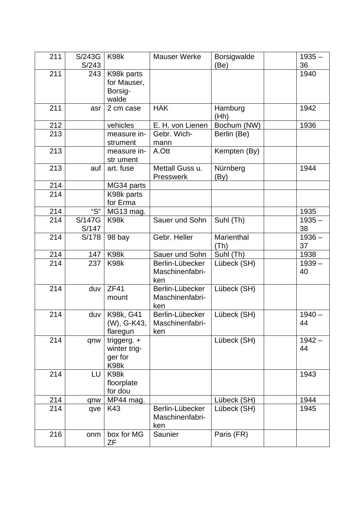| 211 | S/243G                 | K98k                                             | <b>Mauser Werke</b>                       | Borsigwalde        | $1935 -$       |
|-----|------------------------|--------------------------------------------------|-------------------------------------------|--------------------|----------------|
|     | S/243                  |                                                  |                                           | (Be)               | 36             |
| 211 | 243                    | K98k parts<br>for Mauser,<br>Borsig-<br>walde    |                                           |                    | 1940           |
| 211 | asr                    | 2 cm case                                        | <b>HAK</b>                                | Hamburg<br>(Hh)    | 1942           |
| 212 |                        | vehicles                                         | E. H. von Lienen                          | Bochum (NW)        | 1936           |
| 213 |                        | measure in-                                      | Gebr. Wich-                               | Berlin (Be)        |                |
|     |                        | strument                                         | mann                                      |                    |                |
| 213 |                        | measure in-<br>str ument                         | A.Ott                                     | Kempten (By)       |                |
| 213 | auf                    | art. fuse                                        | Mettall Guss u.<br><b>Presswerk</b>       | Nürnberg<br>(By)   | 1944           |
| 214 |                        | MG34 parts                                       |                                           |                    |                |
| 214 |                        | K98k parts<br>for Erma                           |                                           |                    |                |
| 214 | "S"                    |                                                  |                                           |                    |                |
|     |                        | MG13 mag.                                        |                                           |                    | 1935           |
| 214 | <b>S/147G</b><br>S/147 | K98k                                             | Sauer und Sohn                            | Suhl (Th)          | $1935 -$<br>38 |
| 214 | S/178                  | 98 bay                                           | Gebr. Heller                              | Marienthal<br>(Th) | $1936 -$<br>37 |
| 214 | 147                    | K98k                                             | Sauer und Sohn                            | Suhl (Th)          | 1938           |
| 214 | 237                    | K98k                                             | Berlin-Lübecker<br>Maschinenfabri-<br>ken | Lübeck (SH)        | $1939 -$<br>40 |
| 214 | duv                    | ZF41<br>mount                                    | Berlin-Lübecker<br>Maschinenfabri-<br>ken | Lübeck (SH)        |                |
| 214 | duv                    | K98k, G41<br>(W), G-K43,<br>flaregun             | Berlin-Lübecker<br>Maschinenfabri-<br>ken | Lübeck (SH)        | $1940 -$<br>44 |
| 214 | qnw                    | triggerg. $+$<br>winter trig-<br>ger for<br>K98k |                                           | Lübeck (SH)        | $1942 -$<br>44 |
| 214 | LU                     | K98k<br>floorplate<br>for dou                    |                                           |                    | 1943           |
| 214 | qnw                    | MP44 mag.                                        |                                           | Lübeck (SH)        | 1944           |
| 214 | qve                    | K43                                              | Berlin-Lübecker<br>Maschinenfabri-<br>ken | Lübeck (SH)        | 1945           |
| 216 | onm                    | box for MG<br>ΖF                                 | Saunier                                   | Paris (FR)         |                |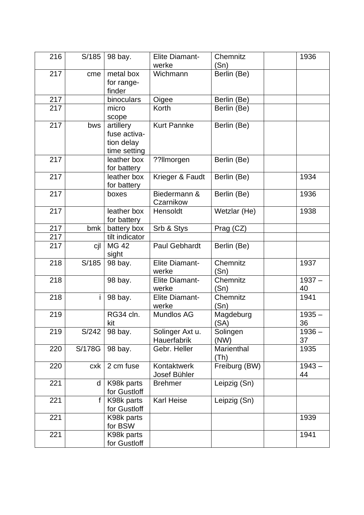| 216 | S/185        | 98 bay.                                                 | <b>Elite Diamant-</b><br>werke | Chemnitz<br>(Sn)   | 1936           |
|-----|--------------|---------------------------------------------------------|--------------------------------|--------------------|----------------|
| 217 | cme          | metal box<br>for range-<br>finder                       | Wichmann                       | Berlin (Be)        |                |
| 217 |              | binoculars                                              | Oigee                          | Berlin (Be)        |                |
| 217 |              | micro<br>scope                                          | Korth                          | Berlin (Be)        |                |
| 217 | bws          | artillery<br>fuse activa-<br>tion delay<br>time setting | <b>Kurt Pannke</b>             | Berlin (Be)        |                |
| 217 |              | leather box<br>for battery                              | ??Ilmorgen                     | Berlin (Be)        |                |
| 217 |              | leather box<br>for battery                              | Krieger & Faudt                | Berlin (Be)        | 1934           |
| 217 |              | boxes                                                   | Biedermann &<br>Czarnikow      | Berlin (Be)        | 1936           |
| 217 |              | leather box<br>for battery                              | Hensoldt                       | Wetzlar (He)       | 1938           |
| 217 | bmk          | battery box                                             | Srb & Stys                     | Prag (CZ)          |                |
| 217 |              | tilt indicator                                          |                                |                    |                |
| 217 | cjl          | <b>MG 42</b><br>sight                                   | Paul Gebhardt                  | Berlin (Be)        |                |
| 218 | S/185        | 98 bay.                                                 | <b>Elite Diamant-</b><br>werke | Chemnitz<br>(Sn)   | 1937           |
| 218 |              | 98 bay.                                                 | Elite Diamant-<br>werke        | Chemnitz<br>(Sn)   | $1937 -$<br>40 |
| 218 | Ť            | 98 bay.                                                 | <b>Elite Diamant-</b><br>werke | Chemnitz<br>(Sn)   | 1941           |
| 219 |              | RG34 cln.<br>kit                                        | Mundlos AG                     | Magdeburg<br>(SA)  | $1935 -$<br>36 |
| 219 | S/242        | 98 bay.                                                 | Solinger Axt u.<br>Hauerfabrik | Solingen<br>(NW)   | $1936 -$<br>37 |
| 220 | S/178G       | 98 bay.                                                 | Gebr. Heller                   | Marienthal<br>(Th) | 1935           |
| 220 | cxk          | 2 cm fuse                                               | Kontaktwerk<br>Josef Bühler    | Freiburg (BW)      | $1943 -$<br>44 |
| 221 | d            | K98k parts<br>for Gustloff                              | <b>Brehmer</b>                 | Leipzig (Sn)       |                |
| 221 | $\mathsf{f}$ | K98k parts<br>for Gustloff                              | <b>Karl Heise</b>              | Leipzig (Sn)       |                |
| 221 |              | K98k parts<br>for BSW                                   |                                |                    | 1939           |
| 221 |              | K98k parts<br>for Gustloff                              |                                |                    | 1941           |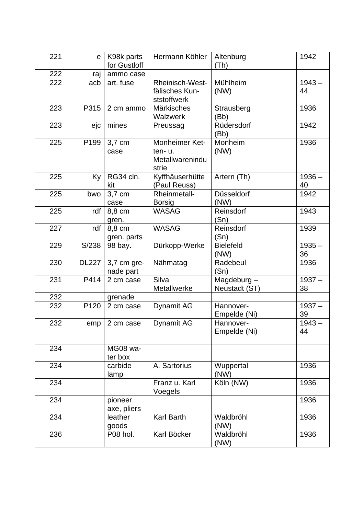| 221 | е                | K98k parts<br>for Gustloff | Hermann Köhler                                       | Altenburg<br>(Th)              | 1942           |
|-----|------------------|----------------------------|------------------------------------------------------|--------------------------------|----------------|
| 222 | raj              | ammo case                  |                                                      |                                |                |
| 222 | acb              | art. fuse                  | Rheinisch-West-<br>fälisches Kun-<br>ststoffwerk     | Mühlheim<br>(NW)               | $1943 -$<br>44 |
| 223 | P315             | 2 cm ammo                  | Märkisches<br>Walzwerk                               | Strausberg<br>(Bb)             | 1936           |
| 223 | ejc              | mines                      | Preussag                                             | Rüdersdorf<br>(Bb)             | 1942           |
| 225 | P <sub>199</sub> | 3,7 cm<br>case             | Monheimer Ket-<br>ten-u.<br>Metallwarenindu<br>strie | Monheim<br>(NW)                | 1936           |
| 225 | Ky               | RG34 cln.<br>kit           | Kyffhäuserhütte<br>(Paul Reuss)                      | Artern (Th)                    | $1936 -$<br>40 |
| 225 | bwo              | 3,7 cm<br>case             | Rheinmetall-<br><b>Borsig</b>                        | Düsseldorf<br>(NW)             | 1942           |
| 225 | rdf              | 8,8 cm<br>gren.            | <b>WASAG</b>                                         | Reinsdorf<br>(Sn)              | 1943           |
| 227 | rdf              | 8,8 cm<br>gren. parts      | <b>WASAG</b>                                         | Reinsdorf<br>(Sn)              | 1939           |
| 229 | S/238            | 98 bay.                    | Dürkopp-Werke                                        | <b>Bielefeld</b><br>(NW)       | $1935 -$<br>36 |
| 230 | <b>DL227</b>     | 3,7 cm gre-<br>nade part   | Nähmatag                                             | Radebeul<br>(Sn)               | 1936           |
| 231 | P414             | 2 cm case                  | Silva<br>Metallwerke                                 | Magdeburg $-$<br>Neustadt (ST) | $1937 -$<br>38 |
| 232 |                  | grenade                    |                                                      |                                |                |
| 232 | P120             | 2 cm case                  | Dynamit AG                                           | Hannover-<br>Empelde (Ni)      | $1937 -$<br>39 |
| 232 | emp              | 2 cm case                  | Dynamit AG                                           | Hannover-<br>Empelde (Ni)      | $1943 -$<br>44 |
| 234 |                  | MG08 wa-<br>ter box        |                                                      |                                |                |
| 234 |                  | carbide<br>lamp            | A. Sartorius                                         | Wuppertal<br>(NW)              | 1936           |
| 234 |                  |                            | Franz u. Karl<br>Voegels                             | Köln (NW)                      | 1936           |
| 234 |                  | pioneer<br>axe, pliers     |                                                      |                                | 1936           |
| 234 |                  | leather<br>goods           | <b>Karl Barth</b>                                    | Waldbröhl<br>(NW)              | 1936           |
| 236 |                  | P08 hol.                   | Karl Böcker                                          | Waldbröhl<br>(NW)              | 1936           |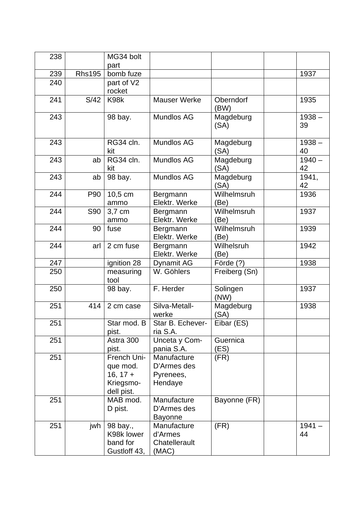| 238 |               | MG34 bolt<br>part                                                |                                                    |                     |                |
|-----|---------------|------------------------------------------------------------------|----------------------------------------------------|---------------------|----------------|
| 239 | <b>Rhs195</b> | bomb fuze                                                        |                                                    |                     | 1937           |
| 240 |               | part of V2<br>rocket                                             |                                                    |                     |                |
| 241 | S/42          | K98k                                                             | <b>Mauser Werke</b>                                | Oberndorf<br>(BW)   | 1935           |
| 243 |               | 98 bay.                                                          | Mundlos AG                                         | Magdeburg<br>(SA)   | $1938 -$<br>39 |
| 243 |               | RG34 cln.<br>kit                                                 | Mundlos AG                                         | Magdeburg<br>(SA)   | $1938 -$<br>40 |
| 243 | ab            | RG34 cln.<br>kit                                                 | Mundlos AG                                         | Magdeburg<br>(SA)   | $1940 -$<br>42 |
| 243 | ab            | 98 bay.                                                          | Mundlos AG                                         | Magdeburg<br>(SA)   | 1941,<br>42    |
| 244 | P90           | 10,5 cm<br>ammo                                                  | Bergmann<br>Elektr. Werke                          | Wilhelmsruh<br>(Be) | 1936           |
| 244 | <b>S90</b>    | 3,7 cm<br>ammo                                                   | Bergmann<br>Elektr. Werke                          | Wilhelmsruh<br>(Be) | 1937           |
| 244 | 90            | fuse                                                             | Bergmann<br>Elektr. Werke                          | Wilhelmsruh<br>(Be) | 1939           |
| 244 | arl           | 2 cm fuse                                                        | Bergmann<br>Elektr. Werke                          | Wilhelsruh<br>(Be)  | 1942           |
| 247 |               | ignition 28                                                      | Dynamit AG                                         | Förde (?)           | 1938           |
| 250 |               | measuring<br>tool                                                | W. Göhlers                                         | Freiberg (Sn)       |                |
| 250 |               | 98 bay.                                                          | F. Herder                                          | Solingen<br>(NW)    | 1937           |
| 251 | 414           | 2 cm case                                                        | Silva-Metall-<br>werke                             | Magdeburg<br>(SA)   | 1938           |
| 251 |               | Star mod. B<br>pist.                                             | Star B. Echever-<br>ria S.A.                       | Eibar (ES)          |                |
| 251 |               | Astra 300<br>pist.                                               | Unceta y Com-<br>pania S.A.                        | Guernica<br>(ES)    |                |
| 251 |               | French Uni-<br>que mod.<br>$16, 17 +$<br>Kriegsmo-<br>dell pist. | Manufacture<br>D'Armes des<br>Pyrenees,<br>Hendaye | (FR)                |                |
| 251 |               | MAB mod.<br>D pist.                                              | Manufacture<br>D'Armes des<br><b>Bayonne</b>       | Bayonne (FR)        |                |
| 251 | jwh           | 98 bay.,<br>K98k lower<br>band for<br>Gustloff 43,               | Manufacture<br>d'Armes<br>Chatellerault<br>(MAC)   | (FR)                | $1941 -$<br>44 |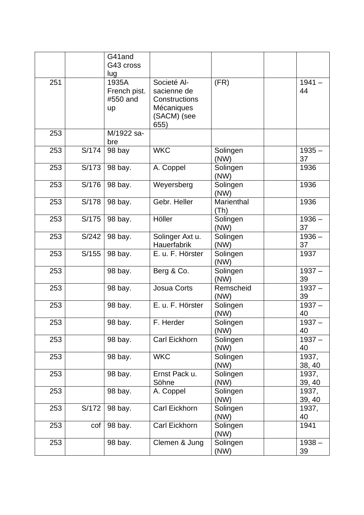|     |        | G41and<br>G43 cross<br>lug              |                                                                                  |                    |                 |
|-----|--------|-----------------------------------------|----------------------------------------------------------------------------------|--------------------|-----------------|
| 251 |        | 1935A<br>French pist.<br>#550 and<br>up | Societé Al-<br>sacienne de<br>Constructions<br>Mécaniques<br>(SACM) (see<br>655) | (FR)               | $1941 -$<br>44  |
| 253 |        | M/1922 sa-<br>bre                       |                                                                                  |                    |                 |
| 253 | S/174  | 98 bay                                  | <b>WKC</b>                                                                       | Solingen<br>(NW)   | $1935 -$<br>37  |
| 253 | S/173  | 98 bay.                                 | A. Coppel                                                                        | Solingen<br>(NW)   | 1936            |
| 253 | S/176  | 98 bay.                                 | Weyersberg                                                                       | Solingen<br>(NW)   | 1936            |
| 253 | S/178  | 98 bay.                                 | Gebr. Heller                                                                     | Marienthal<br>(Th) | 1936            |
| 253 | S/175  | 98 bay.                                 | Höller                                                                           | Solingen<br>(NW)   | $1936 -$<br>37  |
| 253 | S/242  | 98 bay.                                 | Solinger Axt u.<br>Hauerfabrik                                                   | Solingen<br>(NW)   | $1936 -$<br>37  |
| 253 | S/155  | 98 bay.                                 | E. u. F. Hörster                                                                 | Solingen<br>(NW)   | 1937            |
| 253 |        | 98 bay.                                 | Berg & Co.                                                                       | Solingen<br>(NW)   | $1937 -$<br>39  |
| 253 |        | 98 bay.                                 | <b>Josua Corts</b>                                                               | Remscheid<br>(NW)  | $1937 -$<br>39  |
| 253 |        | 98 bay.                                 | E. u. F. Hörster                                                                 | Solingen<br>(NW)   | $1937 -$<br>40  |
| 253 |        | 98 bay.                                 | F. Herder                                                                        | Solingen<br>(NW)   | $1937 -$<br>40  |
| 253 |        | 98 bay.                                 | Carl Eickhorn                                                                    | Solingen<br>(NW)   | $1937 -$<br>40  |
| 253 |        | 98 bay.                                 | <b>WKC</b>                                                                       | Solingen<br>(NW)   | 1937,<br>38, 40 |
| 253 |        | 98 bay.                                 | Ernst Pack u.<br>Söhne                                                           | Solingen<br>(NW)   | 1937,<br>39, 40 |
| 253 |        | 98 bay.                                 | A. Coppel                                                                        | Solingen<br>(NW)   | 1937,<br>39, 40 |
| 253 | S/172  | 98 bay.                                 | Carl Eickhorn                                                                    | Solingen<br>(NW)   | 1937,<br>40     |
| 253 | $\cot$ | 98 bay.                                 | Carl Eickhorn                                                                    | Solingen<br>(NW)   | 1941            |
| 253 |        | 98 bay.                                 | Clemen & Jung                                                                    | Solingen<br>(NW)   | $1938 -$<br>39  |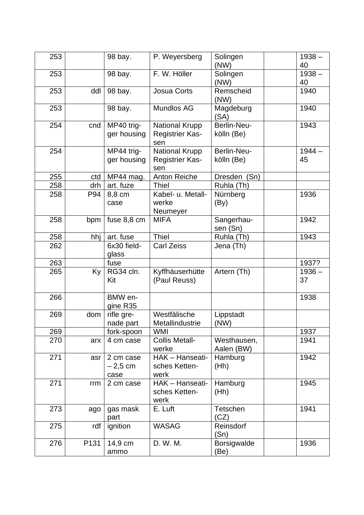| 253 |      | 98 bay.                        | P. Weyersberg                                          | Solingen                  | $1938 -$<br>40 |
|-----|------|--------------------------------|--------------------------------------------------------|---------------------------|----------------|
|     |      |                                |                                                        | (NW)                      |                |
| 253 |      | 98 bay.                        | F. W. Höller                                           | Solingen<br>(NW)          | $1938 -$<br>40 |
|     |      |                                |                                                        |                           |                |
| 253 | ddl  | 98 bay.                        | <b>Josua Corts</b>                                     | Remscheid<br>(NW)         | 1940           |
| 253 |      | 98 bay.                        | Mundlos AG                                             | Magdeburg<br>(SA)         | 1940           |
| 254 | cnd  | MP40 trig-<br>ger housing      | <b>National Krupp</b><br><b>Registrier Kas-</b><br>sen | Berlin-Neu-<br>kölln (Be) | 1943           |
| 254 |      | MP44 trig-<br>ger housing      | <b>National Krupp</b><br><b>Registrier Kas-</b><br>sen | Berlin-Neu-<br>kölln (Be) | $1944 -$<br>45 |
| 255 | ctd  | MP44 mag.                      | <b>Anton Reiche</b>                                    | Dresden (Sn)              |                |
| 258 | drh  | art. fuze                      | <b>Thiel</b>                                           | Ruhla (Th)                |                |
| 258 | P94  | 8,8 cm<br>case                 | Kabel- u. Metall-<br>werke<br>Neumeyer                 | Nürnberg<br>(By)          | 1936           |
| 258 | bpm  | fuse 8,8 cm                    | <b>MIFA</b>                                            | Sangerhau-<br>sen (Sn)    | 1942           |
| 258 | hhj  | art. fuse                      | <b>Thiel</b>                                           | Ruhla (Th)                | 1943           |
| 262 |      | 6x30 field-<br>glass           | <b>Carl Zeiss</b>                                      | Jena (Th)                 |                |
| 263 |      | fuse                           |                                                        |                           | 1937?          |
| 265 | Ky   | RG34 cln.<br>Kit               | Kyffhäuserhütte<br>(Paul Reuss)                        | Artern (Th)               | $1936 -$<br>37 |
| 266 |      | BMW en-<br>gine R35            |                                                        |                           | 1938           |
| 269 | dom  | rifle gre-<br>nade part        | Westfälische<br>Metallindustrie                        | Lippstadt<br>(NW)         |                |
| 269 |      | fork-spoon                     | <b>WMI</b>                                             |                           | 1937           |
| 270 | arx  | 4 cm case                      | <b>Collis Metall-</b><br>werke                         | Westhausen,<br>Aalen (BW) | 1941           |
| 271 | asr  | 2 cm case<br>$-2,5$ cm<br>case | HAK - Hanseati-<br>sches Ketten-<br>werk               | Hamburg<br>(Hh)           | 1942           |
| 271 | rrm  | 2 cm case                      | HAK - Hanseati-<br>sches Ketten-<br>werk               | Hamburg<br>(Hh)           | 1945           |
| 273 | ago  | gas mask<br>part               | E. Luft                                                | Tetschen<br>(CZ)          | 1941           |
| 275 | rdf  | ignition                       | <b>WASAG</b>                                           | Reinsdorf<br>(Sn)         |                |
| 276 | P131 | 14,9 cm<br>ammo                | D. W. M.                                               | Borsigwalde<br>(Be)       | 1936           |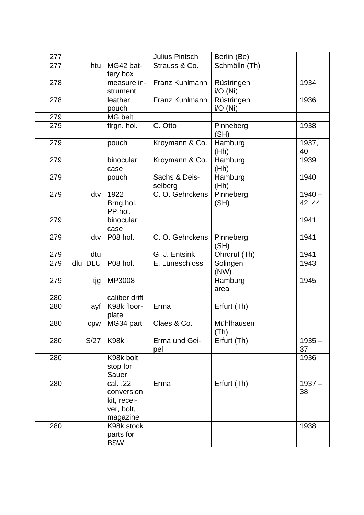| 277 |          |                         | Julius Pintsch  | Berlin (Be)   |          |
|-----|----------|-------------------------|-----------------|---------------|----------|
| 277 | htu      | MG42 bat-               | Strauss & Co.   | Schmölln (Th) |          |
|     |          | tery box                |                 |               |          |
| 278 |          | measure in-             | Franz Kuhlmann  | Rüstringen    | 1934     |
|     |          | strument                |                 | i/O(Ni)       |          |
| 278 |          | leather                 | Franz Kuhlmann  | Rüstringen    | 1936     |
|     |          | pouch                   |                 | i/O(Ni)       |          |
| 279 |          | MG belt                 |                 |               |          |
| 279 |          | flrgn. hol.             | C. Otto         | Pinneberg     | 1938     |
|     |          |                         |                 | (SH)          |          |
| 279 |          | pouch                   | Kroymann & Co.  | Hamburg       | 1937,    |
|     |          |                         |                 | (Hh)          | 40       |
| 279 |          | binocular               | Kroymann & Co.  | Hamburg       | 1939     |
|     |          | case                    |                 | (Hh)          |          |
| 279 |          | pouch                   | Sachs & Deis-   | Hamburg       | 1940     |
|     |          |                         | selberg         | (Hh)          |          |
| 279 | dtv      | 1922                    | C.O. Gehrckens  | Pinneberg     | $1940 -$ |
|     |          | Brng.hol.               |                 | (SH)          | 42, 44   |
|     |          | PP hol.                 |                 |               |          |
| 279 |          | binocular               |                 |               | 1941     |
|     |          | case                    |                 |               |          |
| 279 | dtv      | P08 hol.                | C. O. Gehrckens | Pinneberg     | 1941     |
|     |          |                         |                 | (SH)          |          |
| 279 | dtu      |                         | G. J. Entsink   | Ohrdruf (Th)  | 1941     |
| 279 | dlu, DLU | P08 hol.                | E. Lüneschloss  | Solingen      | 1943     |
|     |          |                         |                 | (NW)          |          |
| 279 | tjg      | MP3008                  |                 | Hamburg       | 1945     |
|     |          |                         |                 | area          |          |
| 280 |          | caliber drift           |                 |               |          |
| 280 | ayf      | K98k floor-             | Erma            | Erfurt (Th)   |          |
|     |          | plate                   |                 |               |          |
| 280 | cpw      | MG34 part               | Claes & Co.     | Mühlhausen    |          |
|     |          |                         |                 | (Th)          |          |
| 280 | S/27     | K98k                    | Erma und Gei-   | Erfurt (Th)   | $1935 -$ |
|     |          |                         | pel             |               | 37       |
| 280 |          | K98k bolt               |                 |               | 1936     |
|     |          | stop for                |                 |               |          |
|     |          | Sauer                   |                 |               |          |
| 280 |          | cal. .22                | Erma            | Erfurt (Th)   | $1937 -$ |
|     |          | conversion              |                 |               | 38       |
|     |          | kit, recei-             |                 |               |          |
|     |          | ver, bolt,              |                 |               |          |
|     |          | magazine                |                 |               |          |
| 280 |          | K98k stock              |                 |               | 1938     |
|     |          | parts for<br><b>BSW</b> |                 |               |          |
|     |          |                         |                 |               |          |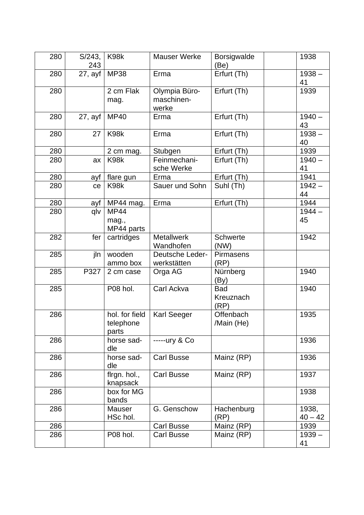| 280 | S/243,<br>243 | K98k                                 | <b>Mauser Werke</b>                  | <b>Borsigwalde</b><br>(Be) | 1938               |
|-----|---------------|--------------------------------------|--------------------------------------|----------------------------|--------------------|
| 280 | 27, avf       | <b>MP38</b>                          | Erma                                 | Erfurt (Th)                | $1938 -$<br>41     |
| 280 |               | 2 cm Flak<br>mag.                    | Olympia Büro-<br>maschinen-<br>werke | Erfurt (Th)                | 1939               |
| 280 | 27, ayf       | <b>MP40</b>                          | Erma                                 | Erfurt (Th)                | $1940 -$<br>43     |
| 280 | 27            | K98k                                 | Erma                                 | Erfurt (Th)                | $1938 -$<br>40     |
| 280 |               | 2 cm mag.                            | Stubgen                              | Erfurt (Th)                | 1939               |
| 280 | ax            | K98k                                 | Feinmechani-<br>sche Werke           | Erfurt (Th)                | $1940 -$<br>41     |
| 280 | ayf           | flare gun                            | Erma                                 | Erfurt (Th)                | 1941               |
| 280 | ce            | K98k                                 | Sauer und Sohn                       | Suhl (Th)                  | $1942 -$<br>44     |
| 280 | ayf           | MP44 mag.                            | Erma                                 | Erfurt (Th)                | 1944               |
| 280 | qlv           | <b>MP44</b><br>mag.,<br>MP44 parts   |                                      |                            | $1944 -$<br>45     |
| 282 | fer           | cartridges                           | <b>Metallwerk</b><br>Wandhofen       | <b>Schwerte</b><br>(NW)    | 1942               |
| 285 | jln           | wooden<br>ammo box                   | Deutsche Leder-<br>werkstätten       | <b>Pirmasens</b><br>(RP)   |                    |
| 285 | P327          | 2 cm case                            | Orga AG                              | Nürnberg<br>(By)           | 1940               |
| 285 |               | P08 hol.                             | Carl Ackva                           | Bad<br>Kreuznach<br>(RP)   | 1940               |
| 286 |               | hol. for field<br>telephone<br>parts | Karl Seeger                          | Offenbach<br>/Main (He)    | 1935               |
| 286 |               | horse sad-<br>dle                    | -----ury & Co                        |                            | 1936               |
| 286 |               | horse sad-<br>dle                    | <b>Carl Busse</b>                    | Mainz (RP)                 | 1936               |
| 286 |               | flrgn. hol.,<br>knapsack             | <b>Carl Busse</b>                    | Mainz (RP)                 | 1937               |
| 286 |               | box for MG<br>bands                  |                                      |                            | 1938               |
| 286 |               | Mauser<br>HSc hol.                   | G. Genschow                          | Hachenburg<br>(RP)         | 1938,<br>$40 - 42$ |
| 286 |               |                                      | <b>Carl Busse</b>                    | Mainz (RP)                 | 1939               |
| 286 |               | P08 hol.                             | <b>Carl Busse</b>                    | Mainz (RP)                 | $1939 -$<br>41     |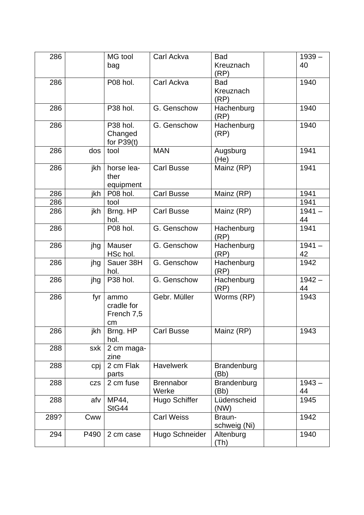| 286  |            | MG tool              | Carl Ackva        | <b>Bad</b>   | $1939 -$ |  |
|------|------------|----------------------|-------------------|--------------|----------|--|
|      |            | bag                  |                   | Kreuznach    | 40       |  |
|      |            |                      |                   | (RP)         |          |  |
| 286  |            | P08 hol.             | Carl Ackva        | <b>Bad</b>   | 1940     |  |
|      |            |                      |                   | Kreuznach    |          |  |
|      |            |                      |                   | (RP)         |          |  |
| 286  |            | P38 hol.             | G. Genschow       | Hachenburg   | 1940     |  |
|      |            |                      |                   | (RP)         |          |  |
| 286  |            | P <sub>38</sub> hol. | G. Genschow       | Hachenburg   | 1940     |  |
|      |            | Changed              |                   | (RP)         |          |  |
|      |            | for $P39(t)$         |                   |              |          |  |
| 286  | dos        | tool                 | <b>MAN</b>        | Augsburg     | 1941     |  |
| 286  | jkh        | horse lea-           | <b>Carl Busse</b> | (He)         | 1941     |  |
|      |            | ther                 |                   | Mainz (RP)   |          |  |
|      |            | equipment            |                   |              |          |  |
| 286  | jkh        | P08 hol.             | <b>Carl Busse</b> | Mainz (RP)   | 1941     |  |
| 286  |            | tool                 |                   |              | 1941     |  |
| 286  | jkh        | Brng. HP             | <b>Carl Busse</b> | Mainz (RP)   | $1941 -$ |  |
|      |            | hol.                 |                   |              | 44       |  |
| 286  |            | P08 hol.             | G. Genschow       | Hachenburg   | 1941     |  |
|      |            |                      |                   | (RP)         |          |  |
| 286  | jhg        | Mauser               | G. Genschow       | Hachenburg   | $1941 -$ |  |
|      |            | HSc hol.             |                   | (RP)         | 42       |  |
| 286  | jhg        | Sauer 38H            | G. Genschow       | Hachenburg   | 1942     |  |
|      |            | hol.                 |                   | (RP)         |          |  |
| 286  | jhg        | P38 hol.             | G. Genschow       | Hachenburg   | $1942 -$ |  |
|      |            |                      |                   | (RP)         | 44       |  |
| 286  | fyr        | ammo                 | Gebr. Müller      | Worms (RP)   | 1943     |  |
|      |            | cradle for           |                   |              |          |  |
|      |            | French 7,5           |                   |              |          |  |
| 286  | jkh        | cm                   | <b>Carl Busse</b> | Mainz (RP)   | 1943     |  |
|      |            | Brng. HP<br>hol.     |                   |              |          |  |
| 288  | sxk        | 2 cm maga-           |                   |              |          |  |
|      |            | zine                 |                   |              |          |  |
| 288  | cpj        | 2 cm Flak            | <b>Havelwerk</b>  | Brandenburg  |          |  |
|      |            | parts                |                   | (Bb)         |          |  |
| 288  | <b>CZS</b> | 2 cm fuse            | <b>Brennabor</b>  | Brandenburg  | $1943 -$ |  |
|      |            |                      | Werke             | (Bb)         | 44       |  |
| 288  | afv        | MP44,                | Hugo Schiffer     | Lüdenscheid  | 1945     |  |
|      |            | StG44                |                   | (NW)         |          |  |
| 289? | Cww        |                      | <b>Carl Weiss</b> | Braun-       | 1942     |  |
|      |            |                      |                   | schweig (Ni) |          |  |
| 294  | P490       | 2 cm case            | Hugo Schneider    | Altenburg    | 1940     |  |
|      |            |                      |                   | (Th)         |          |  |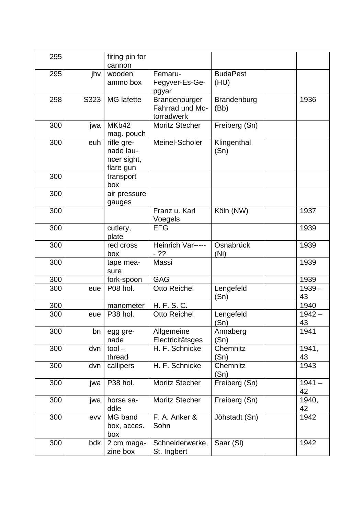| 295 |      | firing pin for<br>cannon                            |                                                |                         |                |
|-----|------|-----------------------------------------------------|------------------------------------------------|-------------------------|----------------|
| 295 | jhv  | wooden<br>ammo box                                  | Femaru-<br>Fegyver-Es-Ge-<br>pgyar             | <b>BudaPest</b><br>(HU) |                |
| 298 | S323 | <b>MG</b> lafette                                   | Brandenburger<br>Fahrrad und Mo-<br>torradwerk | Brandenburg<br>(Bb)     | 1936           |
| 300 | jwa  | MKb42<br>mag. pouch                                 | <b>Moritz Stecher</b>                          | Freiberg (Sn)           |                |
| 300 | euh  | rifle gre-<br>nade lau-<br>ncer sight,<br>flare gun | Meinel-Scholer                                 | Klingenthal<br>(Sn)     |                |
| 300 |      | transport<br>box                                    |                                                |                         |                |
| 300 |      | air pressure<br>gauges                              |                                                |                         |                |
| 300 |      |                                                     | Franz u. Karl<br>Voegels                       | Köln (NW)               | 1937           |
| 300 |      | cutlery,<br>plate                                   | <b>EFG</b>                                     |                         | 1939           |
| 300 |      | red cross<br>box                                    | Heinrich Var-----<br>$-22$                     | Osnabrück<br>(Ni)       | 1939           |
| 300 |      | tape mea-<br>sure                                   | Massi                                          |                         | 1939           |
| 300 |      | fork-spoon                                          | <b>GAG</b>                                     |                         | 1939           |
| 300 | eue  | P08 hol.                                            | Otto Reichel                                   | Lengefeld<br>(Sn)       | $1939 -$<br>43 |
| 300 |      | manometer                                           | H. F. S. C.                                    |                         | 1940           |
| 300 | eue  | P38 hol.                                            | <b>Otto Reichel</b>                            | Lengefeld<br>(Sn)       | $1942 -$<br>43 |
| 300 | bn   | egg gre-<br>nade                                    | Allgemeine<br>Electricitätsges                 | Annaberg<br>(Sn)        | 1941           |
| 300 | dvn  | $tool -$<br>thread                                  | H. F. Schnicke                                 | Chemnitz<br>(Sn)        | 1941,<br>43    |
| 300 | dvn  | callipers                                           | H. F. Schnicke                                 | Chemnitz<br>(Sn)        | 1943           |
| 300 | jwa  | P38 hol.                                            | <b>Moritz Stecher</b>                          | Freiberg (Sn)           | $1941 -$<br>42 |
| 300 | jwa  | horse sa-<br>ddle                                   | <b>Moritz Stecher</b>                          | Freiberg (Sn)           | 1940,<br>42    |
| 300 | evv  | MG band<br>box, acces.<br>box                       | F. A. Anker &<br>Sohn                          | Jöhstadt (Sn)           | 1942           |
| 300 | bdk  | 2 cm maga-<br>zine box                              | Schneiderwerke,<br>St. Ingbert                 | Saar (SI)               | 1942           |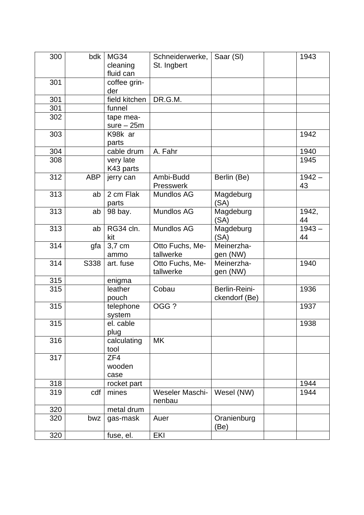| 300 | bdk        | <b>MG34</b><br>cleaning<br>fluid can | Schneiderwerke,<br>St. Ingbert | Saar (SI)           | 1943     |
|-----|------------|--------------------------------------|--------------------------------|---------------------|----------|
|     |            |                                      |                                |                     |          |
| 301 |            | coffee grin-                         |                                |                     |          |
|     |            | der                                  |                                |                     |          |
| 301 |            | field kitchen                        | DR.G.M.                        |                     |          |
| 301 |            | funnel                               |                                |                     |          |
| 302 |            | tape mea-                            |                                |                     |          |
|     |            | $sure - 25m$                         |                                |                     |          |
| 303 |            | K98k ar                              |                                |                     | 1942     |
|     |            | parts                                |                                |                     |          |
| 304 |            | cable drum                           | A. Fahr                        |                     | 1940     |
| 308 |            | very late                            |                                |                     | 1945     |
|     |            | K43 parts                            |                                |                     |          |
| 312 | <b>ABP</b> | jerry can                            | Ambi-Budd                      | Berlin (Be)         | $1942 -$ |
|     |            |                                      | <b>Presswerk</b>               |                     | 43       |
| 313 | ab         | 2 cm Flak                            | Mundlos AG                     | Magdeburg           |          |
|     |            | parts                                |                                | (SA)                |          |
| 313 | ab         | 98 bay.                              | <b>Mundlos AG</b>              | Magdeburg           | 1942,    |
|     |            |                                      |                                | (SA)                | 44       |
| 313 | ab         | RG34 cln.                            | <b>Mundlos AG</b>              | Magdeburg           | $1943 -$ |
|     |            | kit                                  |                                | (SA)                | 44       |
| 314 | gfa        | 3,7 cm                               | Otto Fuchs, Me-                | Meinerzha-          |          |
|     |            | ammo                                 | tallwerke                      | gen (NW)            |          |
| 314 | S338       | art. fuse                            | Otto Fuchs, Me-                | Meinerzha-          | 1940     |
|     |            |                                      | tallwerke                      | gen (NW)            |          |
| 315 |            | enigma                               |                                |                     |          |
| 315 |            | leather                              | Cobau                          | Berlin-Reini-       | 1936     |
|     |            | pouch                                |                                | ckendorf (Be)       |          |
| 315 |            |                                      | OGG?                           |                     | 1937     |
|     |            | telephone                            |                                |                     |          |
|     |            | system                               |                                |                     |          |
| 315 |            | el. cable                            |                                |                     | 1938     |
|     |            | plug                                 |                                |                     |          |
| 316 |            | calculating                          | <b>MK</b>                      |                     |          |
|     |            | tool                                 |                                |                     |          |
| 317 |            | ZF4                                  |                                |                     |          |
|     |            | wooden                               |                                |                     |          |
|     |            | case                                 |                                |                     |          |
| 318 |            | rocket part                          |                                |                     | 1944     |
| 319 | cdf        | mines                                | Weseler Maschi-                | Wesel (NW)          | 1944     |
|     |            |                                      | nenbau                         |                     |          |
| 320 |            | metal drum                           |                                |                     |          |
| 320 | bwz        | gas-mask                             | Auer                           | Oranienburg<br>(Be) |          |
| 320 |            | fuse, el.                            | EKI                            |                     |          |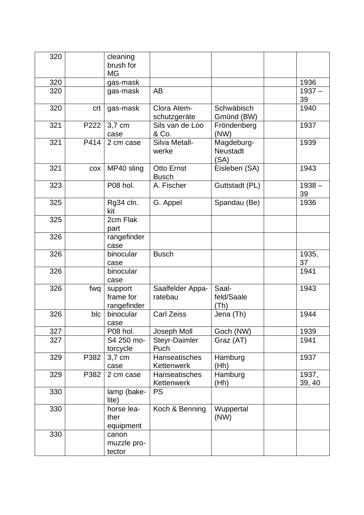| 320 |      | cleaning<br>brush for<br><b>MG</b>  |                                    |                                       |                 |
|-----|------|-------------------------------------|------------------------------------|---------------------------------------|-----------------|
| 320 |      | gas-mask                            |                                    |                                       | 1936            |
| 320 |      | gas-mask                            | AB                                 |                                       | $1937 -$<br>39  |
| 320 | crt  | gas-mask                            | Clora Atem-<br>schutzgeräte        | Schwäbisch<br>Gmünd (BW)              | 1940            |
| 321 | P222 | 3,7 cm<br>case                      | Sils van de Loo<br>& Co.           | Fröndenberg<br>(NW)                   | 1937            |
| 321 | P414 | 2 cm case                           | Silva Metall-<br>werke             | Magdeburg-<br><b>Neustadt</b><br>(SA) | 1939            |
| 321 | COX  | MP40 sling                          | <b>Otto Ernst</b><br><b>Busch</b>  | Eisleben (SA)                         | 1943            |
| 323 |      | P08 hol.                            | A. Fischer                         | Guttstadt (PL)                        | $1938 -$<br>39  |
| 325 |      | Rg34 cln.<br>kit                    | G. Appel                           | Spandau (Be)                          | 1936            |
| 325 |      | 2cm Flak<br>part                    |                                    |                                       |                 |
| 326 |      | rangefinder<br>case                 |                                    |                                       |                 |
| 326 |      | binocular<br>case                   | <b>Busch</b>                       |                                       | 1935,<br>37     |
| 326 |      | binocular<br>case                   |                                    |                                       | 1941            |
| 326 | fwq  | support<br>frame for<br>rangefinder | Saalfelder Appa-<br>ratebau        | Saal-<br>feld/Saale<br>(Th)           | 1943            |
| 326 | blc  | binocular<br>case                   | <b>Carl Zeiss</b>                  | Jena (Th)                             | 1944            |
| 327 |      | P08 hol.                            | Joseph Moll                        | Goch (NW)                             | 1939            |
| 327 |      | S4 250 mo-<br>torcycle              | Steyr-Daimler<br>Puch              | Graz (AT)                             | 1941            |
| 329 | P382 | 3,7 cm<br>case                      | Hanseatisches<br>Kettenwerk        | Hamburg<br>(Hh)                       | 1937            |
| 329 | P382 | 2 cm case                           | <b>Hanseatisches</b><br>Kettenwerk | Hamburg<br>(Hh)                       | 1937,<br>39, 40 |
| 330 |      | lamp (bake-<br>lite)                | <b>PS</b>                          |                                       |                 |
| 330 |      | horse lea-<br>ther<br>equipment     | Koch & Benning                     | Wuppertal<br>(NW)                     |                 |
| 330 |      | canon<br>muzzle pro-<br>tector      |                                    |                                       |                 |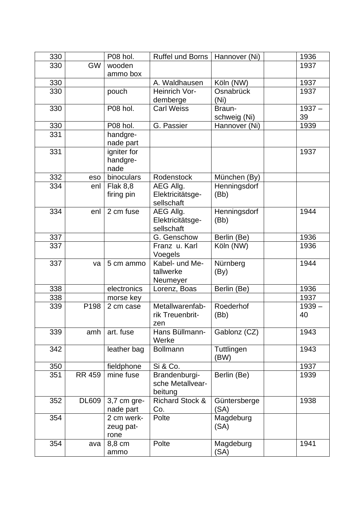| 330 |               | P08 hol.                | Ruffel und Borns                  | Hannover (Ni)        | 1936     |
|-----|---------------|-------------------------|-----------------------------------|----------------------|----------|
| 330 | <b>GW</b>     | wooden                  |                                   |                      | 1937     |
|     |               | ammo box                |                                   |                      |          |
| 330 |               |                         | A. Waldhausen                     | Köln (NW)            | 1937     |
| 330 |               | pouch                   | Heinrich Vor-                     | Osnabrück            | 1937     |
|     |               |                         | demberge                          | (Ni)                 |          |
| 330 |               | P08 hol.                | <b>Carl Weiss</b>                 | Braun-               | $1937 -$ |
|     |               |                         |                                   | schweig (Ni)         | 39       |
| 330 |               | P08 hol.                | G. Passier                        | Hannover (Ni)        | 1939     |
| 331 |               | handgre-                |                                   |                      |          |
|     |               | nade part               |                                   |                      |          |
| 331 |               | igniter for             |                                   |                      | 1937     |
|     |               | handgre-                |                                   |                      |          |
|     |               | nade                    | Rodenstock                        |                      |          |
| 332 | eso           | binoculars              |                                   | München (By)         |          |
| 334 | enl           | <b>Flak 8,8</b>         | AEG Allg.                         | Henningsdorf         |          |
|     |               | firing pin              | Elektricitätsge-<br>sellschaft    | (Bb)                 |          |
| 334 | enl           | 2 cm fuse               | AEG Allg.                         | Henningsdorf         | 1944     |
|     |               |                         | Elektricitätsge-                  | (Bb)                 |          |
|     |               |                         | sellschaft                        |                      |          |
| 337 |               |                         | G. Genschow                       | Berlin (Be)          | 1936     |
| 337 |               |                         | Franz u. Karl                     | Köln (NW)            | 1936     |
|     |               |                         | Voegels                           |                      |          |
| 337 | va            | 5 cm ammo               | Kabel- und Me-                    | Nürnberg             | 1944     |
|     |               |                         | tallwerke                         | (By)                 |          |
|     |               |                         | Neumeyer                          |                      |          |
| 338 |               | electronics             | Lorenz, Boas                      | Berlin (Be)          | 1936     |
| 338 |               | morse key               |                                   |                      | 1937     |
| 339 | P198          | 2 cm case               | Metallwarenfab-                   | Roederhof            | $1939 -$ |
|     |               |                         | rik Treuenbrit-                   | (Bb)                 | 40       |
|     |               |                         | zen                               |                      |          |
| 339 | amh           | art. fuse               | Hans Büllmann-                    | Gablonz (CZ)         | 1943     |
|     |               |                         | Werke                             |                      |          |
| 342 |               | leather bag             | <b>Bollmann</b>                   | Tuttlingen           | 1943     |
|     |               |                         |                                   | (BW)                 |          |
| 350 |               | fieldphone              | Si & Co.                          |                      | 1937     |
| 351 | <b>RR 459</b> | mine fuse               | Brandenburgi-                     | Berlin (Be)          | 1939     |
|     |               |                         | sche Metallvear-                  |                      |          |
|     |               |                         | beitung                           |                      |          |
| 352 | <b>DL609</b>  | 3,7 cm gre-             | <b>Richard Stock &amp;</b><br>Co. | Güntersberge<br>(SA) | 1938     |
| 354 |               | nade part<br>2 cm werk- | Polte                             | Magdeburg            |          |
|     |               | zeug pat-               |                                   | (SA)                 |          |
|     |               | rone                    |                                   |                      |          |
| 354 | ava           | 8,8 cm                  | Polte                             | Magdeburg            | 1941     |
|     |               | ammo                    |                                   | (SA)                 |          |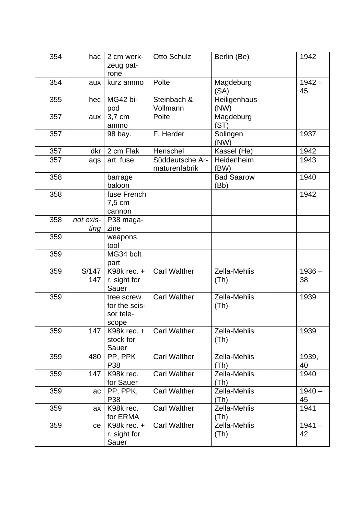| 354 | hac               | 2 cm werk-                 | Otto Schulz         | Berlin (Be)          | 1942           |
|-----|-------------------|----------------------------|---------------------|----------------------|----------------|
|     |                   | zeug pat-                  |                     |                      |                |
|     |                   | rone                       |                     |                      |                |
| 354 | aux               | kurz ammo                  | Polte               | Magdeburg            | $1942 -$       |
|     |                   |                            |                     | (SA)                 | 45             |
| 355 | hec               | MG42 bi-                   | Steinbach &         | Heiligenhaus         |                |
|     |                   | pod                        | Vollmann            | (NW)                 |                |
| 357 | aux               | 3,7 cm<br>ammo             | Polte               | Magdeburg<br>(ST)    |                |
| 357 |                   | 98 bay.                    | F. Herder           | Solingen             | 1937           |
|     |                   |                            |                     | (NW)                 |                |
| 357 | dkr               | 2 cm Flak                  | Henschel            | Kassel (He)          | 1942           |
| 357 | aqs               | art. fuse                  | Süddeutsche Ar-     | Heidenheim           | 1943           |
|     |                   |                            | maturenfabrik       | (BW)                 |                |
| 358 |                   | barrage                    |                     | <b>Bad Saarow</b>    | 1940           |
|     |                   | baloon                     |                     | (Bb)                 |                |
| 358 |                   | fuse French                |                     |                      | 1942           |
|     |                   | 7,5 cm                     |                     |                      |                |
|     |                   | cannon                     |                     |                      |                |
| 358 | not exis-<br>ting | P38 maga-<br>zine          |                     |                      |                |
| 359 |                   | weapons                    |                     |                      |                |
|     |                   | tool                       |                     |                      |                |
| 359 |                   | MG34 bolt                  |                     |                      |                |
|     |                   | part                       |                     |                      |                |
| 359 | S/147             | K98 $k$ rec. $+$           | <b>Carl Walther</b> | Zella-Mehlis         | $1936 -$       |
|     | 147               | r. sight for               |                     | (Th)                 | 38             |
|     |                   | Sauer                      |                     |                      |                |
| 359 |                   | tree screw                 | <b>Carl Walther</b> | Zella-Mehlis         | 1939           |
|     |                   | for the scis-<br>sor tele- |                     | (Th)                 |                |
|     |                   | scope                      |                     |                      |                |
| 359 | 147               | K98 $k$ rec. $+$           | <b>Carl Walther</b> | Zella-Mehlis         | 1939           |
|     |                   | stock for                  |                     | (Th)                 |                |
|     |                   | Sauer                      |                     |                      |                |
| 359 | 480               | PP, PPK                    | <b>Carl Walther</b> | Zella-Mehlis         | 1939,          |
|     |                   | P38                        |                     | (Th)                 | 40             |
| 359 | 147               | K98k rec.                  | <b>Carl Walther</b> | Zella-Mehlis         | 1940           |
|     |                   | for Sauer                  |                     | (Th)                 |                |
| 359 | ac                | PP, PPK,<br>P38            | <b>Carl Walther</b> | Zella-Mehlis<br>(Th) | $1940 -$<br>45 |
| 359 | ax                | K98k rec.                  | <b>Carl Walther</b> | Zella-Mehlis         | 1941           |
|     |                   | for ERMA                   |                     | (Th)                 |                |
| 359 | ce                | K98 $k$ rec. $+$           | <b>Carl Walther</b> | Zella-Mehlis         | $1941 -$       |
|     |                   | r. sight for               |                     | (Th)                 | 42             |
|     |                   | Sauer                      |                     |                      |                |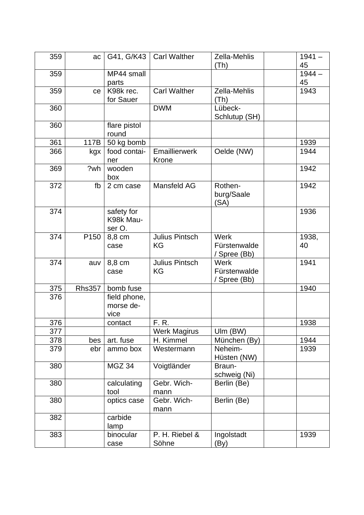| 359 | ac               | G41, G/K43              | <b>Carl Walther</b>   | Zella-Mehlis             | $1941 -$ |
|-----|------------------|-------------------------|-----------------------|--------------------------|----------|
|     |                  |                         |                       | (Th)                     | 45       |
| 359 |                  | MP44 small              |                       |                          | $1944 -$ |
|     |                  | parts                   |                       |                          | 45       |
|     |                  |                         |                       |                          |          |
| 359 | ce               | K98k rec.               | <b>Carl Walther</b>   | Zella-Mehlis             | 1943     |
|     |                  | for Sauer               |                       | (Th)                     |          |
| 360 |                  |                         | <b>DWM</b>            | Lübeck-<br>Schlutup (SH) |          |
| 360 |                  | flare pistol            |                       |                          |          |
|     |                  | round                   |                       |                          |          |
| 361 | 117B             | 50 kg bomb              |                       |                          | 1939     |
| 366 |                  | food contai-            | Emaillierwerk         | Oelde (NW)               | 1944     |
|     | kgx              |                         | Krone                 |                          |          |
| 369 | ?wh              | ner<br>wooden           |                       |                          | 1942     |
|     |                  |                         |                       |                          |          |
| 372 | fb               | box                     | Mansfeld AG           | Rothen-                  | 1942     |
|     |                  | 2 cm case               |                       |                          |          |
|     |                  |                         |                       | burg/Saale               |          |
| 374 |                  |                         |                       | (SA)                     | 1936     |
|     |                  | safety for<br>K98k Mau- |                       |                          |          |
|     |                  | ser O.                  |                       |                          |          |
| 374 | P <sub>150</sub> | 8,8 cm                  | <b>Julius Pintsch</b> | Werk                     | 1938,    |
|     |                  | case                    | KG                    | Fürstenwalde             | 40       |
|     |                  |                         |                       |                          |          |
| 374 | auv              | 8,8 cm                  | <b>Julius Pintsch</b> | / Spree (Bb)<br>Werk     | 1941     |
|     |                  |                         | <b>KG</b>             | Fürstenwalde             |          |
|     |                  | case                    |                       | / Spree (Bb)             |          |
| 375 | <b>Rhs357</b>    | bomb fuse               |                       |                          | 1940     |
| 376 |                  | field phone,            |                       |                          |          |
|     |                  | morse de-               |                       |                          |          |
|     |                  | vice                    |                       |                          |          |
| 376 |                  | contact                 | F. R.                 |                          | 1938     |
| 377 |                  |                         | <b>Werk Magirus</b>   | Ulm (BW)                 |          |
| 378 | bes              | art. fuse               | H. Kimmel             | München (By)             | 1944     |
| 379 |                  | ammo box                | Westermann            | Neheim-                  | 1939     |
|     | ebr              |                         |                       |                          |          |
|     |                  |                         |                       | Hüsten (NW)              |          |
| 380 |                  | MGZ 34                  | Voigtländer           | Braun-                   |          |
|     |                  |                         |                       | schweig (Ni)             |          |
| 380 |                  | calculating             | Gebr. Wich-           | Berlin (Be)              |          |
|     |                  | tool                    | mann                  |                          |          |
| 380 |                  | optics case             | Gebr. Wich-           | Berlin (Be)              |          |
|     |                  |                         | mann                  |                          |          |
| 382 |                  | carbide                 |                       |                          |          |
|     |                  | lamp                    |                       |                          |          |
| 383 |                  | binocular               | P. H. Riebel &        | Ingolstadt               | 1939     |
|     |                  | case                    | Söhne                 | (By)                     |          |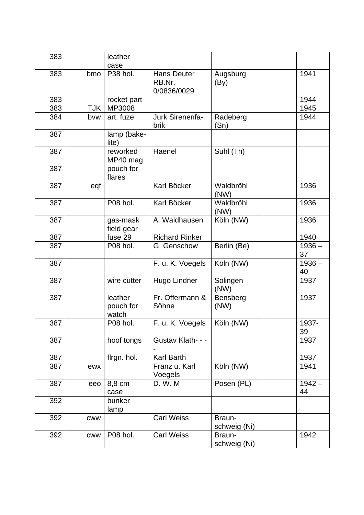| 383 |            | leather                       |                                             |                        |                |
|-----|------------|-------------------------------|---------------------------------------------|------------------------|----------------|
|     |            | case                          |                                             |                        |                |
| 383 | bmo        | P38 hol.                      | <b>Hans Deuter</b><br>RB.Nr.<br>0/0836/0029 | Augsburg<br>(By)       | 1941           |
| 383 |            | rocket part                   |                                             |                        | 1944           |
| 383 | <b>TJK</b> | MP3008                        |                                             |                        | 1945           |
| 384 | bvw        | art. fuze                     | Jurk Sirenenfa-<br>brik                     | Radeberg<br>(Sn)       | 1944           |
| 387 |            | lamp (bake-<br>lite)          |                                             |                        |                |
| 387 |            | reworked<br>MP40 mag          | Haenel                                      | Suhl (Th)              |                |
| 387 |            | pouch for<br>flares           |                                             |                        |                |
| 387 | eqf        |                               | Karl Böcker                                 | Waldbröhl<br>(NW)      | 1936           |
| 387 |            | P08 hol.                      | Karl Böcker                                 | Waldbröhl<br>(NW)      | 1936           |
| 387 |            | gas-mask<br>field gear        | A. Waldhausen                               | Köln (NW)              | 1936           |
| 387 |            | fuse 29                       | <b>Richard Rinker</b>                       |                        | 1940           |
| 387 |            | P08 hol.                      | G. Genschow                                 | Berlin (Be)            | $1936 -$<br>37 |
| 387 |            |                               | F. u. K. Voegels                            | Köln (NW)              | $1936 -$<br>40 |
| 387 |            | wire cutter                   | Hugo Lindner                                | Solingen<br>(NW)       | 1937           |
| 387 |            | leather<br>pouch for<br>watch | Fr. Offermann &<br>Söhne                    | Bensberg<br>(NW)       | 1937           |
| 387 |            | P08 hol.                      | F. u. K. Voegels                            | Köln (NW)              | 1937-<br>39    |
| 387 |            | hoof tongs                    | Gustav Klath- - -                           |                        | 1937           |
| 387 |            | flrgn. hol.                   | Karl Barth                                  |                        | 1937           |
| 387 | ewx        |                               | Franz u. Karl<br>Voegels                    | Köln (NW)              | 1941           |
| 387 | eeo        | 8,8 cm<br>case                | D. W. M                                     | Posen (PL)             | $1942 -$<br>44 |
| 392 |            | bunker<br>lamp                |                                             |                        |                |
| 392 | <b>CWW</b> |                               | <b>Carl Weiss</b>                           | Braun-<br>schweig (Ni) |                |
| 392 | <b>CWW</b> | P08 hol.                      | <b>Carl Weiss</b>                           | Braun-<br>schweig (Ni) | 1942           |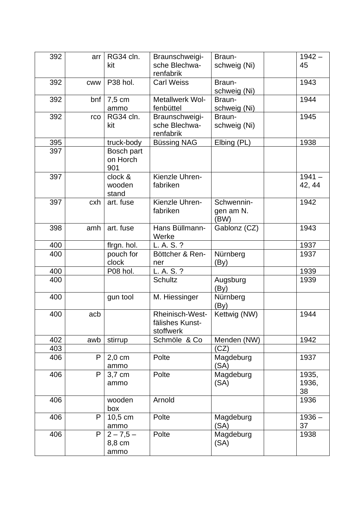| 392 | arr        | RG34 cln.<br>kit              | Braunschweigi-<br>sche Blechwa-<br>renfabrik    | Braun-<br>schweig (Ni)          | $1942 -$<br>45       |
|-----|------------|-------------------------------|-------------------------------------------------|---------------------------------|----------------------|
| 392 | <b>CWW</b> | P38 hol.                      | <b>Carl Weiss</b>                               | Braun-<br>schweig (Ni)          | 1943                 |
| 392 | bnf        | 7,5 cm<br>ammo                | Metallwerk Wol-<br>fenbüttel                    | Braun-<br>schweig (Ni)          | 1944                 |
| 392 | rco        | RG34 cln.<br>kit              | Braunschweigi-<br>sche Blechwa-<br>renfabrik    | Braun-<br>schweig (Ni)          | 1945                 |
| 395 |            | truck-body                    | <b>Büssing NAG</b>                              | Elbing (PL)                     | 1938                 |
| 397 |            | Bosch part<br>on Horch<br>901 |                                                 |                                 |                      |
| 397 |            | clock &<br>wooden<br>stand    | Kienzle Uhren-<br>fabriken                      |                                 | $1941 -$<br>42, 44   |
| 397 | cxh        | art. fuse                     | Kienzle Uhren-<br>fabriken                      | Schwennin-<br>gen am N.<br>(BW) | 1942                 |
| 398 | amh        | art. fuse                     | Hans Büllmann-<br>Werke                         | Gablonz (CZ)                    | 1943                 |
| 400 |            | flrgn. hol.                   | L. A. S. ?                                      |                                 | 1937                 |
| 400 |            | pouch for<br>clock            | Böttcher & Ren-<br>ner                          | Nürnberg<br>(By)                | 1937                 |
| 400 |            | P08 hol.                      | L. A. S. ?                                      |                                 | 1939                 |
| 400 |            |                               | <b>Schultz</b>                                  | Augsburg<br>(By)                | 1939                 |
| 400 |            | gun tool                      | M. Hiessinger                                   | Nürnberg<br>(By)                |                      |
| 400 | acb        |                               | Rheinisch-West-<br>fälishes Kunst-<br>stoffwerk | Kettwig (NW)                    | 1944                 |
| 402 | awb        | stirrup                       | Schmöle & Co                                    | Menden (NW)                     | 1942                 |
| 403 |            |                               |                                                 | (CZ)                            |                      |
| 406 | P          | $2,0$ cm<br>ammo              | Polte                                           | Magdeburg<br>(SA)               | 1937                 |
| 406 | P          | 3,7 cm<br>ammo                | Polte                                           | Magdeburg<br>(SA)               | 1935,<br>1936,<br>38 |
| 406 |            | wooden<br>box                 | Arnold                                          |                                 | 1936                 |
| 406 | P          | 10,5 cm<br>ammo               | Polte                                           | Magdeburg<br>(SA)               | $1936 -$<br>37       |
| 406 | P          | $2 - 7,5 -$<br>8,8 cm<br>ammo | Polte                                           | Magdeburg<br>(SA)               | 1938                 |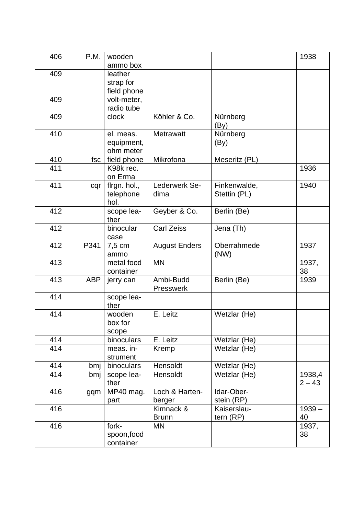| 406 | P.M.       | wooden<br>ammo box                |                           |                              | 1938               |
|-----|------------|-----------------------------------|---------------------------|------------------------------|--------------------|
| 409 |            | leather                           |                           |                              |                    |
|     |            | strap for                         |                           |                              |                    |
|     |            | field phone                       |                           |                              |                    |
| 409 |            | volt-meter,                       |                           |                              |                    |
|     |            | radio tube                        |                           |                              |                    |
| 409 |            | clock                             | Köhler & Co.              | Nürnberg<br>(By)             |                    |
| 410 |            | el. meas.                         | <b>Metrawatt</b>          | Nürnberg                     |                    |
|     |            | equipment,                        |                           | (By)                         |                    |
|     |            | ohm meter                         |                           |                              |                    |
| 410 | fsc        | field phone                       | Mikrofona                 | Meseritz (PL)                |                    |
| 411 |            | K98k rec.<br>on Erma              |                           |                              | 1936               |
| 411 | cqr        | flrgn. hol.,<br>telephone<br>hol. | Lederwerk Se-<br>dima     | Finkenwalde,<br>Stettin (PL) | 1940               |
| 412 |            | scope lea-<br>ther                | Geyber & Co.              | Berlin (Be)                  |                    |
| 412 |            | binocular<br>case                 | <b>Carl Zeiss</b>         | Jena (Th)                    |                    |
| 412 | P341       | 7,5 cm<br>ammo                    | <b>August Enders</b>      | Oberrahmede<br>(NW)          | 1937               |
| 413 |            | metal food<br>container           | <b>MN</b>                 |                              | 1937,<br>38        |
| 413 | <b>ABP</b> | jerry can                         | Ambi-Budd<br>Presswerk    | Berlin (Be)                  | 1939               |
| 414 |            | scope lea-<br>ther                |                           |                              |                    |
| 414 |            | wooden<br>box for<br>scope        | E. Leitz                  | Wetzlar (He)                 |                    |
| 414 |            | binoculars                        | E. Leitz                  | Wetzlar (He)                 |                    |
| 414 |            | meas. in-<br>strument             | Kremp                     | Wetzlar (He)                 |                    |
| 414 | bmj        | binoculars                        | Hensoldt                  | Wetzlar (He)                 |                    |
| 414 | bmj        | scope lea-<br>ther                | Hensoldt                  | Wetzlar (He)                 | 1938,4<br>$2 - 43$ |
| 416 | gqm        | MP40 mag.<br>part                 | Loch & Harten-<br>berger  | Idar-Ober-<br>stein (RP)     |                    |
| 416 |            |                                   | Kimnack &<br><b>Brunn</b> | Kaiserslau-<br>tern (RP)     | $1939 -$<br>40     |
| 416 |            | fork-<br>spoon, food<br>container | <b>MN</b>                 |                              | 1937,<br>38        |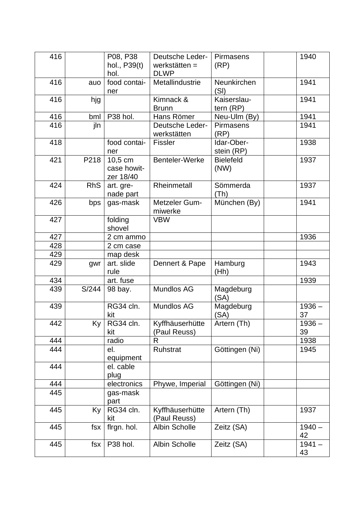| 416 |            | P08, P38<br>hol., P39(t)<br>hol.    | <b>Deutsche Leder-</b><br>werkstätten $=$<br><b>DLWP</b> | Pirmasens<br>(RP)          | 1940           |
|-----|------------|-------------------------------------|----------------------------------------------------------|----------------------------|----------------|
| 416 | auo        | food contai-<br>ner                 | Metallindustrie                                          | Neunkirchen<br>(SI)        | 1941           |
| 416 | hjg        |                                     | Kimnack &<br><b>Brunn</b>                                | Kaiserslau-<br>tern $(RP)$ | 1941           |
| 416 | bml        | P38 hol.                            | Hans Römer                                               | Neu-Ulm (By)               | 1941           |
| 416 | jln        |                                     | Deutsche Leder-<br>werkstätten                           | <b>Pirmasens</b><br>(RP)   | 1941           |
| 418 |            | food contai-<br>ner                 | <b>Fissler</b>                                           | Idar-Ober-<br>stein (RP)   | 1938           |
| 421 | P218       | 10,5 cm<br>case howit-<br>zer 18/40 | Benteler-Werke                                           | <b>Bielefeld</b><br>(NW)   | 1937           |
| 424 | <b>RhS</b> | art. gre-<br>nade part              | Rheinmetall                                              | Sömmerda<br>(Th)           | 1937           |
| 426 | bps        | gas-mask                            | Metzeler Gum-<br>miwerke                                 | München (By)               | 1941           |
| 427 |            | folding<br>shovel                   | <b>VBW</b>                                               |                            |                |
| 427 |            | 2 cm ammo                           |                                                          |                            | 1936           |
| 428 |            | 2 cm case                           |                                                          |                            |                |
| 429 |            | map desk                            |                                                          |                            |                |
| 429 | gwr        | art. slide<br>rule                  | Dennert & Pape                                           | Hamburg<br>(Hh)            | 1943           |
| 434 |            | art. fuse                           |                                                          |                            | 1939           |
| 439 | S/244      | 98 bay.                             | Mundlos AG                                               | Magdeburg<br>(SA)          |                |
| 439 |            | RG34 cln.<br>kit                    | Mundlos AG                                               | Magdeburg<br>(SA)          | $1936 -$<br>37 |
| 442 | Ky         | RG34 cln.<br>kit                    | Kyffhäuserhütte<br>(Paul Reuss)                          | Artern (Th)                | $1936 -$<br>39 |
| 444 |            | radio                               | R                                                        |                            | 1938           |
| 444 |            | el.<br>equipment                    | Ruhstrat                                                 | Göttingen (Ni)             | 1945           |
| 444 |            | el. cable<br>plug                   |                                                          |                            |                |
| 444 |            | electronics                         | Phywe, Imperial                                          | Göttingen (Ni)             |                |
| 445 |            | gas-mask<br>part                    |                                                          |                            |                |
| 445 | Ky         | RG34 cln.<br>kit                    | Kyffhäuserhütte<br>(Paul Reuss)                          | Artern (Th)                | 1937           |
| 445 | fsx        | flrgn. hol.                         | <b>Albin Scholle</b>                                     | Zeitz (SA)                 | $1940 -$<br>42 |
| 445 | fsx        | P38 hol.                            | <b>Albin Scholle</b>                                     | Zeitz (SA)                 | $1941 -$<br>43 |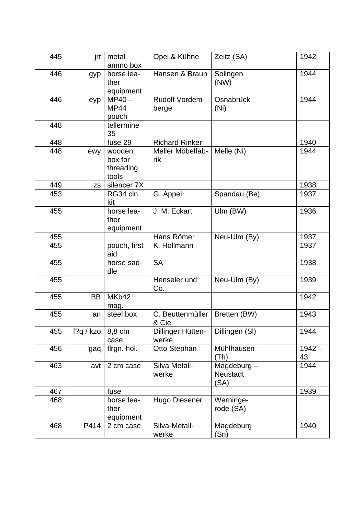| 445 | jrt       | metal<br>ammo box                       | Opel & Kühne               | Zeitz (SA)                               | 1942           |
|-----|-----------|-----------------------------------------|----------------------------|------------------------------------------|----------------|
| 446 | gyp       | horse lea-<br>ther<br>equipment         | Hansen & Braun             | Solingen<br>(NW)                         | 1944           |
| 446 | eyp       | $MP40 -$<br><b>MP44</b><br>pouch        | Rudolf Vordem-<br>berge    | Osnabrück<br>(Ni)                        | 1944           |
| 448 |           | tellermine<br>35                        |                            |                                          |                |
| 448 |           | fuse 29                                 | <b>Richard Rinker</b>      |                                          | 1940           |
| 448 | ewy       | wooden<br>box for<br>threading<br>tools | Meller Möbelfab-<br>rik    | Melle (Ni)                               | 1944           |
| 449 | <b>ZS</b> | silencer 7X                             |                            |                                          | 1938           |
| 453 |           | RG34 cln.<br>kit                        | G. Appel                   | Spandau (Be)                             | 1937           |
| 455 |           | horse lea-<br>ther<br>equipment         | J. M. Eckart               | Ulm (BW)                                 | 1936           |
| 455 |           |                                         | Hans Römer                 | Neu-Ulm (By)                             | 1937           |
| 455 |           | pouch, first<br>aid                     | K. Hollmann                |                                          | 1937           |
| 455 |           | horse sad-<br>dle                       | <b>SA</b>                  |                                          | 1938           |
| 455 |           |                                         | Henseler und<br>Co.        | Neu-Ulm (By)                             | 1939           |
| 455 | <b>BB</b> | MKb42<br>mag.                           |                            |                                          | 1942           |
| 455 | an        | steel box                               | C. Beuttenmüller<br>& Cie  | Bretten (BW)                             | 1943           |
| 455 | f?q / kzo | 8,8 cm<br>case                          | Dillinger Hütten-<br>werke | Dillingen (SI)                           | 1944           |
| 456 | gaq       | firgn. hol.                             | Otto Stephan               | Mühlhausen<br>(Th)                       | $1942 -$<br>43 |
| 463 | avt       | 2 cm case                               | Silva Metall-<br>werke     | Magdeburg $-$<br><b>Neustadt</b><br>(SA) | 1944           |
| 467 |           | fuse                                    |                            |                                          | 1939           |
| 468 |           | horse lea-<br>ther<br>equipment         | <b>Hugo Diesener</b>       | Werninge-<br>rode (SA)                   |                |
| 468 | P414      | 2 cm case                               | Silva-Metall-<br>werke     | Magdeburg<br>(Sn)                        | 1940           |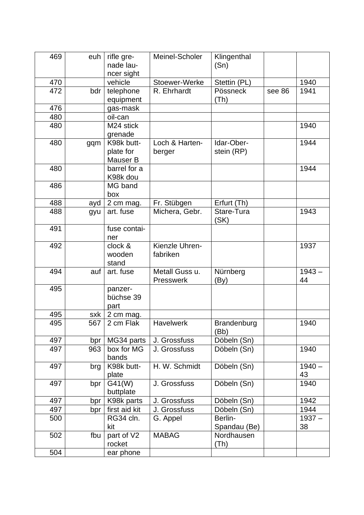| 469 | euh | rifle gre-<br>nade lau-<br>ncer sight | Meinel-Scholer              | Klingenthal<br>(Sn)      |        |                |
|-----|-----|---------------------------------------|-----------------------------|--------------------------|--------|----------------|
| 470 |     | vehicle                               | Stoewer-Werke               | Stettin (PL)             |        | 1940           |
| 472 | bdr | telephone<br>equipment                | R. Ehrhardt                 | Pössneck<br>(Th)         | see 86 | 1941           |
| 476 |     | gas-mask                              |                             |                          |        |                |
| 480 |     | oil-can                               |                             |                          |        |                |
| 480 |     | M24 stick<br>grenade                  |                             |                          |        | 1940           |
| 480 | gqm | K98k butt-<br>plate for<br>Mauser B   | Loch & Harten-<br>berger    | Idar-Ober-<br>stein (RP) |        | 1944           |
| 480 |     | barrel for a<br>K98k dou              |                             |                          |        | 1944           |
| 486 |     | MG band<br>box                        |                             |                          |        |                |
| 488 | ayd | 2 cm mag.                             | Fr. Stübgen                 | Erfurt (Th)              |        |                |
| 488 | gyu | art. fuse                             | Michera, Gebr.              | Stare-Tura<br>(SK)       |        | 1943           |
| 491 |     | fuse contai-<br>ner                   |                             |                          |        |                |
| 492 |     | clock &<br>wooden<br>stand            | Kienzle Uhren-<br>fabriken  |                          |        | 1937           |
| 494 | auf | art. fuse                             | Metall Guss u.<br>Presswerk | Nürnberg<br>(By)         |        | $1943 -$<br>44 |
| 495 |     | panzer-<br>büchse 39<br>part          |                             |                          |        |                |
| 495 | sxk | 2 cm mag.                             |                             |                          |        |                |
| 495 | 567 | 2 cm Flak                             | <b>Havelwerk</b>            | Brandenburg<br>(Bb)      |        | 1940           |
| 497 | bpr | MG34 parts                            | J. Grossfuss                | Döbeln (Sn)              |        |                |
| 497 | 963 | box for MG<br>bands                   | J. Grossfuss                | Döbeln (Sn)              |        | 1940           |
| 497 | brg | K98k butt-<br>plate                   | H. W. Schmidt               | Döbeln (Sn)              |        | $1940 -$<br>43 |
| 497 | bpr | G41(W)<br>buttplate                   | J. Grossfuss                | Döbeln (Sn)              |        | 1940           |
| 497 | bpr | K98k parts                            | J. Grossfuss                | Döbeln (Sn)              |        | 1942           |
| 497 | bpr | first aid kit                         | J. Grossfuss                | Döbeln (Sn)              |        | 1944           |
| 500 |     | RG34 cln.<br>kit                      | G. Appel                    | Berlin-<br>Spandau (Be)  |        | $1937 -$<br>38 |
| 502 | fbu | part of V2<br>rocket                  | <b>MABAG</b>                | Nordhausen<br>(Th)       |        |                |
| 504 |     | ear phone                             |                             |                          |        |                |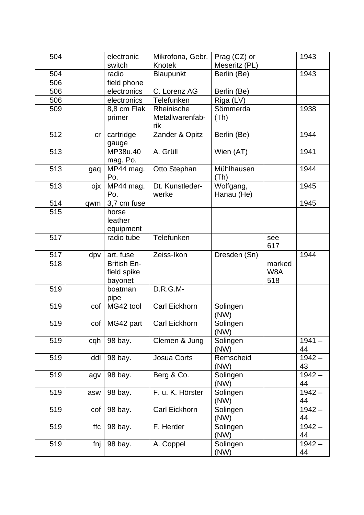| 504 |     | electronic         | Mikrofona, Gebr.     | Prag (CZ) or  |        | 1943     |
|-----|-----|--------------------|----------------------|---------------|--------|----------|
|     |     | switch             | Knotek               | Meseritz (PL) |        |          |
| 504 |     | radio              | Blaupunkt            | Berlin (Be)   |        | 1943     |
| 506 |     | field phone        |                      |               |        |          |
| 506 |     | electronics        | C. Lorenz AG         | Berlin (Be)   |        |          |
| 506 |     | electronics        | Telefunken           | Riga (LV)     |        |          |
| 509 |     | 8,8 cm Flak        | Rheinische           | Sömmerda      |        | 1938     |
|     |     | primer             | Metallwarenfab-      | (Th)          |        |          |
|     |     |                    | rik                  |               |        |          |
| 512 | cr  | cartridge          | Zander & Opitz       | Berlin (Be)   |        | 1944     |
|     |     | gauge              |                      |               |        |          |
| 513 |     | MP38u.40           | A. Grüll             | Wien (AT)     |        | 1941     |
|     |     | mag. Po.           |                      |               |        |          |
| 513 | gaq | MP44 mag.          | Otto Stephan         | Mühlhausen    |        | 1944     |
|     |     | Po.                |                      | (Th)          |        |          |
| 513 | ojx | MP44 mag.          | Dt. Kunstleder-      | Wolfgang,     |        | 1945     |
|     |     | Po.                | werke                | Hanau (He)    |        |          |
| 514 | qwm | 3,7 cm fuse        |                      |               |        | 1945     |
| 515 |     | horse              |                      |               |        |          |
|     |     | leather            |                      |               |        |          |
|     |     | equipment          |                      |               |        |          |
| 517 |     | radio tube         | Telefunken           |               | see    |          |
|     |     |                    |                      |               | 617    |          |
| 517 | dpv | art. fuse          | Zeiss-Ikon           | Dresden (Sn)  |        | 1944     |
| 518 |     | <b>British En-</b> |                      |               | marked |          |
|     |     | field spike        |                      |               | W8A    |          |
|     |     | bayonet            |                      |               | 518    |          |
| 519 |     | boatman            | $D.R.G.M-$           |               |        |          |
|     |     | pipe               |                      |               |        |          |
| 519 | cof | MG42 tool          | Carl Eickhorn        | Solingen      |        |          |
|     |     |                    |                      | (NW)          |        |          |
| 519 |     | cof   MG42 part    | <b>Carl Eickhorn</b> | Solingen      |        |          |
|     |     |                    |                      | (NW)          |        |          |
| 519 | cqh | 98 bay.            | Clemen & Jung        | Solingen      |        | $1941 -$ |
|     |     |                    |                      | (NW)          |        | 44       |
| 519 | ddl | 98 bay.            | Josua Corts          | Remscheid     |        | $1942 -$ |
|     |     |                    |                      | (NW)          |        | 43       |
| 519 | agv | 98 bay.            | Berg & Co.           | Solingen      |        | $1942 -$ |
|     |     |                    |                      | (NW)          |        | 44       |
| 519 | asw | 98 bay.            | F. u. K. Hörster     | Solingen      |        | $1942 -$ |
|     |     |                    |                      | (NW)          |        | 44       |
| 519 | cof | 98 bay.            | Carl Eickhorn        | Solingen      |        | $1942 -$ |
|     |     |                    |                      | (NW)          |        | 44       |
| 519 | ffc | 98 bay.            | F. Herder            | Solingen      |        | $1942 -$ |
|     |     |                    |                      | (NW)          |        | 44       |
| 519 | fnj | 98 bay.            | A. Coppel            | Solingen      |        | $1942 -$ |
|     |     |                    |                      | (NW)          |        | 44       |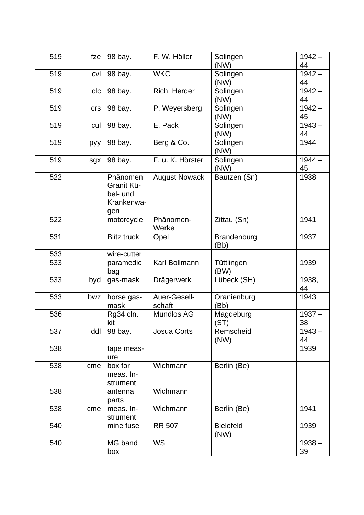| 519 | fze | 98 bay.            | F. W. Höller         | Solingen<br>(NW) | $1942 -$<br>44 |  |
|-----|-----|--------------------|----------------------|------------------|----------------|--|
| 519 | cvl | 98 bay.            | <b>WKC</b>           | Solingen         | $1942 -$       |  |
|     |     |                    |                      | (NW)             | 44             |  |
| 519 | clc | 98 bay.            | Rich. Herder         | Solingen         | $1942 -$       |  |
|     |     |                    |                      | (NW)             | 44             |  |
| 519 | crs | 98 bay.            | P. Weyersberg        | Solingen         | $1942 -$       |  |
|     |     |                    |                      | (NW)             | 45             |  |
| 519 | cul | 98 bay.            | E. Pack              | Solingen         | $1943 -$       |  |
|     |     |                    |                      | (NW)             | 44             |  |
| 519 | руу | 98 bay.            | Berg & Co.           | Solingen<br>(NW) | 1944           |  |
| 519 |     |                    | F. u. K. Hörster     |                  | $1944 -$       |  |
|     | sgx | 98 bay.            |                      | Solingen<br>(NW) | 45             |  |
| 522 |     | Phänomen           | <b>August Nowack</b> | Bautzen (Sn)     | 1938           |  |
|     |     | Granit Kü-         |                      |                  |                |  |
|     |     | bel- und           |                      |                  |                |  |
|     |     | Krankenwa-         |                      |                  |                |  |
|     |     | gen                |                      |                  |                |  |
| 522 |     | motorcycle         | Phänomen-            | Zittau (Sn)      | 1941           |  |
|     |     |                    | Werke                |                  |                |  |
| 531 |     | <b>Blitz truck</b> | Opel                 | Brandenburg      | 1937           |  |
|     |     |                    |                      | (Bb)             |                |  |
| 533 |     | wire-cutter        |                      |                  |                |  |
| 533 |     | paramedic          | Karl Bollmann        | Tüttlingen       | 1939           |  |
|     |     | bag                |                      | (BW)             |                |  |
| 533 | byd | gas-mask           | Drägerwerk           | Lübeck (SH)      | 1938,          |  |
|     |     |                    |                      |                  | 44             |  |
| 533 | bwz | horse gas-         | Auer-Gesell-         | Oranienburg      | 1943           |  |
|     |     | mask               | schaft               | (Bb)             |                |  |
| 536 |     | Rg34 cln.          | Mundlos AG           | Magdeburg        | $1937 -$       |  |
|     |     | kit                |                      | (ST)             | 38             |  |
| 537 | ddl | 98 bay.            | <b>Josua Corts</b>   | Remscheid        | $1943 -$       |  |
|     |     |                    |                      | (NW)             | 44             |  |
| 538 |     | tape meas-         |                      |                  | 1939           |  |
|     |     | ure                |                      |                  |                |  |
| 538 | cme | box for            | Wichmann             | Berlin (Be)      |                |  |
|     |     | meas. In-          |                      |                  |                |  |
|     |     | strument           |                      |                  |                |  |
| 538 |     | antenna            | Wichmann             |                  |                |  |
|     |     | parts              |                      |                  |                |  |
| 538 | cme | meas. In-          | Wichmann             | Berlin (Be)      | 1941           |  |
|     |     | strument           |                      |                  |                |  |
| 540 |     | mine fuse          | <b>RR 507</b>        | <b>Bielefeld</b> | 1939           |  |
|     |     |                    |                      | (NW)             |                |  |
| 540 |     | MG band            | <b>WS</b>            |                  | $1938 -$       |  |
|     |     | box                |                      |                  | 39             |  |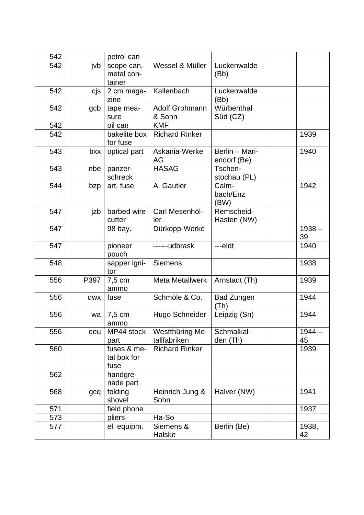| 542 |      | petrol can                         |                                 |                               |                |
|-----|------|------------------------------------|---------------------------------|-------------------------------|----------------|
| 542 | jvb  | scope can,<br>metal con-<br>tainer | Wessel & Müller                 | Luckenwalde<br>(Bb)           |                |
| 542 | cjs  | 2 cm maga-<br>zine                 | Kallenbach                      | Luckenwalde<br>(Bb)           |                |
| 542 | gcb  | tape mea-<br>sure                  | Adolf Grohmann<br>& Sohn        | Würbenthal<br>Süd (CZ)        |                |
| 542 |      | oil can                            | <b>KMF</b>                      |                               |                |
| 542 |      | bakelite box<br>for fuse           | <b>Richard Rinker</b>           |                               | 1939           |
| 543 | bxx  | optical part                       | Askania-Werke<br>AG             | Berlin - Mari-<br>endorf (Be) | 1940           |
| 543 | nbe  | panzer-<br>schreck                 | <b>HASAG</b>                    | Tschen-<br>stochau (PL)       |                |
| 544 | bzp  | art. fuse                          | A. Gautier                      | Calm-<br>bach/Enz<br>(BW)     | 1942           |
| 547 | jzb  | barbed wire<br>cutter              | Carl Mesenhöl-<br>ler           | Remscheid-<br>Hasten (NW)     |                |
| 547 |      | 98 bay.                            | Dürkopp-Werke                   |                               | $1938 -$<br>39 |
| 547 |      | pioneer<br>pouch                   | ------udbrask                   | ---eldt                       | 1940           |
| 548 |      | sapper igni-<br>tor                | <b>Siemens</b>                  |                               | 1938           |
| 556 | P397 | 7,5 cm<br>ammo                     | <b>Meta Metallwerk</b>          | Arnstadt (Th)                 | 1939           |
| 556 | dwx  | fuse                               | Schmöle & Co.                   | <b>Bad Zungen</b><br>(Th)     | 1944           |
| 556 | wa   | 7,5 cm<br>ammo                     | Hugo Schneider                  | Leipzig (Sn)                  | 1944           |
| 556 | eeu  | MP44 stock<br>part                 | Westthüring Me-<br>tallfabriken | Schmalkal-<br>den (Th)        | $1944 -$<br>45 |
| 560 |      | fuses & me-<br>tal box for<br>fuse | <b>Richard Rinker</b>           |                               | 1939           |
| 562 |      | handgre-<br>nade part              |                                 |                               |                |
| 568 | gcq  | folding<br>shovel                  | Heinrich Jung &<br>Sohn         | Halver (NW)                   | 1941           |
| 571 |      | field phone                        |                                 |                               | 1937           |
| 573 |      | pliers                             | Ha-So                           |                               |                |
| 577 |      | el. equipm.                        | Siemens &<br>Halske             | Berlin (Be)                   | 1938,<br>42    |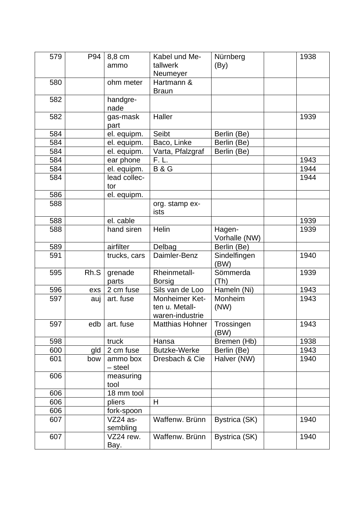| 579 | P94  | 8,8 cm<br>ammo         | Kabel und Me-<br>tallwerk<br>Neumeyer               | Nürnberg<br>(By)        | 1938 |
|-----|------|------------------------|-----------------------------------------------------|-------------------------|------|
| 580 |      | ohm meter              | Hartmann &<br><b>Braun</b>                          |                         |      |
| 582 |      | handgre-<br>nade       |                                                     |                         |      |
| 582 |      | gas-mask<br>part       | Haller                                              |                         | 1939 |
| 584 |      | el. equipm.            | Seibt                                               | Berlin (Be)             |      |
| 584 |      | el. equipm.            | Baco, Linke                                         | Berlin (Be)             |      |
| 584 |      | el. equipm.            | Varta, Pfalzgraf                                    | Berlin (Be)             |      |
| 584 |      | ear phone              | F. L.                                               |                         | 1943 |
| 584 |      | el. equipm.            | <b>B&amp;G</b>                                      |                         | 1944 |
| 584 |      | lead collec-           |                                                     |                         | 1944 |
|     |      | tor                    |                                                     |                         |      |
| 586 |      | el. equipm.            |                                                     |                         |      |
| 588 |      |                        | org. stamp ex-<br>ists                              |                         |      |
| 588 |      | el. cable              |                                                     |                         | 1939 |
| 588 |      | hand siren             | Helin                                               | Hagen-<br>Vorhalle (NW) | 1939 |
| 589 |      | airfilter              | Delbag                                              | Berlin (Be)             |      |
| 591 |      | trucks, cars           | Daimler-Benz                                        | Sindelfingen<br>(BW)    | 1940 |
| 595 | Rh.S | grenade<br>parts       | Rheinmetall-<br><b>Borsig</b>                       | Sömmerda<br>(Th)        | 1939 |
| 596 | exs  | 2 cm fuse              | Sils van de Loo                                     | Hameln (Ni)             | 1943 |
| 597 | auj  | art. fuse              | Monheimer Ket-<br>ten u. Metall-<br>waren-industrie | Monheim<br>(NW)         | 1943 |
| 597 | edb  | art. fuse              | Matthias Hohner                                     | Trossingen<br>(BW)      | 1943 |
| 598 |      | truck                  | Hansa                                               | Bremen (Hb)             | 1938 |
| 600 | gld  | 2 cm fuse              | <b>Butzke-Werke</b>                                 | Berlin (Be)             | 1943 |
| 601 | bow  | ammo box<br>- steel    | Dresbach & Cie                                      | Halver (NW)             | 1940 |
| 606 |      | measuring<br>tool      |                                                     |                         |      |
| 606 |      | 18 mm tool             |                                                     |                         |      |
| 606 |      | pliers                 | H                                                   |                         |      |
| 606 |      | fork-spoon             |                                                     |                         |      |
| 607 |      | $VZ24$ as-<br>sembling | Waffenw. Brünn                                      | Bystrica (SK)           | 1940 |
| 607 |      | VZ24 rew.<br>Bay.      | Waffenw. Brünn                                      | Bystrica (SK)           | 1940 |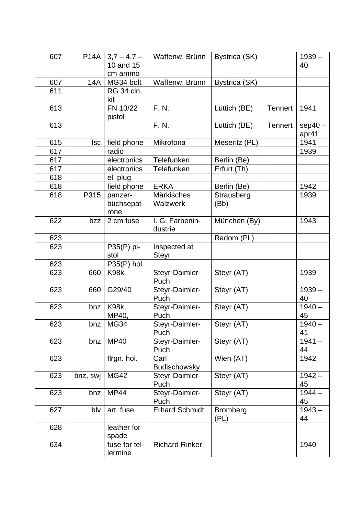| 607 | <b>P14A</b> | $3,7-4,7-$<br>10 and 15<br>cm ammo | Waffenw. Brünn                | Bystrica (SK)           |                | $1939 -$<br>40     |
|-----|-------------|------------------------------------|-------------------------------|-------------------------|----------------|--------------------|
| 607 | 14A         | MG34 bolt                          | Waffenw. Brünn                | Bystrica (SK)           |                |                    |
| 611 |             | <b>RG 34 cln.</b><br>kit           |                               |                         |                |                    |
| 613 |             | FN 10/22<br>pistol                 | F. N.                         | Lüttich (BE)            | <b>Tennert</b> | 1941               |
| 613 |             |                                    | F. N.                         | Lüttich (BE)            | <b>Tennert</b> | $sep40 -$<br>apr41 |
| 615 | fsc         | field phone                        | Mikrofona                     | Meseritz (PL)           |                | 1941               |
| 617 |             | radio                              |                               |                         |                | 1939               |
| 617 |             | electronics                        | Telefunken                    | Berlin (Be)             |                |                    |
| 617 |             | electronics                        | Telefunken                    | Erfurt (Th)             |                |                    |
| 618 |             | el. plug                           |                               |                         |                |                    |
| 618 |             | field phone                        | <b>ERKA</b>                   | Berlin (Be)             |                | 1942               |
| 618 | P315        | panzer-<br>büchsepat-<br>rone      | Märkisches<br><b>Walzwerk</b> | Strausberg<br>(Bb)      |                | 1939               |
| 622 | bzz         | 2 cm fuse                          | I. G. Farbenin-<br>dustrie    | München (By)            |                | 1943               |
| 623 |             |                                    |                               | Radom (PL)              |                |                    |
| 623 |             | P35(P) pi-<br>stol                 | Inspected at<br><b>Steyr</b>  |                         |                |                    |
| 623 |             | $P35(P)$ hol.                      |                               |                         |                |                    |
| 623 | 660         | K98k                               | Steyr-Daimler-<br>Puch        | Steyr (AT)              |                | 1939               |
| 623 | 660         | G29/40                             | Steyr-Daimler-<br>Puch        | Steyr (AT)              |                | $1939 -$<br>40     |
| 623 | bnz         | <b>K98k,</b><br>MP40,              | Steyr-Daimler-<br>Puch        | Steyr (AT)              |                | $1940 -$<br>45     |
| 623 | bnz         | <b>MG34</b>                        | Steyr-Daimler-<br>Puch        | Steyr (AT)              |                | $1940 -$<br>41     |
| 623 | bnz         | <b>MP40</b>                        | Steyr-Daimler-<br>Puch        | Steyr (AT)              |                | $1941 -$<br>44     |
| 623 |             | flrgn. hol.                        | Carl<br><b>Budischowsky</b>   | Wien (AT)               |                | 1942               |
| 623 | bnz, swj    | <b>MG42</b>                        | Steyr-Daimler-<br>Puch        | Steyr (AT)              |                | $1942 -$<br>45     |
| 623 | bnz         | <b>MP44</b>                        | Steyr-Daimler-<br>Puch        | Steyr (AT)              |                | $1944 -$<br>45     |
| 627 | blv         | art. fuse                          | <b>Erhard Schmidt</b>         | <b>Bromberg</b><br>(PL) |                | $1943 -$<br>44     |
| 628 |             | leather for<br>spade               |                               |                         |                |                    |
| 634 |             | fuse for tel-<br>lermine           | <b>Richard Rinker</b>         |                         |                | 1940               |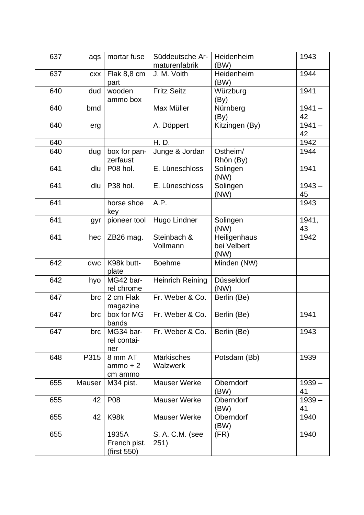| 637 | aqs        | mortar fuse                          | Süddeutsche Ar-<br>maturenfabrik     | Heidenheim<br>(BW)                  | 1943           |
|-----|------------|--------------------------------------|--------------------------------------|-------------------------------------|----------------|
| 637 | <b>CXX</b> | Flak 8,8 cm<br>part                  | J. M. Voith                          | Heidenheim<br>(BW)                  | 1944           |
| 640 | dud        | wooden<br>ammo box                   | <b>Fritz Seitz</b>                   | Würzburg<br>(By)                    | 1941           |
| 640 | bmd        |                                      | Max Müller                           | Nürnberg<br>(By)                    | $1941 -$<br>42 |
| 640 | erg        |                                      | A. Döppert                           | Kitzingen (By)                      | $1941 -$<br>42 |
| 640 |            |                                      | H. D.                                |                                     | 1942           |
| 640 | dug        | box for pan-<br>zerfaust             | Junge & Jordan                       | Ostheim/<br>Rhön (By)               | 1944           |
| 641 | dlu        | P08 hol.                             | E. Lüneschloss                       | Solingen<br>(NW)                    | 1941           |
| 641 | dlu        | P38 hol.                             | E. Lüneschloss                       | Solingen<br>(NW)                    | $1943 -$<br>45 |
| 641 |            | horse shoe<br>key                    | A.P.                                 |                                     | 1943           |
| 641 | gyr        | pioneer tool                         | Hugo Lindner                         | Solingen<br>(NW)                    | 1941,<br>43    |
| 641 | hec        | ZB26 mag.                            | Steinbach &<br>Vollmann              | Heiligenhaus<br>bei Velbert<br>(NW) | 1942           |
| 642 | dwc        | K98k butt-<br>plate                  | <b>Boehme</b>                        | Minden (NW)                         |                |
| 642 | hyo        | MG42 bar-<br>rel chrome              | <b>Heinrich Reining</b>              | Düsseldorf<br>(NW)                  |                |
| 647 | brc        | 2 cm Flak<br>magazine                | Fr. Weber & Co.                      | Berlin (Be)                         |                |
| 647 | brc        | box for MG<br>bands                  | Fr. Weber & Co.                      | Berlin (Be)                         | 1941           |
| 647 | brc        | MG34 bar-<br>rel contai-<br>ner      | Fr. Weber & Co.                      | Berlin (Be)                         | 1943           |
| 648 | P315       | 8 mm AT<br>$ammo + 2$<br>cm ammo     | <b>Märkisches</b><br><b>Walzwerk</b> | Potsdam (Bb)                        | 1939           |
| 655 | Mauser     | M34 pist.                            | <b>Mauser Werke</b>                  | Oberndorf<br>(BW)                   | $1939 -$<br>41 |
| 655 | 42         | P08                                  | <b>Mauser Werke</b>                  | Oberndorf<br>(BW)                   | $1939 -$<br>41 |
| 655 | 42         | K98k                                 | Mauser Werke                         | Oberndorf<br>(BW)                   | 1940           |
| 655 |            | 1935A<br>French pist.<br>(first 550) | S. A. C.M. (see<br>251)              | (FR)                                | 1940           |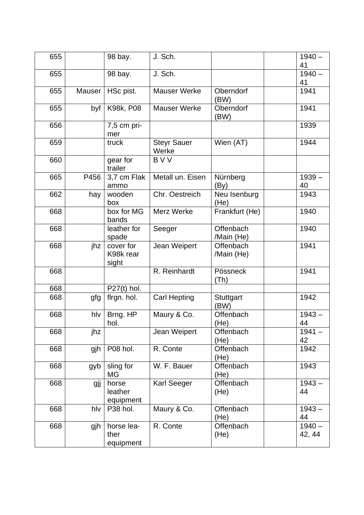| 655 |        | 98 bay.                         | J. Sch.                     |                                | $1940 -$<br>41     |
|-----|--------|---------------------------------|-----------------------------|--------------------------------|--------------------|
| 655 |        | 98 bay.                         | J. Sch.                     |                                | $1940 -$           |
|     |        |                                 |                             |                                | 41                 |
| 655 | Mauser | HSc pist.                       | <b>Mauser Werke</b>         | Oberndorf<br>(BW)              | 1941               |
| 655 | byf    | K98k, P08                       | <b>Mauser Werke</b>         | Oberndorf<br>(BW)              | 1941               |
| 656 |        | 7,5 cm pri-<br>mer              |                             |                                | 1939               |
| 659 |        | truck                           | <b>Steyr Sauer</b><br>Werke | $\overline{\text{W}}$ ien (AT) | 1944               |
| 660 |        | gear for<br>trailer             | <b>BVV</b>                  |                                |                    |
| 665 | P456   | 3,7 cm Flak<br>ammo             | Metall un. Eisen            | Nürnberg<br>(By)               | $1939 -$<br>40     |
| 662 | hay    | wooden<br>box                   | Chr. Oestreich              | Neu Isenburg<br>(He)           | 1943               |
| 668 |        | box for MG<br>bands             | Merz Werke                  | Frankfurt (He)                 | 1940               |
| 668 |        | leather for<br>spade            | Seeger                      | Offenbach<br>/Main (He)        | 1940               |
| 668 | jhz    | cover for<br>K98k rear<br>sight | Jean Weipert                | Offenbach<br>/Main (He)        | 1941               |
| 668 |        |                                 | R. Reinhardt                | Pössneck<br>(Th)               | 1941               |
| 668 |        | $P27(t)$ hol.                   |                             |                                |                    |
| 668 | gfg    | firgn. hol.                     | Carl Hepting                | Stuttgart<br>(BW)              | 1942               |
| 668 | hlv    | Brng. HP<br>hol.                | Maury & Co.                 | Offenbach<br>(He)              | $1943 -$<br>44     |
| 668 | jhz    |                                 | Jean Weipert                | Offenbach<br>(He)              | $1941 -$<br>42     |
| 668 | gjh    | P08 hol.                        | R. Conte                    | Offenbach<br>(He)              | 1942               |
| 668 | gyb    | sling for<br>MG                 | W. F. Bauer                 | Offenbach<br>(He)              | 1943               |
| 668 | gjj    | horse<br>leather<br>equipment   | Karl Seeger                 | Offenbach<br>(He)              | $1943 -$<br>44     |
| 668 | hlv    | P38 hol.                        | Maury & Co.                 | Offenbach<br>(He)              | $1943 -$<br>44     |
| 668 | gjh    | horse lea-<br>ther<br>equipment | R. Conte                    | Offenbach<br>(He)              | $1940 -$<br>42, 44 |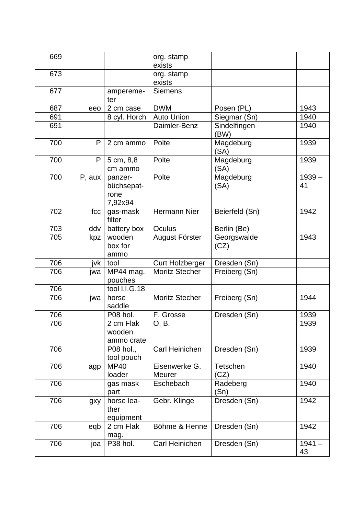| 669 |        |                                          | org. stamp<br>exists           |                      |                |
|-----|--------|------------------------------------------|--------------------------------|----------------------|----------------|
| 673 |        |                                          | org. stamp<br>exists           |                      |                |
| 677 |        | ampereme-<br>ter                         | <b>Siemens</b>                 |                      |                |
| 687 | eeo    | 2 cm case                                | <b>DWM</b>                     | Posen (PL)           | 1943           |
| 691 |        | 8 cyl. Horch                             | <b>Auto Union</b>              | Siegmar (Sn)         | 1940           |
| 691 |        |                                          | Daimler-Benz                   | Sindelfingen<br>(BW) | 1940           |
| 700 | P      | 2 cm ammo                                | Polte                          | Magdeburg<br>(SA)    | 1939           |
| 700 | P      | 5 cm, 8,8<br>cm ammo                     | Polte                          | Magdeburg<br>(SA)    | 1939           |
| 700 | P, aux | panzer-<br>büchsepat-<br>rone<br>7,92x94 | Polte                          | Magdeburg<br>(SA)    | $1939 -$<br>41 |
| 702 | fcc    | gas-mask<br>filter                       | <b>Hermann Nier</b>            | Beierfeld (Sn)       | 1942           |
| 703 | ddv    | battery box                              | Oculus                         | Berlin (Be)          |                |
| 705 | kpz    | wooden<br>box for<br>ammo                | August Förster                 | Georgswalde<br>(CZ)  | 1943           |
| 706 | ivk    | tool                                     | <b>Curt Holzberger</b>         | Dresden (Sn)         |                |
| 706 | jwa    | MP44 mag.<br>pouches                     | <b>Moritz Stecher</b>          | Freiberg (Sn)        |                |
| 706 |        | tool I.I.G.18                            |                                |                      |                |
| 706 | jwa    | horse<br>saddle                          | <b>Moritz Stecher</b>          | Freiberg (Sn)        | 1944           |
| 706 |        | P08 hol.                                 | F. Grosse                      | Dresden (Sn)         | 1939           |
| 706 |        | 2 cm Flak<br>wooden<br>ammo crate        | O. B.                          |                      | 1939           |
| 706 |        | P08 hol.,<br>tool pouch                  | Carl Heinichen                 | Dresden (Sn)         | 1939           |
| 706 | agp    | <b>MP40</b><br>loader                    | Eisenwerke G.<br><b>Meurer</b> | Tetschen<br>(CZ)     | 1940           |
| 706 |        | gas mask<br>part                         | Eschebach                      | Radeberg<br>(Sn)     | 1940           |
| 706 | gxy    | horse lea-<br>ther<br>equipment          | Gebr. Klinge                   | Dresden (Sn)         | 1942           |
| 706 | eqb    | 2 cm Flak<br>mag.                        | Böhme & Henne                  | Dresden (Sn)         | 1942           |
| 706 | joa    | P38 hol.                                 | Carl Heinichen                 | Dresden (Sn)         | $1941 -$<br>43 |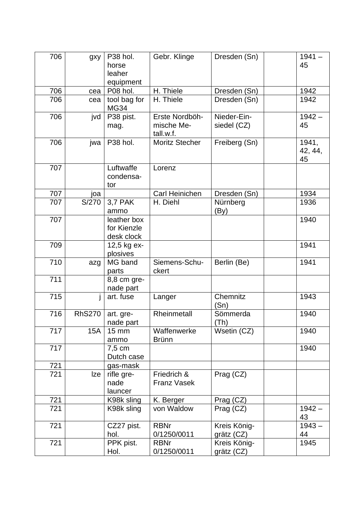| 706 | gxy           | P38 hol.<br>horse<br>leaher<br>equipment | Gebr. Klinge                              | Dresden (Sn)               | $1941 -$<br>45         |
|-----|---------------|------------------------------------------|-------------------------------------------|----------------------------|------------------------|
| 706 | cea           | P08 hol.                                 | H. Thiele                                 | Dresden (Sn)               | 1942                   |
| 706 | cea           | tool bag for<br><b>MG34</b>              | H. Thiele                                 | Dresden (Sn)               | 1942                   |
| 706 | jvd           | P38 pist.<br>mag.                        | Erste Nordböh-<br>mische Me-<br>tall.w.f. | Nieder-Ein-<br>siedel (CZ) | $1942 -$<br>45         |
| 706 | jwa           | P38 hol.                                 | <b>Moritz Stecher</b>                     | Freiberg (Sn)              | 1941,<br>42, 44,<br>45 |
| 707 |               | Luftwaffe<br>condensa-<br>tor            | Lorenz                                    |                            |                        |
| 707 | joa           |                                          | Carl Heinichen                            | Dresden (Sn)               | 1934                   |
| 707 | S/270         | 3,7 PAK<br>ammo                          | H. Diehl                                  | Nürnberg<br>(By)           | 1936                   |
| 707 |               | leather box<br>for Kienzle<br>desk clock |                                           |                            | 1940                   |
| 709 |               | 12,5 kg ex-<br>plosives                  |                                           |                            | 1941                   |
| 710 | azg           | MG band<br>parts                         | Siemens-Schu-<br>ckert                    | Berlin (Be)                | 1941                   |
| 711 |               | 8,8 cm gre-<br>nade part                 |                                           |                            |                        |
| 715 |               | art. fuse                                | Langer                                    | Chemnitz<br>(Sn)           | 1943                   |
| 716 | <b>RhS270</b> | art. gre-<br>nade part                   | Rheinmetall                               | Sömmerda<br>(Th)           | 1940                   |
| 717 | <b>15A</b>    | $15 \text{ mm}$<br>ammo                  | Waffenwerke<br><b>Brünn</b>               | Wsetin (CZ)                | 1940                   |
| 717 |               | $7,5$ cm<br>Dutch case                   |                                           |                            | 1940                   |
| 721 |               | gas-mask                                 |                                           |                            |                        |
| 721 | Ize           | rifle gre-<br>nade<br>launcer            | Friedrich &<br><b>Franz Vasek</b>         | Prag (CZ)                  |                        |
| 721 |               | K98k sling                               | K. Berger                                 | Prag (CZ)                  |                        |
| 721 |               | K98k sling                               | von Waldow                                | Prag (CZ)                  | $1942 -$<br>43         |
| 721 |               | CZ27 pist.<br>hol.                       | <b>RBNr</b><br>0/1250/0011                | Kreis König-<br>grätz (CZ) | $1943 -$<br>44         |
| 721 |               | PPK pist.<br>Hol.                        | <b>RBNr</b><br>0/1250/0011                | Kreis König-<br>grätz (CZ) | 1945                   |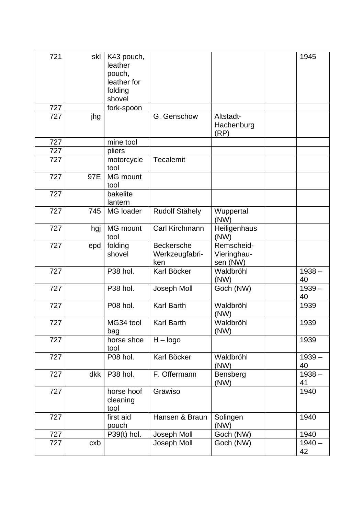| 721 | skl | K43 pouch,<br>leather<br>pouch,<br>leather for |                                            |                                       | 1945           |
|-----|-----|------------------------------------------------|--------------------------------------------|---------------------------------------|----------------|
|     |     | folding<br>shovel                              |                                            |                                       |                |
| 727 |     | fork-spoon                                     |                                            |                                       |                |
| 727 | jhg |                                                | G. Genschow                                | Altstadt-<br>Hachenburg<br>(RP)       |                |
| 727 |     | mine tool                                      |                                            |                                       |                |
| 727 |     | pliers                                         |                                            |                                       |                |
| 727 |     | motorcycle<br>tool                             | <b>Tecalemit</b>                           |                                       |                |
| 727 | 97E | <b>MG</b> mount<br>tool                        |                                            |                                       |                |
| 727 |     | bakelite<br>lantern                            |                                            |                                       |                |
| 727 | 745 | <b>MG</b> loader                               | <b>Rudolf Stähely</b>                      | Wuppertal<br>(NW)                     |                |
| 727 | hgj | MG mount<br>tool                               | Carl Kirchmann                             | Heiligenhaus<br>(NW)                  |                |
| 727 | epd | folding<br>shovel                              | <b>Beckersche</b><br>Werkzeugfabri-<br>ken | Remscheid-<br>Vieringhau-<br>sen (NW) |                |
| 727 |     | P38 hol.                                       | Karl Böcker                                | Waldbröhl<br>(NW)                     | $1938 -$<br>40 |
| 727 |     | P38 hol.                                       | Joseph Moll                                | Goch (NW)                             | $1939 -$<br>40 |
| 727 |     | P08 hol.                                       | <b>Karl Barth</b>                          | Waldbröhl<br>(NW)                     | 1939           |
| 727 |     | MG34 tool<br>bag                               | Karl Barth                                 | Waldbröhl<br>(NW)                     | 1939           |
| 727 |     | horse shoe<br>tool                             | $H - logo$                                 |                                       | 1939           |
| 727 |     | P08 hol.                                       | Karl Böcker                                | Waldbröhl<br>(NW)                     | $1939 -$<br>40 |
| 727 | dkk | P38 hol.                                       | F. Offermann                               | Bensberg<br>(NW)                      | $1938 -$<br>41 |
| 727 |     | horse hoof<br>cleaning<br>tool                 | Gräwiso                                    |                                       | 1940           |
| 727 |     | first aid<br>pouch                             | Hansen & Braun                             | Solingen<br>(NW)                      | 1940           |
| 727 |     | $P39(t)$ hol.                                  | Joseph Moll                                | Goch (NW)                             | 1940           |
| 727 | cxb |                                                | Joseph Moll                                | Goch (NW)                             | $1940 -$<br>42 |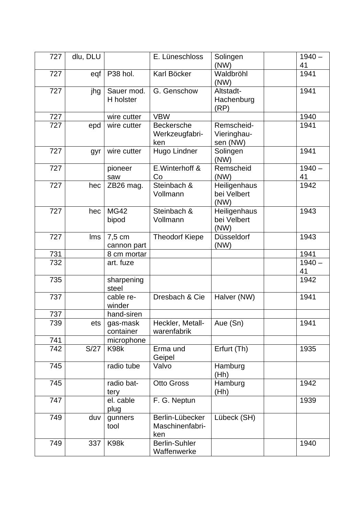| 727 | dlu, DLU |                         | E. Lüneschloss                             | Solingen<br>(NW)                      | $1940 -$<br>41 |
|-----|----------|-------------------------|--------------------------------------------|---------------------------------------|----------------|
| 727 | eqf      | P38 hol.                | Karl Böcker                                | Waldbröhl<br>(NW)                     | 1941           |
| 727 | jhg      | Sauer mod.<br>H holster | G. Genschow                                | Altstadt-<br>Hachenburg<br>(RP)       | 1941           |
| 727 |          | wire cutter             | <b>VBW</b>                                 |                                       | 1940           |
| 727 | epd      | wire cutter             | <b>Beckersche</b><br>Werkzeugfabri-<br>ken | Remscheid-<br>Vieringhau-<br>sen (NW) | 1941           |
| 727 | gyr      | wire cutter             | Hugo Lindner                               | Solingen<br>(NW)                      | 1941           |
| 727 |          | pioneer<br>saw          | E. Winterhoff &<br>Co                      | Remscheid<br>(NW)                     | $1940 -$<br>41 |
| 727 | hec      | ZB26 mag.               | Steinbach &<br>Vollmann                    | Heiligenhaus<br>bei Velbert<br>(NW)   | 1942           |
| 727 | hec      | <b>MG42</b><br>bipod    | Steinbach &<br>Vollmann                    | Heiligenhaus<br>bei Velbert<br>(NW)   | 1943           |
| 727 | Ims      | 7,5 cm<br>cannon part   | <b>Theodorf Kiepe</b>                      | Düsseldorf<br>(NW)                    | 1943           |
| 731 |          | 8 cm mortar             |                                            |                                       | 1941           |
| 732 |          | art. fuze               |                                            |                                       | $1940 -$<br>41 |
| 735 |          | sharpening<br>steel     |                                            |                                       | 1942           |
| 737 |          | cable re-<br>winder     | Dresbach & Cie                             | Halver (NW)                           | 1941           |
| 737 |          | hand-siren              |                                            |                                       |                |
| 739 | ets      | gas-mask<br>container   | Heckler, Metall-<br>warenfabrik            | Aue (Sn)                              | 1941           |
| 741 |          | microphone              |                                            |                                       |                |
| 742 | S/27     | K98k                    | Erma und<br>Geipel                         | Erfurt (Th)                           | 1935           |
| 745 |          | radio tube              | Valvo                                      | Hamburg<br>(Hh)                       |                |
| 745 |          | radio bat-<br>tery      | <b>Otto Gross</b>                          | Hamburg<br>(Hh)                       | 1942           |
| 747 |          | el. cable<br>plug       | F. G. Neptun                               |                                       | 1939           |
| 749 | duv      | gunners<br>tool         | Berlin-Lübecker<br>Maschinenfabri-<br>ken  | Lübeck (SH)                           |                |
| 749 | 337      | K98k                    | <b>Berlin-Suhler</b><br>Waffenwerke        |                                       | 1940           |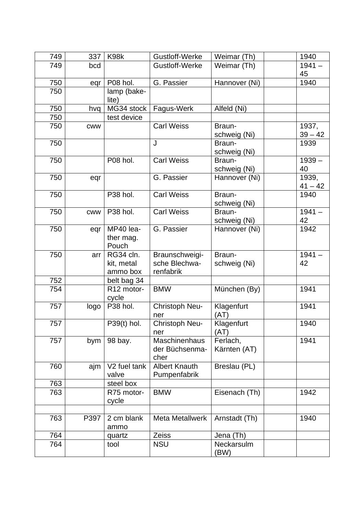| 749 | 337        | K98k                                | Gustloff-Werke                               | Weimar (Th)              | 1940               |
|-----|------------|-------------------------------------|----------------------------------------------|--------------------------|--------------------|
| 749 | bcd        |                                     | Gustloff-Werke                               | Weimar (Th)              | $1941 -$           |
|     |            |                                     |                                              |                          | 45                 |
| 750 | eqr        | P08 hol.                            | G. Passier                                   | Hannover (Ni)            | 1940               |
| 750 |            | lamp (bake-<br>lite)                |                                              |                          |                    |
| 750 | hvq        | MG34 stock                          | Fagus-Werk                                   | Alfeld (Ni)              |                    |
| 750 |            | test device                         |                                              |                          |                    |
| 750 | <b>CWW</b> |                                     | <b>Carl Weiss</b>                            | Braun-<br>schweig (Ni)   | 1937,<br>$39 - 42$ |
| 750 |            |                                     | J                                            | Braun-<br>schweig (Ni)   | 1939               |
| 750 |            | P08 hol.                            | <b>Carl Weiss</b>                            | Braun-<br>schweig (Ni)   | $1939 -$<br>40     |
| 750 | eqr        |                                     | G. Passier                                   | Hannover (Ni)            | 1939,<br>$41 - 42$ |
| 750 |            | P38 hol.                            | <b>Carl Weiss</b>                            | Braun-<br>schweig (Ni)   | 1940               |
| 750 | <b>CWW</b> | P38 hol.                            | <b>Carl Weiss</b>                            | Braun-<br>schweig (Ni)   | $1941 -$<br>42     |
| 750 | eqr        | MP40 lea-<br>ther mag.<br>Pouch     | G. Passier                                   | Hannover (Ni)            | 1942               |
| 750 | arr        | RG34 cln.<br>kit, metal<br>ammo box | Braunschweigi-<br>sche Blechwa-<br>renfabrik | Braun-<br>schweig (Ni)   | $1941 -$<br>42     |
| 752 |            | belt bag 34                         |                                              |                          |                    |
| 754 |            | R12 motor-<br>cycle                 | <b>BMW</b>                                   | München (By)             | 1941               |
| 757 | logo       | P38 hol.                            | Christoph Neu-<br>ner                        | Klagenfurt<br>(AT)       | 1941               |
| 757 |            | P39(t) hol.                         | Christoph Neu-<br>ner                        | Klagenfurt<br>(AT)       | 1940               |
| 757 | bym        | 98 bay.                             | Maschinenhaus<br>der Büchsenma-<br>cher      | Ferlach,<br>Kärnten (AT) | 1941               |
| 760 | ajm        | V <sub>2</sub> fuel tank<br>valve   | <b>Albert Knauth</b><br>Pumpenfabrik         | Breslau (PL)             |                    |
| 763 |            | steel box                           |                                              |                          |                    |
| 763 |            | R75 motor-<br>cycle                 | <b>BMW</b>                                   | Eisenach (Th)            | 1942               |
| 763 | P397       | 2 cm blank<br>ammo                  | <b>Meta Metallwerk</b>                       | Arnstadt (Th)            | 1940               |
| 764 |            | quartz                              | Zeiss                                        | Jena (Th)                |                    |
| 764 |            | tool                                | <b>NSU</b>                                   | Neckarsulm<br>(BW)       |                    |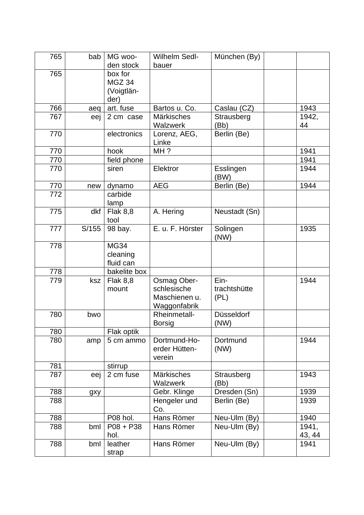| 765 | bab   | MG woo-<br>den stock                    | <b>Wilhelm Sedl-</b><br>bauer                                      | München (By)                 |                 |
|-----|-------|-----------------------------------------|--------------------------------------------------------------------|------------------------------|-----------------|
| 765 |       | box for<br>MGZ 34<br>(Voigtlän-<br>der) |                                                                    |                              |                 |
| 766 | aeq   | art. fuse                               | Bartos u. Co.                                                      | Caslau (CZ)                  | 1943            |
| 767 | eej   | 2 cm case                               | <b>Märkisches</b><br>Walzwerk                                      | Strausberg<br>(Bb)           | 1942,<br>44     |
| 770 |       | electronics                             | Lorenz, AEG,<br>Linke                                              | Berlin (Be)                  |                 |
| 770 |       | hook                                    | MH?                                                                |                              | 1941            |
| 770 |       | field phone                             |                                                                    |                              | 1941            |
| 770 |       | siren                                   | Elektror                                                           | Esslingen<br>(BW)            | 1944            |
| 770 | new   | dynamo                                  | <b>AEG</b>                                                         | Berlin (Be)                  | 1944            |
| 772 |       | carbide<br>lamp                         |                                                                    |                              |                 |
| 775 | dkf   | <b>Flak 8,8</b><br>tool                 | A. Hering                                                          | Neustadt (Sn)                |                 |
| 777 | S/155 | 98 bay.                                 | E. u. F. Hörster                                                   | Solingen<br>(NW)             | 1935            |
| 778 |       | <b>MG34</b><br>cleaning<br>fluid can    |                                                                    |                              |                 |
| 778 |       | bakelite box                            |                                                                    |                              |                 |
| 779 | ksz   | <b>Flak 8,8</b><br>mount                | <b>Osmag Ober-</b><br>schlesische<br>Maschienen u.<br>Waggonfabrik | Ein-<br>trachtshütte<br>(PL) | 1944            |
| 780 | bwo   |                                         | Rheinmetall-<br><b>Borsig</b>                                      | Düsseldorf<br>(NW)           |                 |
| 780 |       | Flak optik                              |                                                                    |                              |                 |
| 780 | amp   | 5 cm ammo                               | Dortmund-Ho-<br>erder Hütten-<br>verein                            | Dortmund<br>(NW)             | 1944            |
| 781 |       | stirrup                                 |                                                                    |                              |                 |
| 787 | eej   | 2 cm fuse                               | <b>Märkisches</b><br>Walzwerk                                      | Strausberg<br>(Bb)           | 1943            |
| 788 | gxy   |                                         | Gebr. Klinge                                                       | Dresden (Sn)                 | 1939            |
| 788 |       |                                         | Hengeler und<br>Co.                                                | Berlin (Be)                  | 1939            |
| 788 |       | P08 hol.                                | Hans Römer                                                         | Neu-Ulm (By)                 | 1940            |
| 788 | bml   | $P08 + P38$<br>hol.                     | Hans Römer                                                         | Neu-Ulm (By)                 | 1941,<br>43, 44 |
| 788 | bml   | leather<br>strap                        | Hans Römer                                                         | Neu-Ulm (By)                 | 1941            |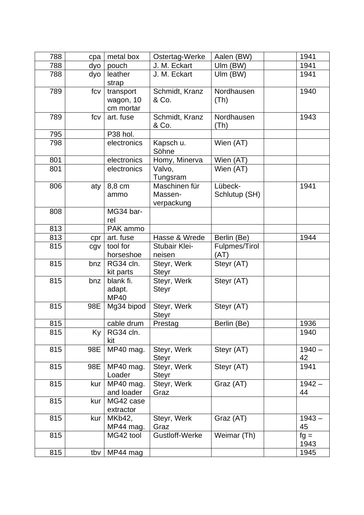| 788 | cpa | metal box              | Ostertag-Werke              | Aalen (BW)    | 1941           |
|-----|-----|------------------------|-----------------------------|---------------|----------------|
| 788 | dyo | pouch                  | J. M. Eckart                | Ulm (BW)      | 1941           |
| 788 | dyo | leather                | J. M. Eckart                | $Ulm$ (BW)    | 1941           |
|     |     | strap                  |                             |               |                |
| 789 | fcv | transport              | Schmidt, Kranz              | Nordhausen    | 1940           |
|     |     | wagon, 10              | & Co.                       | (Th)          |                |
|     |     | cm mortar              |                             |               |                |
| 789 | fcv | art. fuse              | Schmidt, Kranz              | Nordhausen    | 1943           |
|     |     |                        | & Co.                       | (Th)          |                |
| 795 |     | P38 hol.               |                             |               |                |
| 798 |     | electronics            | Kapsch u.<br>Söhne          | Wien (AT)     |                |
| 801 |     | electronics            | Homy, Minerva               | Wien (AT)     |                |
| 801 |     | electronics            | Valvo,<br>Tungsram          | Wien (AT)     |                |
| 806 | aty | 8,8 cm                 | Maschinen für               | Lübeck-       | 1941           |
|     |     | ammo                   | Massen-                     | Schlutup (SH) |                |
|     |     |                        | verpackung                  |               |                |
| 808 |     | MG34 bar-              |                             |               |                |
|     |     | rel                    |                             |               |                |
| 813 |     | PAK ammo               |                             |               |                |
| 813 | cpr | art. fuse              | Hasse & Wrede               | Berlin (Be)   | 1944           |
| 815 | cgv | tool for               | <b>Stubair Klei-</b>        | Fulpmes/Tirol |                |
| 815 |     | horseshoe<br>RG34 cln. | neisen                      | (AT)          |                |
|     | bnz | kit parts              | Steyr, Werk<br><b>Steyr</b> | Steyr (AT)    |                |
| 815 | bnz | blank fi.              | Steyr, Werk                 | Steyr (AT)    |                |
|     |     | adapt.                 | <b>Steyr</b>                |               |                |
|     |     | <b>MP40</b>            |                             |               |                |
| 815 | 98E | Mg34 bipod             | Steyr, Werk                 | Steyr (AT)    |                |
|     |     |                        | <b>Steyr</b>                |               |                |
| 815 |     | cable drum             | Prestag                     | Berlin (Be)   | 1936           |
| 815 | Ky  | RG34 cln.<br>kit       |                             |               | 1940           |
| 815 | 98E | MP40 mag.              | Steyr, Werk                 | Steyr (AT)    | $1940 -$       |
|     |     |                        | <b>Steyr</b>                |               | 42             |
| 815 | 98E | MP40 mag.              | Steyr, Werk                 | Steyr (AT)    | 1941           |
|     |     | Loader                 | Steyr                       |               |                |
| 815 | kur | MP40 mag.              | Steyr, Werk                 | Graz (AT)     | $1942 -$       |
|     |     | and loader             | Graz                        |               | 44             |
| 815 | kur | MG42 case              |                             |               |                |
|     |     | extractor              |                             |               |                |
| 815 | kur | MKb42,                 | Steyr, Werk                 | Graz (AT)     | $1943 -$       |
| 815 |     | MP44 mag.              | Graz<br>Gustloff-Werke      | Weimar (Th)   | 45             |
|     |     | MG42 tool              |                             |               | $fg =$<br>1943 |
| 815 | tby | MP44 mag               |                             |               | 1945           |
|     |     |                        |                             |               |                |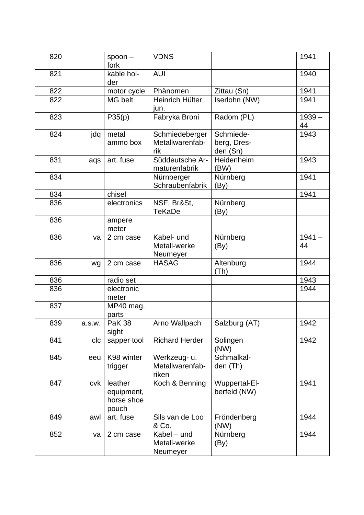| 820 |        | $spoon -$<br>fork                            | <b>VDNS</b>                              |                                      | 1941           |
|-----|--------|----------------------------------------------|------------------------------------------|--------------------------------------|----------------|
| 821 |        | kable hol-<br>der                            | <b>AUI</b>                               |                                      | 1940           |
| 822 |        | motor cycle                                  | Phänomen                                 | Zittau (Sn)                          | 1941           |
| 822 |        | MG belt                                      | Heinrich Hülter<br>jun.                  | Iserlohn (NW)                        | 1941           |
| 823 |        | $\overline{P}35(p)$                          | Fabryka Broni                            | Radom (PL)                           | $1939 -$<br>44 |
| 824 | jdq    | metal<br>ammo box                            | Schmiedeberger<br>Metallwarenfab-<br>rik | Schmiede-<br>berg, Dres-<br>den (Sn) | 1943           |
| 831 | aqs    | art. fuse                                    | Süddeutsche Ar-<br>maturenfabrik         | Heidenheim<br>(BW)                   | 1943           |
| 834 |        |                                              | Nürnberger<br>Schraubenfabrik            | Nürnberg<br>(By)                     | 1941           |
| 834 |        | chisel                                       |                                          |                                      | 1941           |
| 836 |        | electronics                                  | NSF, Br&St,<br><b>TeKaDe</b>             | Nürnberg<br>(By)                     |                |
| 836 |        | ampere<br>meter                              |                                          |                                      |                |
| 836 | va     | 2 cm case                                    | Kabel- und<br>Metall-werke<br>Neumeyer   | Nürnberg<br>(By)                     | $1941 -$<br>44 |
| 836 | wg     | 2 cm case                                    | <b>HASAG</b>                             | Altenburg<br>(Th)                    | 1944           |
| 836 |        | radio set                                    |                                          |                                      | 1943           |
| 836 |        | electronic<br>meter                          |                                          |                                      | 1944           |
| 837 |        | MP40 mag.<br>parts                           |                                          |                                      |                |
| 839 | a.s.w. | <b>PaK 38</b><br>sight                       | Arno Wallpach                            | Salzburg (AT)                        | 1942           |
| 841 | clc    | sapper tool                                  | <b>Richard Herder</b>                    | Solingen<br>(NW)                     | 1942           |
| 845 | eeu    | K98 winter<br>trigger                        | Werkzeug- u.<br>Metallwarenfab-<br>riken | Schmalkal-<br>den (Th)               |                |
| 847 | cvk    | leather<br>equipment,<br>horse shoe<br>pouch | Koch & Benning                           | Wuppertal-El-<br>berfeld (NW)        | 1941           |
| 849 | awl    | art. fuse                                    | Sils van de Loo<br>& Co.                 | Fröndenberg<br>(NW)                  | 1944           |
| 852 | va     | 2 cm case                                    | Kabel - und<br>Metall-werke<br>Neumeyer  | Nürnberg<br>(By)                     | 1944           |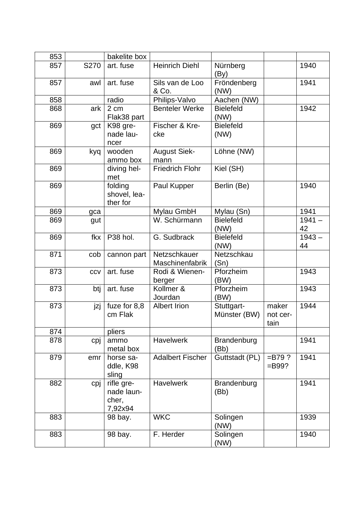| 853 |      | bakelite box                                 |                                 |                            |                           |                |
|-----|------|----------------------------------------------|---------------------------------|----------------------------|---------------------------|----------------|
| 857 | S270 | art. fuse                                    | <b>Heinrich Diehl</b>           | Nürnberg<br>(By)           |                           | 1940           |
| 857 | awl  | art. fuse                                    | Sils van de Loo<br>& Co.        | Fröndenberg<br>(NW)        |                           | 1941           |
| 858 |      | radio                                        | Philips-Valvo                   | Aachen (NW)                |                           |                |
| 868 | ark  | 2 cm<br>Flak38 part                          | <b>Benteler Werke</b>           | <b>Bielefeld</b><br>(NW)   |                           | 1942           |
| 869 | gct  | K98 gre-<br>nade lau-<br>ncer                | Fischer & Kre-<br>cke           | <b>Bielefeld</b><br>(NW)   |                           |                |
| 869 | kyq  | wooden<br>ammo box                           | <b>August Siek-</b><br>mann     | Löhne (NW)                 |                           |                |
| 869 |      | diving hel-<br>met                           | <b>Friedrich Flohr</b>          | Kiel (SH)                  |                           |                |
| 869 |      | folding<br>shovel, lea-<br>ther for          | Paul Kupper                     | Berlin (Be)                |                           | 1940           |
| 869 | gca  |                                              | Mylau GmbH                      | Mylau (Sn)                 |                           | 1941           |
| 869 | gut  |                                              | W. Schürmann                    | <b>Bielefeld</b><br>(NW)   |                           | $1941 -$<br>42 |
| 869 | fkx  | P38 hol.                                     | G. Sudbrack                     | <b>Bielefeld</b><br>(NW)   |                           | $1943 -$<br>44 |
| 871 | cob  | cannon part                                  | Netzschkauer<br>Maschinenfabrik | Netzschkau<br>(Sn)         |                           |                |
| 873 | CCV  | art. fuse                                    | Rodi & Wienen-<br>berger        | Pforzheim<br>(BW)          |                           | 1943           |
| 873 | btj  | art. fuse                                    | Kollmer &<br>Jourdan            | Pforzheim<br>(BW)          |                           | 1943           |
| 873 | jzj  | fuze for 8,8<br>cm Flak                      | <b>Albert Irion</b>             | Stuttgart-<br>Münster (BW) | maker<br>not cer-<br>tain | 1944           |
| 874 |      | pliers                                       |                                 |                            |                           |                |
| 878 | cpj  | ammo<br>metal box                            | <b>Havelwerk</b>                | Brandenburg<br>(Bb)        |                           | 1941           |
| 879 | emr  | horse sa-<br>ddle, K98<br>sling              | <b>Adalbert Fischer</b>         | Guttstadt (PL)             | $= B79$ ?<br>$=$ B99?     | 1941           |
| 882 | cpj  | rifle gre-<br>nade laun-<br>cher,<br>7,92x94 | <b>Havelwerk</b>                | Brandenburg<br>(Bb)        |                           | 1941           |
| 883 |      | 98 bay.                                      | <b>WKC</b>                      | Solingen<br>(NW)           |                           | 1939           |
| 883 |      | 98 bay.                                      | F. Herder                       | Solingen<br>(NW)           |                           | 1940           |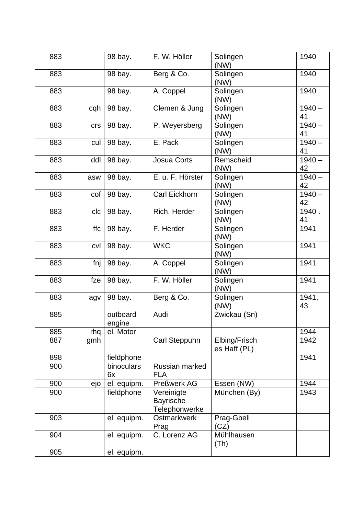| 883 |       | 98 bay.            | F. W. Höller                                    | Solingen<br>(NW)              | 1940           |
|-----|-------|--------------------|-------------------------------------------------|-------------------------------|----------------|
| 883 |       | 98 bay.            | Berg & Co.                                      | Solingen<br>(NW)              | 1940           |
| 883 |       | 98 bay.            | A. Coppel                                       | Solingen<br>(NW)              | 1940           |
| 883 | cqh   | 98 bay.            | Clemen & Jung                                   | Solingen<br>(NW)              | $1940 -$<br>41 |
| 883 | crs   | 98 bay.            | P. Weyersberg                                   | Solingen<br>(NW)              | $1940 -$<br>41 |
| 883 | cul   | 98 bay.            | E. Pack                                         | Solingen<br>(NW)              | $1940 -$<br>41 |
| 883 | ddl   | 98 bay.            | Josua Corts                                     | Remscheid<br>(NW)             | $1940 -$<br>42 |
| 883 | asw   | 98 bay.            | E. u. F. Hörster                                | Solingen<br>(NW)              | $1940 -$<br>42 |
| 883 | cof   | 98 bay.            | Carl Eickhorn                                   | Solingen<br>(NW)              | $1940 -$<br>42 |
| 883 | clc   | 98 bay.            | Rich. Herder                                    | Solingen<br>(NW)              | 1940.<br>41    |
| 883 | ffc   | 98 bay.            | F. Herder                                       | Solingen<br>(NW)              | 1941           |
| 883 | cvl   | 98 bay.            | <b>WKC</b>                                      | Solingen<br>(NW)              | 1941           |
| 883 | fnj   | 98 bay.            | A. Coppel                                       | Solingen<br>(NW)              | 1941           |
| 883 | fze   | 98 bay.            | F. W. Höller                                    | Solingen<br>(NW)              | 1941           |
| 883 | agv   | 98 bay.            | Berg & Co.                                      | Solingen<br>(NW)              | 1941,<br>43    |
| 885 |       | outboard<br>engine | Audi                                            | Zwickau (Sn)                  |                |
| 885 | rhq l | el. Motor          |                                                 |                               | 1944           |
| 887 | gmh   |                    | Carl Steppuhn                                   | Elbing/Frisch<br>es Haff (PL) | 1942           |
| 898 |       | fieldphone         |                                                 |                               | 1941           |
| 900 |       | binoculars<br>6x   | Russian marked<br><b>FLA</b>                    |                               |                |
| 900 | ejo   | el. equipm.        | Preßwerk AG                                     | Essen (NW)                    | 1944           |
| 900 |       | fieldphone         | Vereinigte<br><b>Bayrische</b><br>Telephonwerke | München (By)                  | 1943           |
| 903 |       | el. equipm.        | <b>Ostmarkwerk</b><br>Prag                      | Prag-Gbell<br>(CZ)            |                |
| 904 |       | el. equipm.        | C. Lorenz AG                                    | Mühlhausen<br>(Th)            |                |
| 905 |       | el. equipm.        |                                                 |                               |                |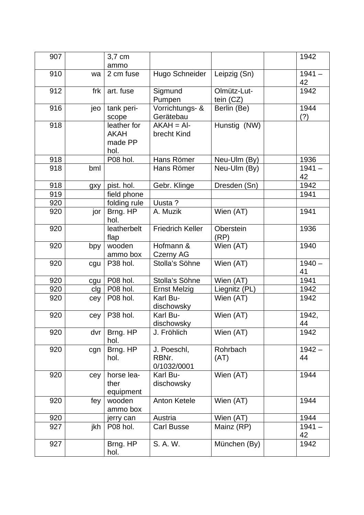| 907 |     | 3,7 cm<br>ammo                                |                                     |                          | 1942           |
|-----|-----|-----------------------------------------------|-------------------------------------|--------------------------|----------------|
| 910 | wa  | 2 cm fuse                                     | Hugo Schneider                      | Leipzig (Sn)             | $1941 -$<br>42 |
| 912 | frk | art. fuse                                     | Sigmund<br>Pumpen                   | Olmütz-Lut-<br>tein (CZ) | 1942           |
| 916 | jeo | tank peri-<br>scope                           | Vorrichtungs- &<br>Gerätebau        | Berlin (Be)              | 1944<br>(?)    |
| 918 |     | leather for<br><b>AKAH</b><br>made PP<br>hol. | $AKAH = AI-$<br>brecht Kind         | Hunstig (NW)             |                |
| 918 |     | P08 hol.                                      | Hans Römer                          | Neu-Ulm (By)             | 1936           |
| 918 | bml |                                               | Hans Römer                          | Neu-Ulm (By)             | $1941 -$<br>42 |
| 918 | gxy | pist. hol.                                    | Gebr. Klinge                        | Dresden (Sn)             | 1942           |
| 919 |     | field phone                                   |                                     |                          | 1941           |
| 920 |     | folding rule                                  | Uusta ?                             |                          |                |
| 920 | jor | Brng. HP<br>hol.                              | A. Muzik                            | Wien (AT)                | 1941           |
| 920 |     | leatherbelt<br>flap                           | <b>Friedrich Keller</b>             | Oberstein<br>(RP)        | 1936           |
| 920 | bpy | wooden<br>ammo box                            | Hofmann &<br><b>Czerny AG</b>       | Wien (AT)                | 1940           |
| 920 | cgu | P38 hol.                                      | Stolla's Söhne                      | Wien (AT)                | $1940 -$<br>41 |
| 920 | cgu | P08 hol.                                      | Stolla's Söhne                      | Wien (AT)                | 1941           |
| 920 | clg | P08 hol.                                      | <b>Ernst Melzig</b>                 | Liegnitz (PL)            | 1942           |
| 920 | cey | P08 hol.                                      | Karl Bu-<br>dischowsky              | Wien (AT)                | 1942           |
| 920 | cey | P38 hol.                                      | Karl Bu-<br>dischowsky              | Wien (AT)                | 1942,<br>44    |
| 920 | dvr | Brng. HP<br>hol.                              | J. Fröhlich                         | Wien (AT)                | 1942           |
| 920 | cgn | Brng. HP<br>hol.                              | J. Poeschl,<br>RBNr.<br>0/1032/0001 | Rohrbach<br>(AT)         | $1942 -$<br>44 |
| 920 | cey | horse lea-<br>ther<br>equipment               | Karl Bu-<br>dischowsky              | Wien (AT)                | 1944           |
| 920 | fey | wooden<br>ammo box                            | <b>Anton Ketele</b>                 | Wien (AT)                | 1944           |
| 920 |     | jerry can                                     | Austria                             | Wien (AT)                | 1944           |
| 927 | jkh | P08 hol.                                      | <b>Carl Busse</b>                   | Mainz (RP)               | $1941 -$<br>42 |
| 927 |     | Brng. HP<br>hol.                              | S. A. W.                            | München (By)             | 1942           |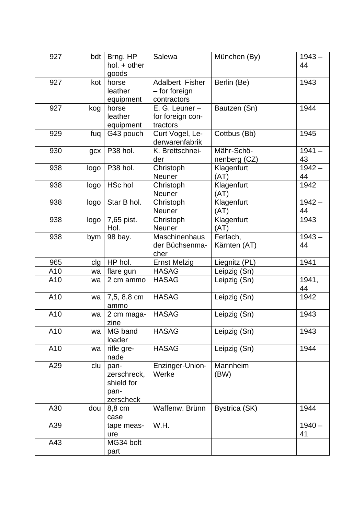| 927 | bdt  | Brng. HP<br>hol. + other<br>goods                      | Salewa                                           | München (By)               | $1943 -$<br>44 |
|-----|------|--------------------------------------------------------|--------------------------------------------------|----------------------------|----------------|
| 927 | kot  | horse<br>leather<br>equipment                          | Adalbert Fisher<br>- for foreign<br>contractors  | Berlin (Be)                | 1943           |
| 927 | kog  | horse<br>leather<br>equipment                          | $E. G. Leuner -$<br>for foreign con-<br>tractors | Bautzen (Sn)               | 1944           |
| 929 | fuq  | G43 pouch                                              | Curt Vogel, Le-<br>derwarenfabrik                | Cottbus (Bb)               | 1945           |
| 930 | gcx  | P38 hol.                                               | K. Brettschnei-<br>der                           | Mähr-Schö-<br>nenberg (CZ) | $1941 -$<br>43 |
| 938 | logo | P38 hol.                                               | Christoph<br><b>Neuner</b>                       | Klagenfurt<br>(AT)         | $1942 -$<br>44 |
| 938 | logo | <b>HSc hol</b>                                         | Christoph<br>Neuner                              | Klagenfurt<br>(AT)         | 1942           |
| 938 | logo | Star B hol.                                            | Christoph<br>Neuner                              | Klagenfurt<br>(AT)         | $1942 -$<br>44 |
| 938 | logo | 7,65 pist.<br>Hol.                                     | Christoph<br><b>Neuner</b>                       | Klagenfurt<br>(AT)         | 1943           |
| 938 | bym  | 98 bay.                                                | <b>Maschinenhaus</b><br>der Büchsenma-<br>cher   | Ferlach,<br>Kärnten (AT)   | $1943 -$<br>44 |
| 965 | clg  | HP hol.                                                | <b>Ernst Melzig</b>                              | Liegnitz (PL)              | 1941           |
| A10 | wa   | flare gun                                              | <b>HASAG</b>                                     | Leipzig (Sn)               |                |
| A10 | wa   | 2 cm ammo                                              | <b>HASAG</b>                                     | Leipzig (Sn)               | 1941,<br>44    |
| A10 | wa   | 7,5, 8,8 cm<br>ammo                                    | <b>HASAG</b>                                     | Leipzig (Sn)               | 1942           |
| A10 | wa   | 2 cm maga-<br>zine                                     | <b>HASAG</b>                                     | Leipzig (Sn)               | 1943           |
| A10 | wa   | MG band<br>loader                                      | <b>HASAG</b>                                     | Leipzig (Sn)               | 1943           |
| A10 | wa   | rifle gre-<br>nade                                     | <b>HASAG</b>                                     | Leipzig (Sn)               | 1944           |
| A29 | clu  | pan-<br>zerschreck,<br>shield for<br>pan-<br>zerscheck | Enzinger-Union-<br>Werke                         | Mannheim<br>(BW)           |                |
| A30 | dou  | 8,8 cm<br>case                                         | Waffenw. Brünn                                   | Bystrica (SK)              | 1944           |
| A39 |      | tape meas-<br>ure                                      | W.H.                                             |                            | $1940 -$<br>41 |
| A43 |      | MG34 bolt<br>part                                      |                                                  |                            |                |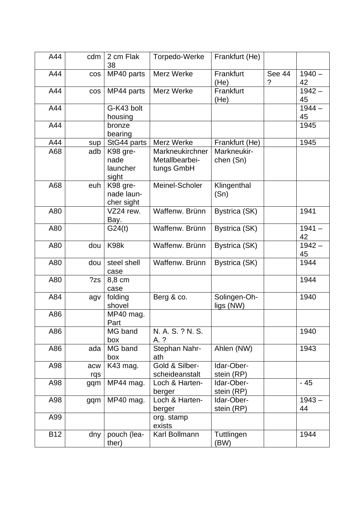| A44        | cdm | 2 cm Flak<br>38   | Torpedo-Werke    | Frankfurt (He)    |             |                |
|------------|-----|-------------------|------------------|-------------------|-------------|----------------|
| A44        | cos | MP40 parts        | Merz Werke       | Frankfurt<br>(He) | See 44<br>? | $1940 -$<br>42 |
| A44        | cos | MP44 parts        | Merz Werke       | Frankfurt         |             | $1942 -$       |
|            |     |                   |                  | (He)              |             | 45             |
| A44        |     | G-K43 bolt        |                  |                   |             | $1944 -$       |
|            |     | housing           |                  |                   |             | 45             |
| A44        |     | bronze            |                  |                   |             | 1945           |
|            |     | bearing           |                  |                   |             |                |
| A44        | sup | StG44 parts       | Merz Werke       | Frankfurt (He)    |             | 1945           |
| A68        | adb | K98 gre-          | Markneukirchner  | Markneukir-       |             |                |
|            |     | nade              | Metallbearbei-   | chen (Sn)         |             |                |
|            |     | launcher<br>sight | tungs GmbH       |                   |             |                |
| A68        | euh | K98 gre-          | Meinel-Scholer   | Klingenthal       |             |                |
|            |     | nade laun-        |                  | (Sn)              |             |                |
|            |     | cher sight        |                  |                   |             |                |
| A80        |     | VZ24 rew.         | Waffenw. Brünn   | Bystrica (SK)     |             | 1941           |
|            |     | Bay.              |                  |                   |             |                |
| A80        |     | G24(t)            | Waffenw. Brünn   | Bystrica (SK)     |             | $1941 -$       |
|            |     |                   |                  |                   |             | 42             |
| A80        | dou | K98k              | Waffenw. Brünn   | Bystrica (SK)     |             | $1942 -$       |
|            |     |                   |                  |                   |             | 45             |
| A80        | dou | steel shell       | Waffenw. Brünn   | Bystrica (SK)     |             | 1944           |
|            |     | case              |                  |                   |             |                |
| A80        | ?zs | 8,8 cm            |                  |                   |             | 1944           |
|            |     | case              |                  |                   |             |                |
| A84        | agv | folding           | Berg & co.       | Solingen-Oh-      |             | 1940           |
| A86        |     | shovel            |                  | ligs (NW)         |             |                |
|            |     | MP40 mag.<br>Part |                  |                   |             |                |
| A86        |     | MG band           | N. A. S. ? N. S. |                   |             | 1940           |
|            |     | box               | A. ?             |                   |             |                |
| A86        | ada | MG band           | Stephan Nahr-    | Ahlen (NW)        |             | 1943           |
|            |     | box               | ath              |                   |             |                |
| A98        | acw | K43 mag.          | Gold & Silber-   | Idar-Ober-        |             |                |
|            | rqs |                   | scheideanstalt   | stein (RP)        |             |                |
| A98        | gqm | MP44 mag.         | Loch & Harten-   | Idar-Ober-        |             | $-45$          |
|            |     |                   | berger           | stein (RP)        |             |                |
| A98        | gqm | MP40 mag.         | Loch & Harten-   | Idar-Ober-        |             | $1943 -$       |
|            |     |                   | berger           | stein (RP)        |             | 44             |
| A99        |     |                   | org. stamp       |                   |             |                |
|            |     |                   | exists           |                   |             |                |
| <b>B12</b> | dny | pouch (lea-       | Karl Bollmann    | Tuttlingen        |             | 1944           |
|            |     | ther)             |                  | (BW)              |             |                |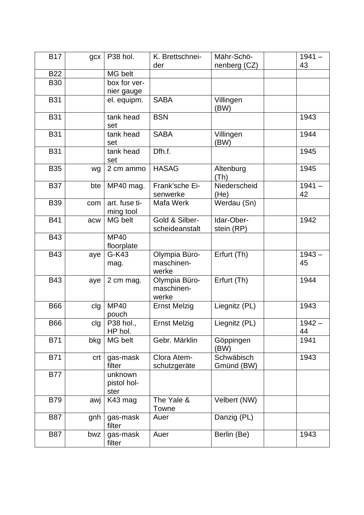| <b>B17</b> | gcx | P38 hol.      | K. Brettschnei-     | Mähr-Schö-    | $1941 -$ |
|------------|-----|---------------|---------------------|---------------|----------|
|            |     |               | der                 | nenberg (CZ)  | 43       |
| <b>B22</b> |     | MG belt       |                     |               |          |
| <b>B30</b> |     | box for ver-  |                     |               |          |
|            |     | nier gauge    |                     |               |          |
| <b>B31</b> |     | el. equipm.   | <b>SABA</b>         | Villingen     |          |
|            |     |               |                     | (BW)          |          |
| <b>B31</b> |     | tank head     | <b>BSN</b>          |               | 1943     |
|            |     | set           |                     |               |          |
| <b>B31</b> |     | tank head     | <b>SABA</b>         | Villingen     | 1944     |
|            |     | set           |                     | (BW)          |          |
| <b>B31</b> |     | tank head     | Dfh.f.              |               | 1945     |
|            |     | set           |                     |               |          |
| <b>B35</b> | wg  | 2 cm ammo     | <b>HASAG</b>        | Altenburg     | 1945     |
|            |     |               |                     | (Th)          |          |
| <b>B37</b> | bte | MP40 mag.     | Frank'sche Ei-      | Niederscheid  | $1941 -$ |
|            |     |               | senwerke            | (He)          | 42       |
| <b>B39</b> | com | art. fuse ti- | Mafa Werk           | Werdau (Sn)   |          |
|            |     | ming tool     |                     |               |          |
| <b>B41</b> | acw | MG belt       | Gold & Silber-      | Idar-Ober-    | 1942     |
|            |     |               | scheideanstalt      | stein (RP)    |          |
| <b>B43</b> |     | <b>MP40</b>   |                     |               |          |
|            |     | floorplate    |                     |               |          |
| <b>B43</b> | aye | G-K43         | Olympia Büro-       | Erfurt (Th)   | $1943 -$ |
|            |     | mag.          | maschinen-          |               | 45       |
|            |     |               | werke               |               |          |
| <b>B43</b> | aye | 2 cm mag.     | Olympia Büro-       | Erfurt (Th)   | 1944     |
|            |     |               | maschinen-          |               |          |
|            |     |               | werke               |               |          |
| <b>B66</b> | clg | <b>MP40</b>   | <b>Ernst Melzig</b> | Liegnitz (PL) | 1943     |
|            |     | pouch         |                     |               |          |
| <b>B66</b> | clg | P38 hol.,     | <b>Ernst Melzig</b> | Liegnitz (PL) | $1942 -$ |
|            |     | HP hol.       |                     |               | 44       |
| <b>B71</b> | bkg | MG belt       | Gebr. Märklin       | Göppingen     | 1941     |
|            |     |               |                     | (BW)          |          |
| <b>B71</b> | crt | gas-mask      | Clora Atem-         | Schwäbisch    | 1943     |
|            |     | filter        | schutzgeräte        | Gmünd (BW)    |          |
| <b>B77</b> |     | unknown       |                     |               |          |
|            |     | pistol hol-   |                     |               |          |
|            |     | ster          |                     |               |          |
| <b>B79</b> | awj | K43 mag       | The Yale &          | Velbert (NW)  |          |
|            |     |               | Towne               |               |          |
| <b>B87</b> | gnh | gas-mask      | Auer                | Danzig (PL)   |          |
|            |     | filter        |                     |               |          |
| <b>B87</b> | bwz | gas-mask      | Auer                | Berlin (Be)   | 1943     |
|            |     | filter        |                     |               |          |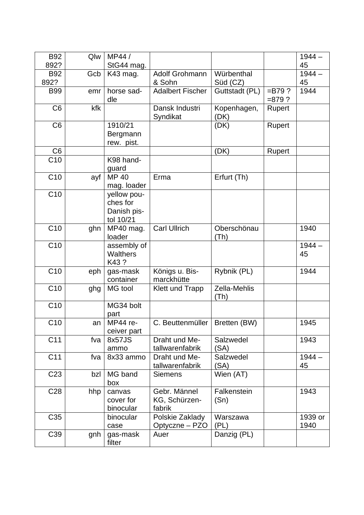| <b>B92</b>      | Qlw | MP44 /                |                                   |                      |                       | $1944 -$        |
|-----------------|-----|-----------------------|-----------------------------------|----------------------|-----------------------|-----------------|
| 892?            |     | StG44 mag.            |                                   |                      |                       | 45              |
| <b>B92</b>      | Gcb | K43 mag.              | Adolf Grohmann                    | Würbenthal           |                       | $1944 -$        |
| 892?            |     |                       | & Sohn                            | Süd (CZ)             |                       | 45              |
| <b>B99</b>      | emr | horse sad-<br>dle     | <b>Adalbert Fischer</b>           | Guttstadt (PL)       | $= B79?$<br>$= 879$ ? | 1944            |
| C <sub>6</sub>  | kfk |                       | Dansk Industri<br>Syndikat        | Kopenhagen,<br>(DK)  | Rupert                |                 |
| C <sub>6</sub>  |     | 1910/21               |                                   | (DK)                 | Rupert                |                 |
|                 |     | Bergmann              |                                   |                      |                       |                 |
|                 |     | rew. pist.            |                                   |                      |                       |                 |
| C <sub>6</sub>  |     |                       |                                   | (DK)                 | Rupert                |                 |
| C10             |     | K98 hand-             |                                   |                      |                       |                 |
| C10             | ayf | guard<br><b>MP40</b>  | Erma                              | Erfurt (Th)          |                       |                 |
|                 |     | mag. loader           |                                   |                      |                       |                 |
| C10             |     | yellow pou-           |                                   |                      |                       |                 |
|                 |     | ches for              |                                   |                      |                       |                 |
|                 |     | Danish pis-           |                                   |                      |                       |                 |
|                 |     | tol 10/21             |                                   |                      |                       |                 |
| C <sub>10</sub> | ghn | MP40 mag.             | <b>Carl Ullrich</b>               | Oberschönau          |                       | 1940            |
|                 |     | loader                |                                   | (Th)                 |                       |                 |
| C10             |     | assembly of           |                                   |                      |                       | $1944 -$        |
|                 |     | <b>Walthers</b>       |                                   |                      |                       | 45              |
|                 |     | K43?                  |                                   |                      |                       |                 |
| $C$ 10          | eph | gas-mask<br>container | Königs u. Bis-<br>marckhütte      | Rybnik (PL)          |                       | 1944            |
| C10             | ghg | MG tool               | <b>Klett und Trapp</b>            | Zella-Mehlis<br>(Th) |                       |                 |
| C10             |     | MG34 bolt<br>part     |                                   |                      |                       |                 |
| C10             | an  | MP44 re-              | C. Beuttenmüller   Bretten (BW)   |                      |                       | 1945            |
|                 |     | ceiver part           |                                   |                      |                       |                 |
| C11             | fva | 8x57JS                | Draht und Me-                     | Salzwedel            |                       | 1943            |
|                 |     | ammo                  | tallwarenfabrik                   | (SA)                 |                       |                 |
| C11             | fva | 8x33 ammo             | Draht und Me-                     | Salzwedel            |                       | $1944 -$        |
|                 |     |                       | tallwarenfabrik                   | (SA)                 |                       | 45              |
| C <sub>23</sub> | bzl | MG band               | <b>Siemens</b>                    | Wien (AT)            |                       |                 |
|                 |     | box                   |                                   |                      |                       |                 |
| C <sub>28</sub> | hhp | canvas                | Gebr. Männel                      | Falkenstein          |                       | 1943            |
|                 |     | cover for             | KG, Schürzen-                     | (Sn)                 |                       |                 |
|                 |     | binocular             | fabrik                            |                      |                       |                 |
| C35             |     | binocular<br>case     | Polskie Zaklady<br>Optyczne – PZO | Warszawa<br>(PL)     |                       | 1939 or<br>1940 |
| C39             | gnh | gas-mask              | Auer                              | Danzig (PL)          |                       |                 |
|                 |     | filter                |                                   |                      |                       |                 |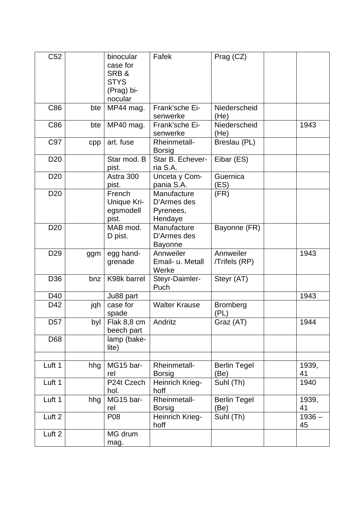| C52             |     | binocular<br>case for<br>SRB&<br><b>STYS</b><br>(Prag) bi-<br>nocular | Fafek                                              | Prag (CZ)                   |                |
|-----------------|-----|-----------------------------------------------------------------------|----------------------------------------------------|-----------------------------|----------------|
| C86             | bte | MP44 mag.                                                             | Frank'sche Ei-<br>senwerke                         | Niederscheid<br>(He)        |                |
| C86             | bte | MP40 mag.                                                             | Frank'sche Ei-<br>senwerke                         | Niederscheid<br>(He)        | 1943           |
| C97             | cpp | art. fuse                                                             | Rheinmetall-<br><b>Borsig</b>                      | Breslau (PL)                |                |
| D <sub>20</sub> |     | Star mod. B<br>pist.                                                  | Star B. Echever-<br>ria S.A.                       | Eibar (ES)                  |                |
| D <sub>20</sub> |     | Astra 300<br>pist.                                                    | Unceta y Com-<br>pania S.A.                        | Guernica<br>(ES)            |                |
| D <sub>20</sub> |     | French<br>Unique Kri-<br>egsmodell<br>pist.                           | Manufacture<br>D'Armes des<br>Pyrenees,<br>Hendaye | (FR)                        |                |
| D <sub>20</sub> |     | MAB mod.<br>D pist.                                                   | Manufacture<br>D'Armes des<br><b>Bayonne</b>       | Bayonne (FR)                |                |
| D <sub>29</sub> | ggm | egg hand-<br>grenade                                                  | Annweiler<br>Email- u. Metall<br>Werke             | Annweiler<br>/Trifels (RP)  | 1943           |
| D <sub>36</sub> | bnz | K98k barrel                                                           | Steyr-Daimler-<br>Puch                             | Steyr (AT)                  |                |
| D40             |     | Ju88 part                                                             |                                                    |                             | 1943           |
| D42             | jqh | case for<br>spade                                                     | <b>Walter Krause</b>                               | <b>Bromberg</b><br>(PL)     |                |
| D <sub>57</sub> | byl | Flak 8,8 cm<br>beech part                                             | Andritz                                            | Graz (AT)                   | 1944           |
| D68             |     | lamp (bake-<br>lite)                                                  |                                                    |                             |                |
|                 |     |                                                                       |                                                    |                             |                |
| Luft 1          | hhg | MG15 bar-<br>rel                                                      | Rheinmetall-<br><b>Borsig</b>                      | <b>Berlin Tegel</b><br>(Be) | 1939,<br>41    |
| Luft 1          |     | P24t Czech<br>hol.                                                    | Heinrich Krieg-<br>hoff                            | Suhl (Th)                   | 1940           |
| Luft 1          | hhg | MG15 bar-<br>rel                                                      | Rheinmetall-<br><b>Borsig</b>                      | <b>Berlin Tegel</b><br>(Be) | 1939,<br>41    |
| Luft 2          |     | P08                                                                   | Heinrich Krieg-<br>hoff                            | Suhl (Th)                   | $1936 -$<br>45 |
| Luft 2          |     | MG drum<br>mag.                                                       |                                                    |                             |                |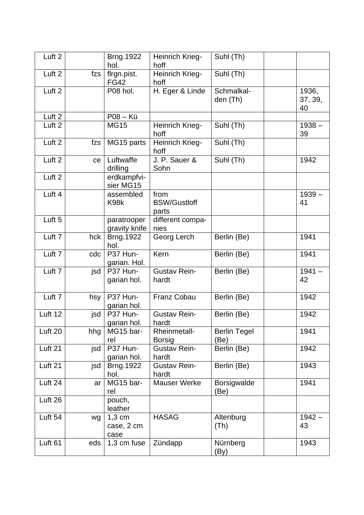| Luft <sub>2</sub> |     | <b>Brng.1922</b><br>hol.       | Heinrich Krieg-<br>hoff              | Suhl (Th)                              |                        |
|-------------------|-----|--------------------------------|--------------------------------------|----------------------------------------|------------------------|
| Luft 2            | fzs | flrgn.pist.<br><b>FG42</b>     | Heinrich Krieg-<br>hoff              | Suhl (Th)                              |                        |
| Luft 2            |     | P08 hol.                       | H. Eger & Linde                      | Schmalkal-<br>den (Th)                 | 1936,<br>37, 39,<br>40 |
| Luft 2            |     | P08 - Kü                       |                                      |                                        |                        |
| Luft <sub>2</sub> |     | <b>MG15</b>                    | Heinrich Krieg-<br>hoff              | Suhl (Th)                              | $1938 -$<br>39         |
| Luft <sub>2</sub> | fzs | MG15 parts                     | Heinrich Krieg-<br>hoff              | Suhl (Th)                              |                        |
| Luft <sub>2</sub> | ce  | Luftwaffe<br>drilling          | J. P. Sauer &<br>Sohn                | Suhl (Th)                              | 1942                   |
| Luft <sub>2</sub> |     | erdkampfvi-<br>sier MG15       |                                      |                                        |                        |
| Luft 4            |     | assembled<br>K98k              | from<br><b>BSW/Gustloff</b><br>parts |                                        | $1939 -$<br>41         |
| Luft <sub>5</sub> |     | paratrooper<br>gravity knife   | different compa-<br>nies             |                                        |                        |
| Luft <sub>7</sub> | hck | <b>Brng.1922</b><br>hol.       | Georg Lerch                          | Berlin (Be)                            | 1941                   |
| Luft <sub>7</sub> | cdc | P37 Hun-<br>garian. Hol.       | Kern                                 | Berlin (Be)                            | 1941                   |
| Luft <sub>7</sub> | jsd | P37 Hun-<br>garian hol.        | <b>Gustav Rein-</b><br>hardt         | Berlin (Be)                            | $1941 -$<br>42         |
| Luft <sub>7</sub> | hsy | P37 Hun-<br>garian hol.        | Franz Cobau                          | Berlin (Be)                            | 1942                   |
| Luft 12           | jsd | P37 Hun-<br>garian hol.        | <b>Gustav Rein-</b><br>hardt         | Berlin (Be)                            | 1942                   |
| Luft 20           | hhg | MG15 bar-<br>rel               | <b>Rheinmetall-</b><br><b>Borsig</b> | <b>Berlin Tegel</b><br>(Be)            | 1941                   |
| Luft 21           | jsd | P37 Hun-<br>garian hol.        | <b>Gustav Rein-</b><br>hardt         | Berlin (Be)                            | 1942                   |
| Luft 21           | jsd | Brng.1922<br>hol.              | <b>Gustav Rein-</b><br>hardt         | Berlin (Be)                            | 1943                   |
| Luft 24           | ar  | MG15 bar-<br>rel               | <b>Mauser Werke</b>                  | Borsigwalde<br>(Be)                    | 1941                   |
| Luft 26           |     | pouch,<br>leather              |                                      |                                        |                        |
| Luft 54           | wg  | $1,3$ cm<br>case, 2 cm<br>case | <b>HASAG</b>                         | Altenburg<br>(Th)                      | $1942 -$<br>43         |
| Luft 61           | eds | 1,3 cm fuse                    | Zündapp                              | Nürnberg<br>$\left(\mathsf{By}\right)$ | 1943                   |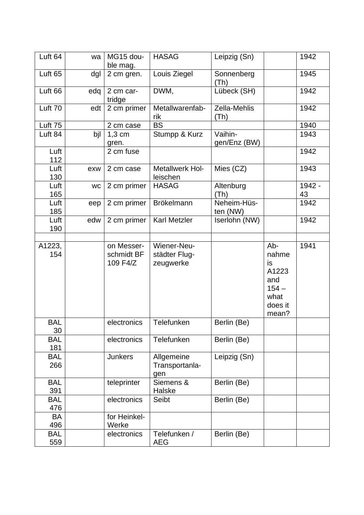| Luft 64            | wa        | MG15 dou-<br>ble mag.                | <b>HASAG</b>                              | Leipzig (Sn)            |                                                                           | 1942         |
|--------------------|-----------|--------------------------------------|-------------------------------------------|-------------------------|---------------------------------------------------------------------------|--------------|
| Luft <sub>65</sub> | dgl       | 2 cm gren.                           | Louis Ziegel                              | Sonnenberg<br>(Th)      |                                                                           | 1945         |
| Luft <sub>66</sub> | edq       | 2 cm car-<br>tridge                  | DWM,                                      | Lübeck (SH)             |                                                                           | 1942         |
| Luft 70            | edt       | 2 cm primer                          | Metallwarenfab-<br>rik                    | Zella-Mehlis<br>(Th)    |                                                                           | 1942         |
| Luft 75            |           | 2 cm case                            | <b>BS</b>                                 |                         |                                                                           | 1940         |
| Luft 84            | bil       | $1,3$ cm<br>gren.                    | Stumpp & Kurz                             | Vaihin-<br>gen/Enz (BW) |                                                                           | 1943         |
| Luft<br>112        |           | 2 cm fuse                            |                                           |                         |                                                                           | 1942         |
| Luft<br>130        | exw       | 2 cm case                            | Metallwerk Hol-<br>leischen               | Mies (CZ)               |                                                                           | 1943         |
| Luft<br>165        | <b>WC</b> | 2 cm primer                          | <b>HASAG</b>                              | Altenburg<br>(Th)       |                                                                           | 1942 -<br>43 |
| Luft<br>185        | eep       | 2 cm primer                          | <b>Brökelmann</b>                         | Neheim-Hüs-<br>ten (NW) |                                                                           | 1942         |
| Luft<br>190        | edw       | 2 cm primer                          | Karl Metzler                              | Iserlohn (NW)           |                                                                           | 1942         |
| A1223,<br>154      |           | on Messer-<br>schmidt BF<br>109 F4/Z | Wiener-Neu-<br>städter Flug-<br>zeugwerke |                         | Ab-<br>nahme<br>is<br>A1223<br>and<br>$154 -$<br>what<br>does it<br>mean? | 1941         |
| <b>BAL</b><br>30   |           | electronics                          | Telefunken                                | Berlin (Be)             |                                                                           |              |
| <b>BAL</b><br>181  |           | electronics                          | Telefunken                                | Berlin (Be)             |                                                                           |              |
| <b>BAL</b><br>266  |           | <b>Junkers</b>                       | Allgemeine<br>Transportanla-<br>gen       | Leipzig (Sn)            |                                                                           |              |
| <b>BAL</b><br>391  |           | teleprinter                          | Siemens &<br>Halske                       | Berlin (Be)             |                                                                           |              |
| <b>BAL</b><br>476  |           | electronics                          | Seibt                                     | Berlin (Be)             |                                                                           |              |
| BA<br>496          |           | for Heinkel-<br>Werke                |                                           |                         |                                                                           |              |
| <b>BAL</b><br>559  |           | electronics                          | Telefunken /<br><b>AEG</b>                | Berlin (Be)             |                                                                           |              |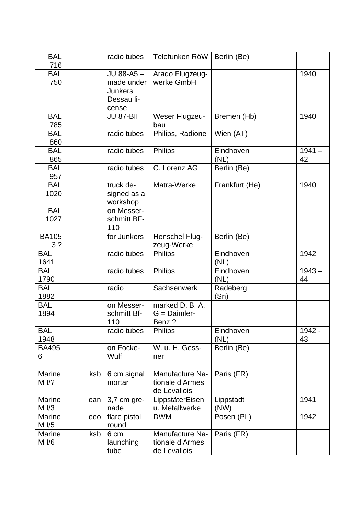| <b>BAL</b><br>716              |     | radio tubes                                                      | Telefunken RöW                                     | Berlin (Be)       |                |
|--------------------------------|-----|------------------------------------------------------------------|----------------------------------------------------|-------------------|----------------|
| <b>BAL</b><br>750              |     | JU 88-A5-<br>made under<br><b>Junkers</b><br>Dessau li-<br>cense | Arado Flugzeug-<br>werke GmbH                      |                   | 1940           |
| <b>BAL</b><br>785              |     | <b>JU 87-BII</b>                                                 | Weser Flugzeu-<br>bau                              | Bremen (Hb)       | 1940           |
| <b>BAL</b><br>860              |     | radio tubes                                                      | Philips, Radione                                   | Wien (AT)         |                |
| <b>BAL</b><br>865              |     | radio tubes                                                      | <b>Philips</b>                                     | Eindhoven<br>(NL) | $1941 -$<br>42 |
| <b>BAL</b><br>957              |     | radio tubes                                                      | C. Lorenz AG                                       | Berlin (Be)       |                |
| <b>BAL</b><br>1020             |     | truck de-<br>signed as a<br>workshop                             | Matra-Werke                                        | Frankfurt (He)    | 1940           |
| <b>BAL</b><br>1027             |     | on Messer-<br>schmitt BF-<br>110                                 |                                                    |                   |                |
| <b>BA105</b><br>3 <sup>2</sup> |     | for Junkers                                                      | Henschel Flug-<br>zeug-Werke                       | Berlin (Be)       |                |
| <b>BAL</b><br>1641             |     | radio tubes                                                      | <b>Philips</b>                                     | Eindhoven<br>(NL) | 1942           |
| <b>BAL</b><br>1790             |     | radio tubes                                                      | <b>Philips</b>                                     | Eindhoven<br>(NL) | $1943 -$<br>44 |
| <b>BAL</b><br>1882             |     | radio                                                            | Sachsenwerk                                        | Radeberg<br>(Sn)  |                |
| <b>BAL</b><br>1894             |     | on Messer-<br>schmitt Bf-<br>110                                 | marked D. B. A.<br>$G =$ Daimler-<br>Benz?         |                   |                |
| <b>BAL</b><br>1948             |     | radio tubes                                                      | <b>Philips</b>                                     | Eindhoven<br>(NL) | 1942 -<br>43   |
| <b>BA495</b><br>6              |     | on Focke-<br>Wulf                                                | W. u. H. Gess-<br>ner                              | Berlin (Be)       |                |
| Marine<br>M <sub>1</sub> /?    | ksb | 6 cm signal<br>mortar                                            | Manufacture Na-<br>tionale d'Armes<br>de Levallois | Paris (FR)        |                |
| <b>Marine</b><br>M I/3         | ean | 3,7 cm gre-<br>nade                                              | LippstäterEisen<br>u. Metallwerke                  | Lippstadt<br>(NW) | 1941           |
| Marine<br>M I/5                | eeo | flare pistol<br>round                                            | <b>DWM</b>                                         | Posen (PL)        | 1942           |
| Marine<br>M I/6                | ksb | 6 cm<br>launching<br>tube                                        | Manufacture Na-<br>tionale d'Armes<br>de Levallois | Paris (FR)        |                |